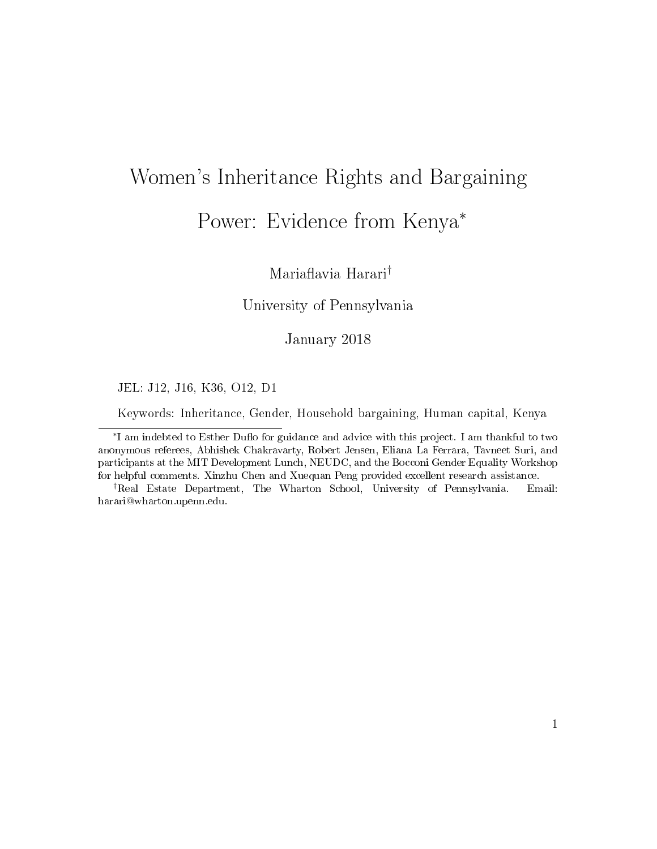# Women's Inheritance Rights and Bargaining Power: Evidence from Kenya<sup>∗</sup>

Mariaflavia Harari<sup>†</sup>

University of Pennsylvania

January 2018

JEL: J12, J16, K36, O12, D1

Keywords: Inheritance, Gender, Household bargaining, Human capital, Kenya

\*I am indebted to Esther Duflo for guidance and advice with this project. I am thankful to two anonymous referees, Abhishek Chakravarty, Robert Jensen, Eliana La Ferrara, Tavneet Suri, and participants at the MIT Development Lunch, NEUDC, and the Bocconi Gender Equality Workshop for helpful comments. Xinzhu Chen and Xuequan Peng provided excellent research assistance.

<sup>†</sup>Real Estate Department, The Wharton School, University of Pennsylvania. Email: harari@wharton.upenn.edu.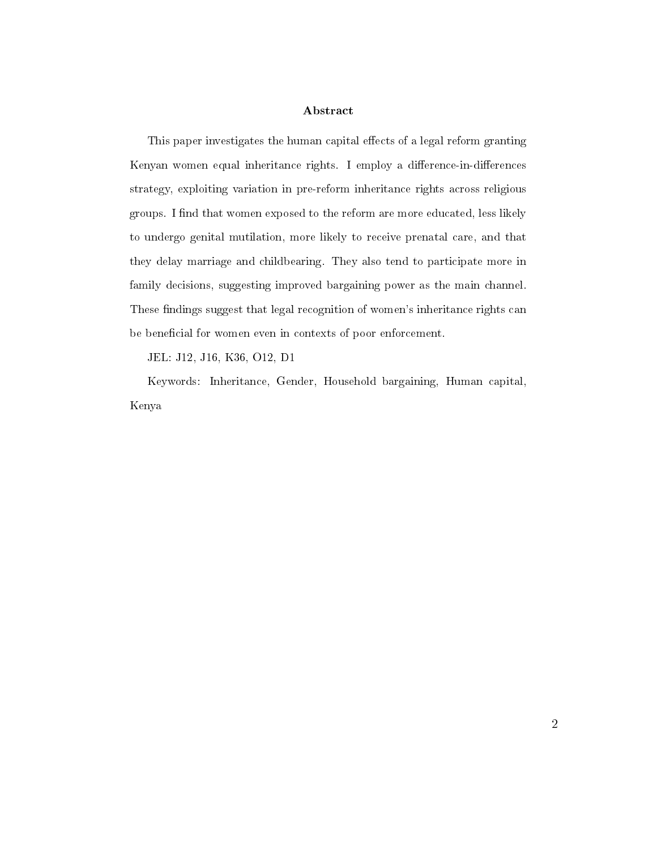#### Abstract

This paper investigates the human capital effects of a legal reform granting Kenyan women equal inheritance rights. I employ a difference-in-differences strategy, exploiting variation in pre-reform inheritance rights across religious groups. I find that women exposed to the reform are more educated, less likely to undergo genital mutilation, more likely to receive prenatal care, and that they delay marriage and childbearing. They also tend to participate more in family decisions, suggesting improved bargaining power as the main channel. These findings suggest that legal recognition of women's inheritance rights can be beneficial for women even in contexts of poor enforcement.

JEL: J12, J16, K36, O12, D1

Keywords: Inheritance, Gender, Household bargaining, Human capital, Kenya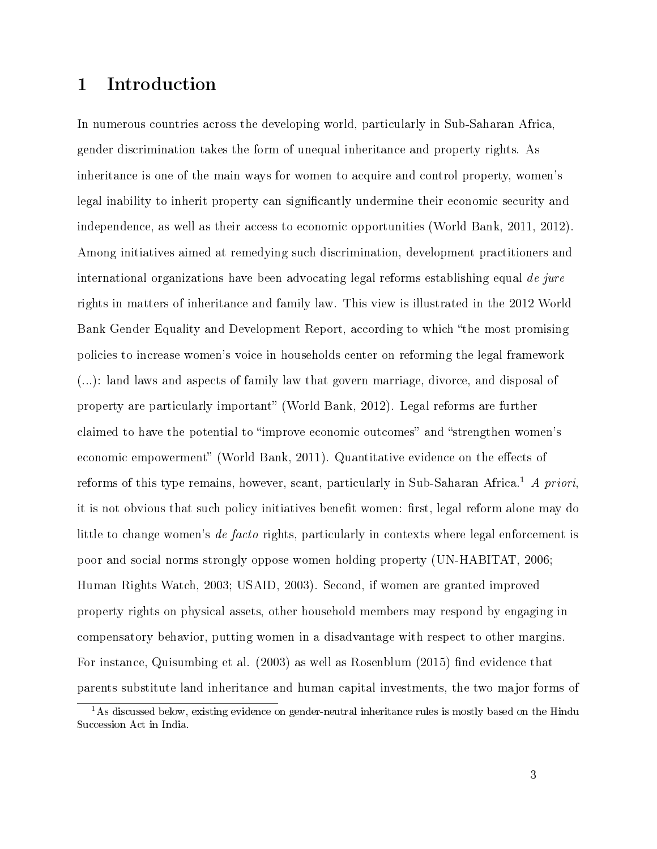# 1 Introduction

In numerous countries across the developing world, particularly in Sub-Saharan Africa, gender discrimination takes the form of unequal inheritance and property rights. As inheritance is one of the main ways for women to acquire and control property, women's legal inability to inherit property can signicantly undermine their economic security and independence, as well as their access to economic opportunities (World Bank, 2011, 2012). Among initiatives aimed at remedying such discrimination, development practitioners and international organizations have been advocating legal reforms establishing equal de jure rights in matters of inheritance and family law. This view is illustrated in the 2012 World Bank Gender Equality and Development Report, according to which "the most promising policies to increase women's voice in households center on reforming the legal framework (...): land laws and aspects of family law that govern marriage, divorce, and disposal of property are particularly important" (World Bank, 2012). Legal reforms are further claimed to have the potential to "improve economic outcomes" and "strengthen women's economic empowerment" (World Bank, 2011). Quantitative evidence on the effects of reforms of this type remains, however, scant, particularly in Sub-Saharan Africa.<sup>1</sup> A priori, it is not obvious that such policy initiatives benefit women: first, legal reform alone may do little to change women's de facto rights, particularly in contexts where legal enforcement is poor and social norms strongly oppose women holding property (UN-HABITAT, 2006; Human Rights Watch, 2003; USAID, 2003). Second, if women are granted improved property rights on physical assets, other household members may respond by engaging in compensatory behavior, putting women in a disadvantage with respect to other margins. For instance, Quisumbing et al.  $(2003)$  as well as Rosenblum  $(2015)$  find evidence that parents substitute land inheritance and human capital investments, the two major forms of

<sup>&</sup>lt;sup>1</sup>As discussed below, existing evidence on gender-neutral inheritance rules is mostly based on the Hindu Succession Act in India.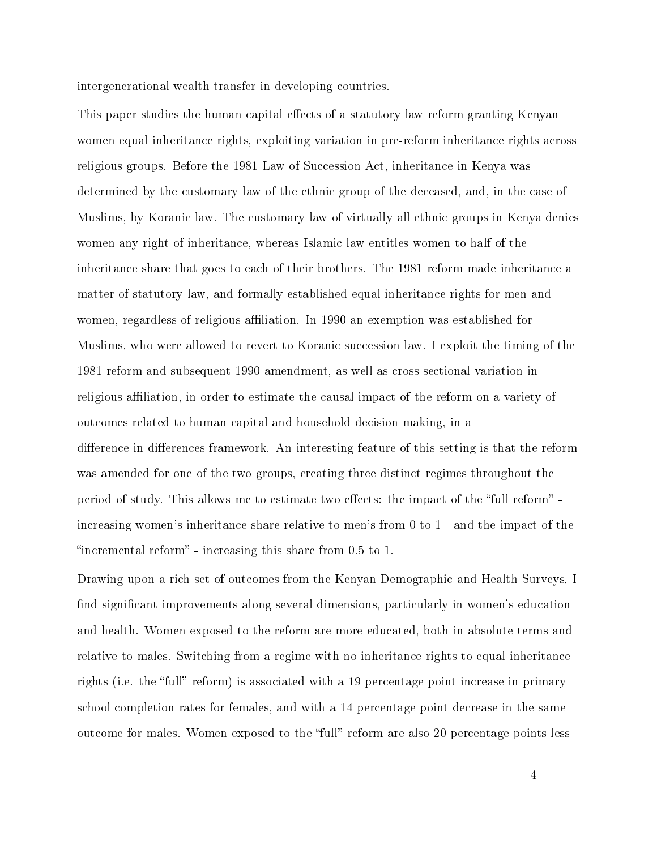intergenerational wealth transfer in developing countries.

This paper studies the human capital effects of a statutory law reform granting Kenyan women equal inheritance rights, exploiting variation in pre-reform inheritance rights across religious groups. Before the 1981 Law of Succession Act, inheritance in Kenya was determined by the customary law of the ethnic group of the deceased, and, in the case of Muslims, by Koranic law. The customary law of virtually all ethnic groups in Kenya denies women any right of inheritance, whereas Islamic law entitles women to half of the inheritance share that goes to each of their brothers. The 1981 reform made inheritance a matter of statutory law, and formally established equal inheritance rights for men and women, regardless of religious affiliation. In 1990 an exemption was established for Muslims, who were allowed to revert to Koranic succession law. I exploit the timing of the 1981 reform and subsequent 1990 amendment, as well as cross-sectional variation in religious affiliation, in order to estimate the causal impact of the reform on a variety of outcomes related to human capital and household decision making, in a difference-in-differences framework. An interesting feature of this setting is that the reform was amended for one of the two groups, creating three distinct regimes throughout the period of study. This allows me to estimate two effects: the impact of the "full reform" increasing women's inheritance share relative to men's from 0 to 1 - and the impact of the "incremental reform" - increasing this share from  $0.5$  to  $1$ .

Drawing upon a rich set of outcomes from the Kenyan Demographic and Health Surveys, I find significant improvements along several dimensions, particularly in women's education and health. Women exposed to the reform are more educated, both in absolute terms and relative to males. Switching from a regime with no inheritance rights to equal inheritance rights (i.e. the "full" reform) is associated with a 19 percentage point increase in primary school completion rates for females, and with a 14 percentage point decrease in the same outcome for males. Women exposed to the "full" reform are also 20 percentage points less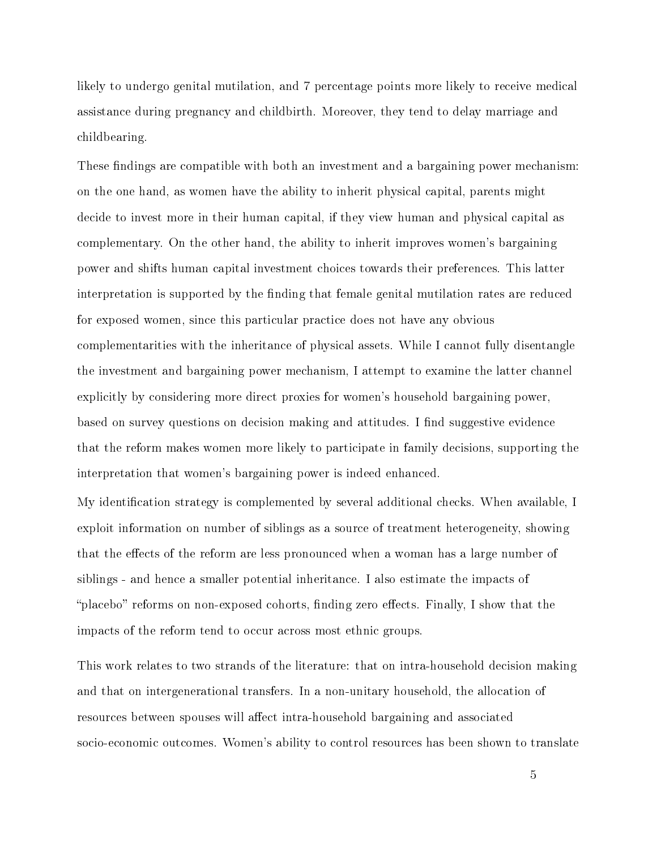likely to undergo genital mutilation, and 7 percentage points more likely to receive medical assistance during pregnancy and childbirth. Moreover, they tend to delay marriage and childbearing.

These findings are compatible with both an investment and a bargaining power mechanism: on the one hand, as women have the ability to inherit physical capital, parents might decide to invest more in their human capital, if they view human and physical capital as complementary. On the other hand, the ability to inherit improves women's bargaining power and shifts human capital investment choices towards their preferences. This latter interpretation is supported by the finding that female genital mutilation rates are reduced for exposed women, since this particular practice does not have any obvious complementarities with the inheritance of physical assets. While I cannot fully disentangle the investment and bargaining power mechanism, I attempt to examine the latter channel explicitly by considering more direct proxies for women's household bargaining power, based on survey questions on decision making and attitudes. I find suggestive evidence that the reform makes women more likely to participate in family decisions, supporting the interpretation that women's bargaining power is indeed enhanced.

My identification strategy is complemented by several additional checks. When available, I exploit information on number of siblings as a source of treatment heterogeneity, showing that the effects of the reform are less pronounced when a woman has a large number of siblings - and hence a smaller potential inheritance. I also estimate the impacts of "placebo" reforms on non-exposed cohorts, finding zero effects. Finally, I show that the impacts of the reform tend to occur across most ethnic groups.

This work relates to two strands of the literature: that on intra-household decision making and that on intergenerational transfers. In a non-unitary household, the allocation of resources between spouses will affect intra-household bargaining and associated socio-economic outcomes. Women's ability to control resources has been shown to translate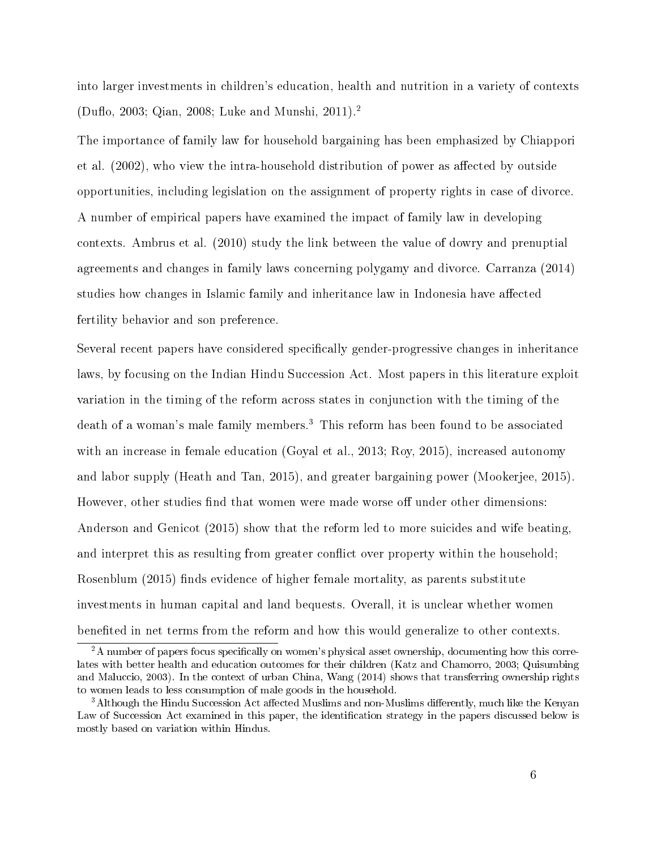into larger investments in children's education, health and nutrition in a variety of contexts (Duflo, 2003; Qian, 2008; Luke and Munshi,  $2011$ ).<sup>2</sup>

The importance of family law for household bargaining has been emphasized by Chiappori et al.  $(2002)$ , who view the intra-household distribution of power as affected by outside opportunities, including legislation on the assignment of property rights in case of divorce. A number of empirical papers have examined the impact of family law in developing contexts. Ambrus et al. (2010) study the link between the value of dowry and prenuptial agreements and changes in family laws concerning polygamy and divorce. Carranza (2014) studies how changes in Islamic family and inheritance law in Indonesia have affected fertility behavior and son preference.

Several recent papers have considered specifically gender-progressive changes in inheritance laws, by focusing on the Indian Hindu Succession Act. Most papers in this literature exploit variation in the timing of the reform across states in conjunction with the timing of the death of a woman's male family members.<sup>3</sup> This reform has been found to be associated with an increase in female education (Goyal et al., 2013; Roy, 2015), increased autonomy and labor supply (Heath and Tan, 2015), and greater bargaining power (Mookerjee, 2015). However, other studies find that women were made worse off under other dimensions: Anderson and Genicot (2015) show that the reform led to more suicides and wife beating, and interpret this as resulting from greater conflict over property within the household; Rosenblum (2015) finds evidence of higher female mortality, as parents substitute investments in human capital and land bequests. Overall, it is unclear whether women benefited in net terms from the reform and how this would generalize to other contexts.

<sup>&</sup>lt;sup>2</sup>A number of papers focus specifically on women's physical asset ownership, documenting how this correlates with better health and education outcomes for their children (Katz and Chamorro, 2003; Quisumbing and Maluccio, 2003). In the context of urban China, Wang (2014) shows that transferring ownership rights to women leads to less consumption of male goods in the household.

<sup>&</sup>lt;sup>3</sup>Although the Hindu Succession Act affected Muslims and non-Muslims differently, much like the Kenyan Law of Succession Act examined in this paper, the identification strategy in the papers discussed below is mostly based on variation within Hindus.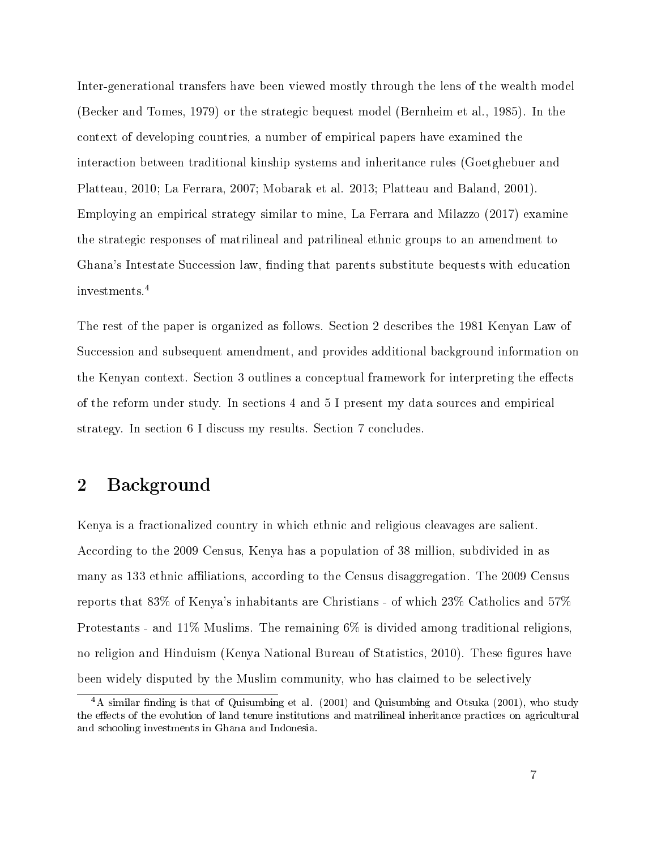Inter-generational transfers have been viewed mostly through the lens of the wealth model (Becker and Tomes, 1979) or the strategic bequest model (Bernheim et al., 1985). In the context of developing countries, a number of empirical papers have examined the interaction between traditional kinship systems and inheritance rules (Goetghebuer and Platteau, 2010; La Ferrara, 2007; Mobarak et al. 2013; Platteau and Baland, 2001). Employing an empirical strategy similar to mine, La Ferrara and Milazzo (2017) examine the strategic responses of matrilineal and patrilineal ethnic groups to an amendment to Ghana's Intestate Succession law, finding that parents substitute bequests with education investments.<sup>4</sup>

The rest of the paper is organized as follows. Section 2 describes the 1981 Kenyan Law of Succession and subsequent amendment, and provides additional background information on the Kenyan context. Section 3 outlines a conceptual framework for interpreting the effects of the reform under study. In sections 4 and 5 I present my data sources and empirical strategy. In section 6 I discuss my results. Section 7 concludes.

# 2 Background

Kenya is a fractionalized country in which ethnic and religious cleavages are salient. According to the 2009 Census, Kenya has a population of 38 million, subdivided in as many as 133 ethnic affiliations, according to the Census disaggregation. The 2009 Census reports that 83% of Kenya's inhabitants are Christians - of which 23% Catholics and 57% Protestants - and  $11\%$  Muslims. The remaining  $6\%$  is divided among traditional religions no religion and Hinduism (Kenya National Bureau of Statistics, 2010). These figures have been widely disputed by the Muslim community, who has claimed to be selectively

<sup>&</sup>lt;sup>4</sup>A similar finding is that of Quisumbing et al. (2001) and Quisumbing and Otsuka (2001), who study the effects of the evolution of land tenure institutions and matrilineal inheritance practices on agricultural and schooling investments in Ghana and Indonesia.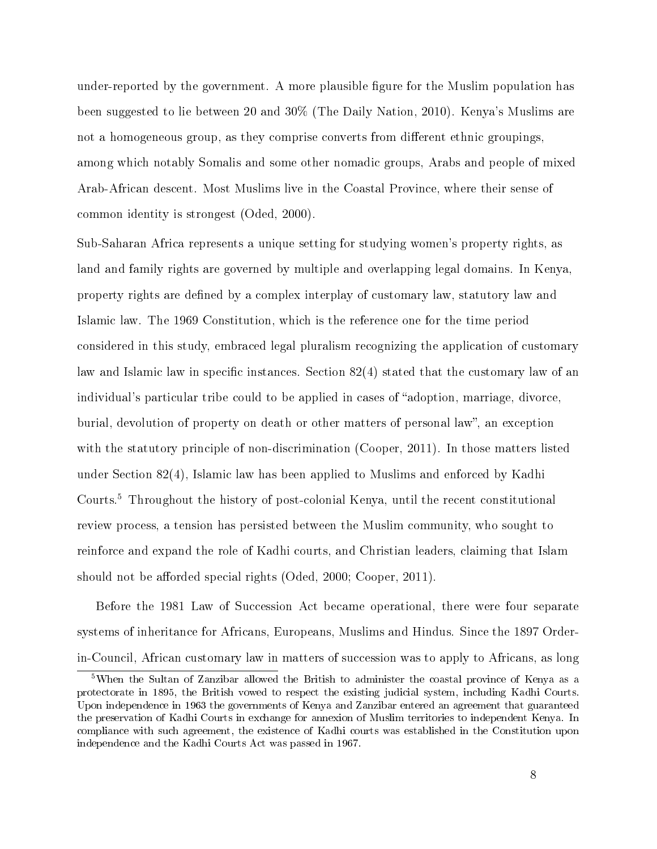under-reported by the government. A more plausible figure for the Muslim population has been suggested to lie between 20 and 30% (The Daily Nation, 2010). Kenya's Muslims are not a homogeneous group, as they comprise converts from different ethnic groupings, among which notably Somalis and some other nomadic groups, Arabs and people of mixed Arab-African descent. Most Muslims live in the Coastal Province, where their sense of common identity is strongest (Oded, 2000).

Sub-Saharan Africa represents a unique setting for studying women's property rights, as land and family rights are governed by multiple and overlapping legal domains. In Kenya, property rights are defined by a complex interplay of customary law, statutory law and Islamic law. The 1969 Constitution, which is the reference one for the time period considered in this study, embraced legal pluralism recognizing the application of customary law and Islamic law in specific instances. Section  $82(4)$  stated that the customary law of an individual's particular tribe could to be applied in cases of "adoption, marriage, divorce, burial, devolution of property on death or other matters of personal law", an exception with the statutory principle of non-discrimination (Cooper, 2011). In those matters listed under Section 82(4), Islamic law has been applied to Muslims and enforced by Kadhi Courts.<sup>5</sup> Throughout the history of post-colonial Kenya, until the recent constitutional review process, a tension has persisted between the Muslim community, who sought to reinforce and expand the role of Kadhi courts, and Christian leaders, claiming that Islam should not be afforded special rights (Oded, 2000; Cooper, 2011).

Before the 1981 Law of Succession Act became operational, there were four separate systems of inheritance for Africans, Europeans, Muslims and Hindus. Since the 1897 Orderin-Council, African customary law in matters of succession was to apply to Africans, as long

<sup>5</sup>When the Sultan of Zanzibar allowed the British to administer the coastal province of Kenya as a protectorate in 1895, the British vowed to respect the existing judicial system, including Kadhi Courts. Upon independence in 1963 the governments of Kenya and Zanzibar entered an agreement that guaranteed the preservation of Kadhi Courts in exchange for annexion of Muslim territories to independent Kenya. In compliance with such agreement, the existence of Kadhi courts was established in the Constitution upon independence and the Kadhi Courts Act was passed in 1967.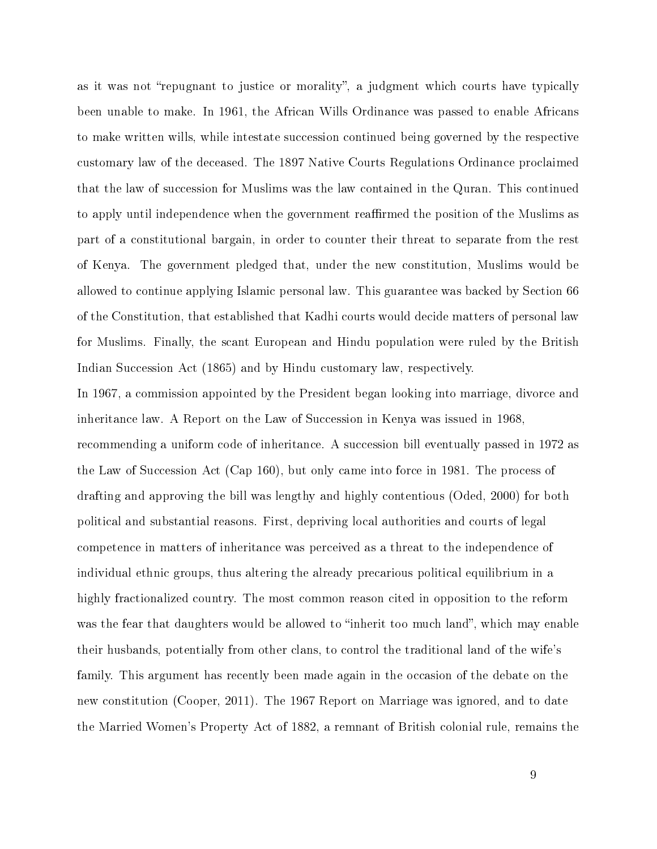as it was not "repugnant to justice or morality", a judgment which courts have typically been unable to make. In 1961, the African Wills Ordinance was passed to enable Africans to make written wills, while intestate succession continued being governed by the respective customary law of the deceased. The 1897 Native Courts Regulations Ordinance proclaimed that the law of succession for Muslims was the law contained in the Quran. This continued to apply until independence when the government reaffirmed the position of the Muslims as part of a constitutional bargain, in order to counter their threat to separate from the rest of Kenya. The government pledged that, under the new constitution, Muslims would be allowed to continue applying Islamic personal law. This guarantee was backed by Section 66 of the Constitution, that established that Kadhi courts would decide matters of personal law for Muslims. Finally, the scant European and Hindu population were ruled by the British Indian Succession Act (1865) and by Hindu customary law, respectively.

In 1967, a commission appointed by the President began looking into marriage, divorce and inheritance law. A Report on the Law of Succession in Kenya was issued in 1968, recommending a uniform code of inheritance. A succession bill eventually passed in 1972 as the Law of Succession Act (Cap 160), but only came into force in 1981. The process of drafting and approving the bill was lengthy and highly contentious (Oded, 2000) for both political and substantial reasons. First, depriving local authorities and courts of legal competence in matters of inheritance was perceived as a threat to the independence of individual ethnic groups, thus altering the already precarious political equilibrium in a highly fractionalized country. The most common reason cited in opposition to the reform was the fear that daughters would be allowed to "inherit too much land", which may enable their husbands, potentially from other clans, to control the traditional land of the wife's family. This argument has recently been made again in the occasion of the debate on the new constitution (Cooper, 2011). The 1967 Report on Marriage was ignored, and to date the Married Women's Property Act of 1882, a remnant of British colonial rule, remains the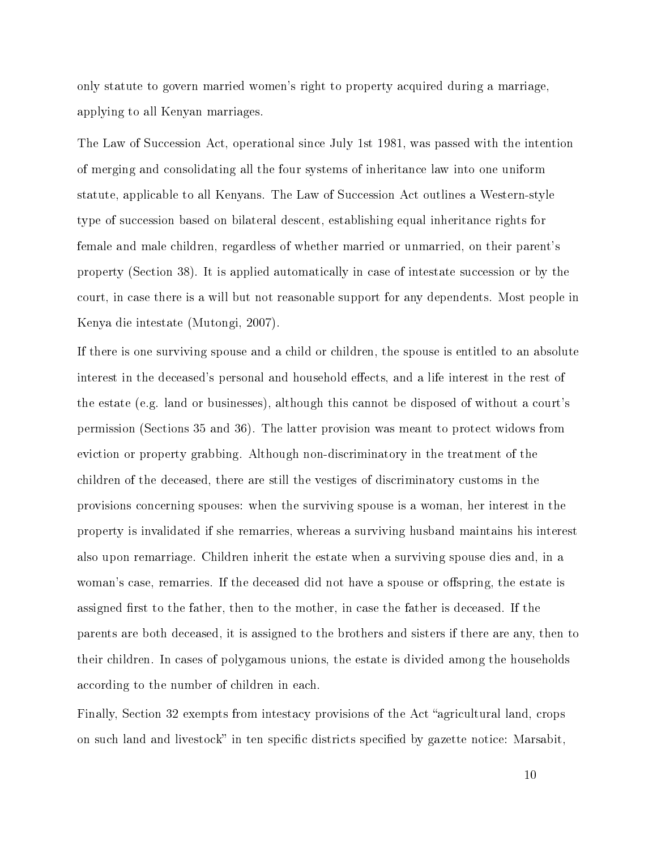only statute to govern married women's right to property acquired during a marriage, applying to all Kenyan marriages.

The Law of Succession Act, operational since July 1st 1981, was passed with the intention of merging and consolidating all the four systems of inheritance law into one uniform statute, applicable to all Kenyans. The Law of Succession Act outlines a Western-style type of succession based on bilateral descent, establishing equal inheritance rights for female and male children, regardless of whether married or unmarried, on their parent's property (Section 38). It is applied automatically in case of intestate succession or by the court, in case there is a will but not reasonable support for any dependents. Most people in Kenya die intestate (Mutongi, 2007).

If there is one surviving spouse and a child or children, the spouse is entitled to an absolute interest in the deceased's personal and household effects, and a life interest in the rest of the estate (e.g. land or businesses), although this cannot be disposed of without a court's permission (Sections 35 and 36). The latter provision was meant to protect widows from eviction or property grabbing. Although non-discriminatory in the treatment of the children of the deceased, there are still the vestiges of discriminatory customs in the provisions concerning spouses: when the surviving spouse is a woman, her interest in the property is invalidated if she remarries, whereas a surviving husband maintains his interest also upon remarriage. Children inherit the estate when a surviving spouse dies and, in a woman's case, remarries. If the deceased did not have a spouse or offspring, the estate is assigned first to the father, then to the mother, in case the father is deceased. If the parents are both deceased, it is assigned to the brothers and sisters if there are any, then to their children. In cases of polygamous unions, the estate is divided among the households according to the number of children in each.

Finally, Section 32 exempts from intestacy provisions of the Act "agricultural land, crops" on such land and livestock" in ten specific districts specified by gazette notice: Marsabit,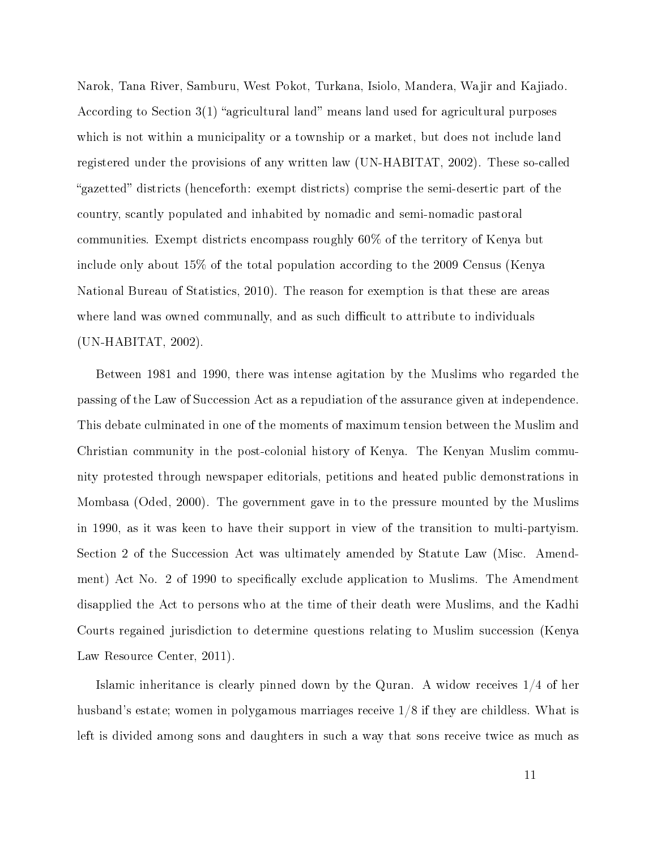Narok, Tana River, Samburu, West Pokot, Turkana, Isiolo, Mandera, Wajir and Kajiado. According to Section  $3(1)$  "agricultural land" means land used for agricultural purposes which is not within a municipality or a township or a market, but does not include land registered under the provisions of any written law (UN-HABITAT, 2002). These so-called "gazetted" districts (henceforth: exempt districts) comprise the semi-desertic part of the country, scantly populated and inhabited by nomadic and semi-nomadic pastoral communities. Exempt districts encompass roughly 60% of the territory of Kenya but include only about 15% of the total population according to the 2009 Census (Kenya National Bureau of Statistics, 2010). The reason for exemption is that these are areas where land was owned communally, and as such difficult to attribute to individuals (UN-HABITAT, 2002).

Between 1981 and 1990, there was intense agitation by the Muslims who regarded the passing of the Law of Succession Act as a repudiation of the assurance given at independence. This debate culminated in one of the moments of maximum tension between the Muslim and Christian community in the post-colonial history of Kenya. The Kenyan Muslim community protested through newspaper editorials, petitions and heated public demonstrations in Mombasa (Oded, 2000). The government gave in to the pressure mounted by the Muslims in 1990, as it was keen to have their support in view of the transition to multi-partyism. Section 2 of the Succession Act was ultimately amended by Statute Law (Misc. Amendment) Act No. 2 of 1990 to specifically exclude application to Muslims. The Amendment disapplied the Act to persons who at the time of their death were Muslims, and the Kadhi Courts regained jurisdiction to determine questions relating to Muslim succession (Kenya Law Resource Center, 2011).

Islamic inheritance is clearly pinned down by the Quran. A widow receives 1/4 of her husband's estate; women in polygamous marriages receive 1/8 if they are childless. What is left is divided among sons and daughters in such a way that sons receive twice as much as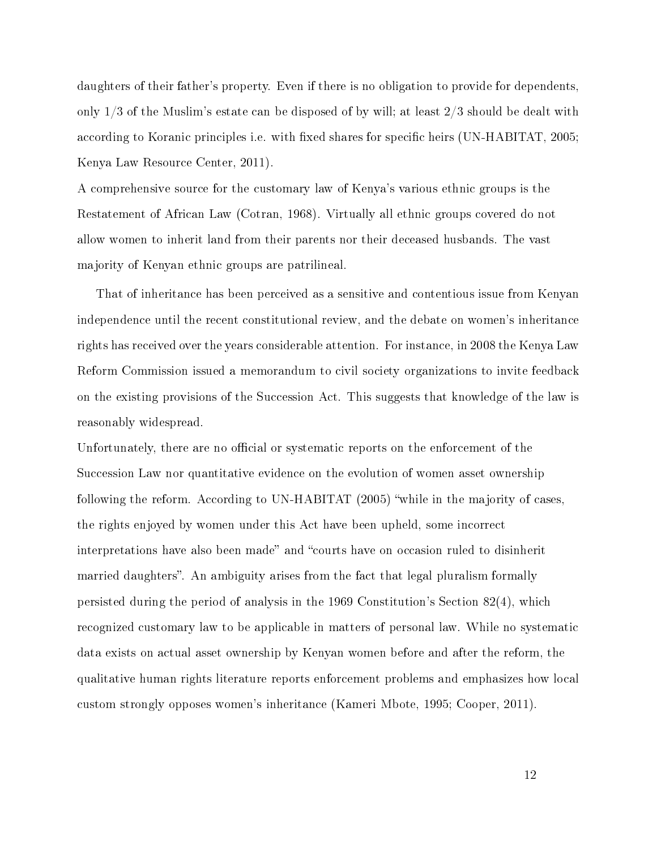daughters of their father's property. Even if there is no obligation to provide for dependents, only  $1/3$  of the Muslim's estate can be disposed of by will; at least  $2/3$  should be dealt with according to Koranic principles i.e. with fixed shares for specific heirs (UN-HABITAT, 2005; Kenya Law Resource Center, 2011).

A comprehensive source for the customary law of Kenya's various ethnic groups is the Restatement of African Law (Cotran, 1968). Virtually all ethnic groups covered do not allow women to inherit land from their parents nor their deceased husbands. The vast majority of Kenyan ethnic groups are patrilineal.

That of inheritance has been perceived as a sensitive and contentious issue from Kenyan independence until the recent constitutional review, and the debate on women's inheritance rights has received over the years considerable attention. For instance, in 2008 the Kenya Law Reform Commission issued a memorandum to civil society organizations to invite feedback on the existing provisions of the Succession Act. This suggests that knowledge of the law is reasonably widespread.

Unfortunately, there are no official or systematic reports on the enforcement of the Succession Law nor quantitative evidence on the evolution of women asset ownership following the reform. According to UN-HABITAT (2005) "while in the majority of cases, the rights enjoyed by women under this Act have been upheld, some incorrect interpretations have also been made" and "courts have on occasion ruled to disinherit married daughters". An ambiguity arises from the fact that legal pluralism formally persisted during the period of analysis in the 1969 Constitution's Section 82(4), which recognized customary law to be applicable in matters of personal law. While no systematic data exists on actual asset ownership by Kenyan women before and after the reform, the qualitative human rights literature reports enforcement problems and emphasizes how local custom strongly opposes women's inheritance (Kameri Mbote, 1995; Cooper, 2011).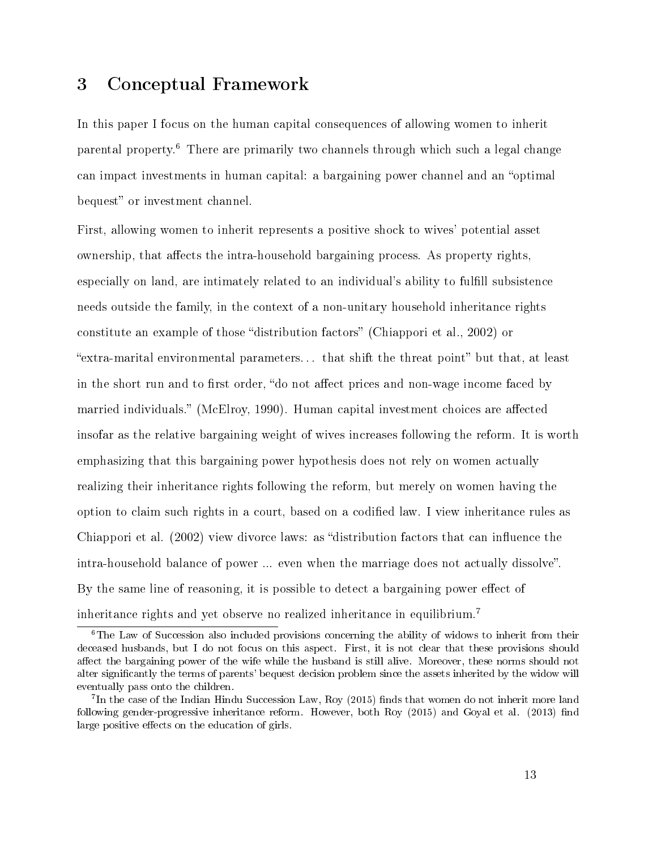# 3 Conceptual Framework

In this paper I focus on the human capital consequences of allowing women to inherit parental property.<sup>6</sup> There are primarily two channels through which such a legal change can impact investments in human capital: a bargaining power channel and an "optimal" bequest" or investment channel.

First, allowing women to inherit represents a positive shock to wives' potential asset ownership, that affects the intra-household bargaining process. As property rights, especially on land, are intimately related to an individual's ability to fulll subsistence needs outside the family, in the context of a non-unitary household inheritance rights constitute an example of those "distribution factors" (Chiappori et al., 2002) or "extra-marital environmental parameters... that shift the threat point" but that, at least in the short run and to first order, "do not affect prices and non-wage income faced by married individuals." (McElroy, 1990). Human capital investment choices are affected insofar as the relative bargaining weight of wives increases following the reform. It is worth emphasizing that this bargaining power hypothesis does not rely on women actually realizing their inheritance rights following the reform, but merely on women having the option to claim such rights in a court, based on a codified law. I view inheritance rules as Chiappori et al.  $(2002)$  view divorce laws: as "distribution factors that can influence the intra-household balance of power ... even when the marriage does not actually dissolve". By the same line of reasoning, it is possible to detect a bargaining power effect of inheritance rights and yet observe no realized inheritance in equilibrium.<sup>7</sup>

<sup>&</sup>lt;sup>6</sup>The Law of Succession also included provisions concerning the ability of widows to inherit from their deceased husbands, but I do not focus on this aspect. First, it is not clear that these provisions should affect the bargaining power of the wife while the husband is still alive. Moreover, these norms should not alter signicantly the terms of parents' bequest decision problem since the assets inherited by the widow will eventually pass onto the children.

<sup>&</sup>lt;sup>7</sup>In the case of the Indian Hindu Succession Law, Roy (2015) finds that women do not inherit more land following gender-progressive inheritance reform. However, both Roy (2015) and Goyal et al. (2013) find large positive effects on the education of girls.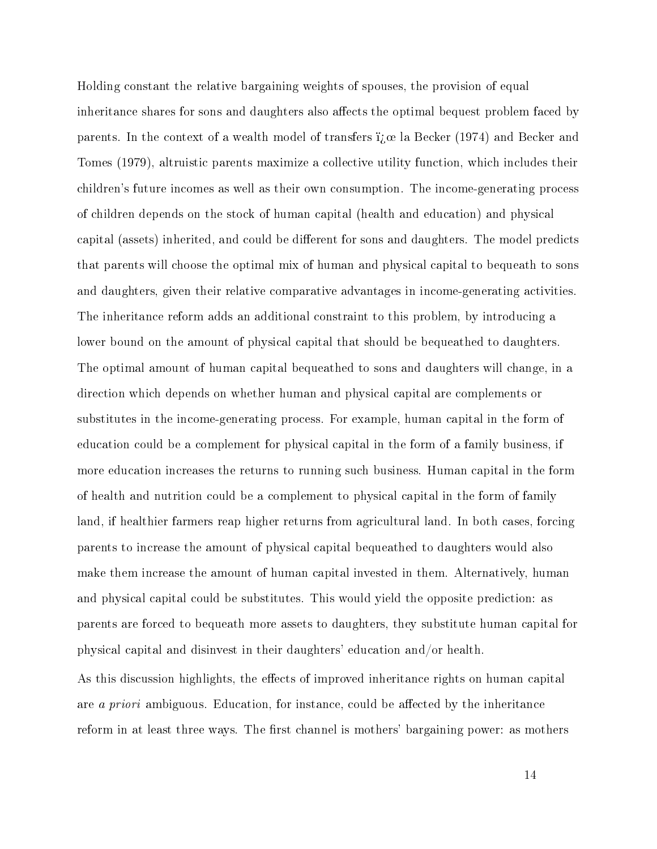Holding constant the relative bargaining weights of spouses, the provision of equal inheritance shares for sons and daughters also affects the optimal bequest problem faced by parents. In the context of a wealth model of transfers  $\ddot{i}$ ;  $\alpha$  la Becker (1974) and Becker and Tomes (1979), altruistic parents maximize a collective utility function, which includes their children's future incomes as well as their own consumption. The income-generating process of children depends on the stock of human capital (health and education) and physical capital (assets) inherited, and could be different for sons and daughters. The model predicts that parents will choose the optimal mix of human and physical capital to bequeath to sons and daughters, given their relative comparative advantages in income-generating activities. The inheritance reform adds an additional constraint to this problem, by introducing a lower bound on the amount of physical capital that should be bequeathed to daughters. The optimal amount of human capital bequeathed to sons and daughters will change, in a direction which depends on whether human and physical capital are complements or substitutes in the income-generating process. For example, human capital in the form of education could be a complement for physical capital in the form of a family business, if more education increases the returns to running such business. Human capital in the form of health and nutrition could be a complement to physical capital in the form of family land, if healthier farmers reap higher returns from agricultural land. In both cases, forcing parents to increase the amount of physical capital bequeathed to daughters would also make them increase the amount of human capital invested in them. Alternatively, human and physical capital could be substitutes. This would yield the opposite prediction: as parents are forced to bequeath more assets to daughters, they substitute human capital for physical capital and disinvest in their daughters' education and/or health.

As this discussion highlights, the effects of improved inheritance rights on human capital are *a priori* ambiguous. Education, for instance, could be affected by the inheritance reform in at least three ways. The first channel is mothers' bargaining power: as mothers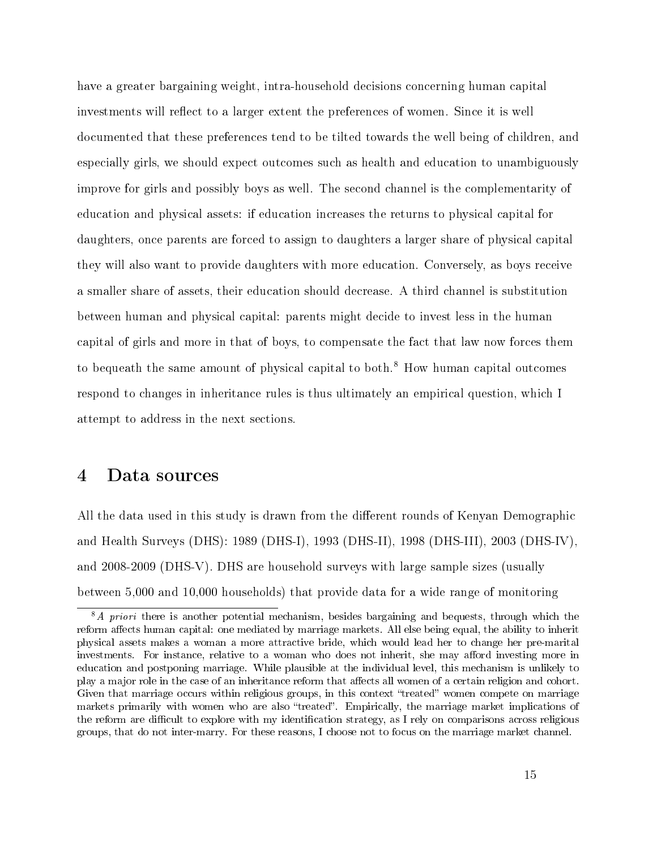have a greater bargaining weight, intra-household decisions concerning human capital investments will reflect to a larger extent the preferences of women. Since it is well documented that these preferences tend to be tilted towards the well being of children, and especially girls, we should expect outcomes such as health and education to unambiguously improve for girls and possibly boys as well. The second channel is the complementarity of education and physical assets: if education increases the returns to physical capital for daughters, once parents are forced to assign to daughters a larger share of physical capital they will also want to provide daughters with more education. Conversely, as boys receive a smaller share of assets, their education should decrease. A third channel is substitution between human and physical capital: parents might decide to invest less in the human capital of girls and more in that of boys, to compensate the fact that law now forces them to bequeath the same amount of physical capital to both.<sup>8</sup> How human capital outcomes respond to changes in inheritance rules is thus ultimately an empirical question, which I attempt to address in the next sections.

# 4 Data sources

All the data used in this study is drawn from the different rounds of Kenyan Demographic and Health Surveys (DHS): 1989 (DHS-I), 1993 (DHS-II), 1998 (DHS-III), 2003 (DHS-IV), and 2008-2009 (DHS-V). DHS are household surveys with large sample sizes (usually between 5,000 and 10,000 households) that provide data for a wide range of monitoring

 $8A$  priori there is another potential mechanism, besides bargaining and bequests, through which the reform affects human capital: one mediated by marriage markets. All else being equal, the ability to inherit physical assets makes a woman a more attractive bride, which would lead her to change her pre-marital investments. For instance, relative to a woman who does not inherit, she may afford investing more in education and postponing marriage. While plausible at the individual level, this mechanism is unlikely to play a major role in the case of an inheritance reform that affects all women of a certain religion and cohort. Given that marriage occurs within religious groups, in this context "treated" women compete on marriage markets primarily with women who are also "treated". Empirically, the marriage market implications of the reform are difficult to explore with my identification strategy, as I rely on comparisons across religious groups, that do not inter-marry. For these reasons, I choose not to focus on the marriage market channel.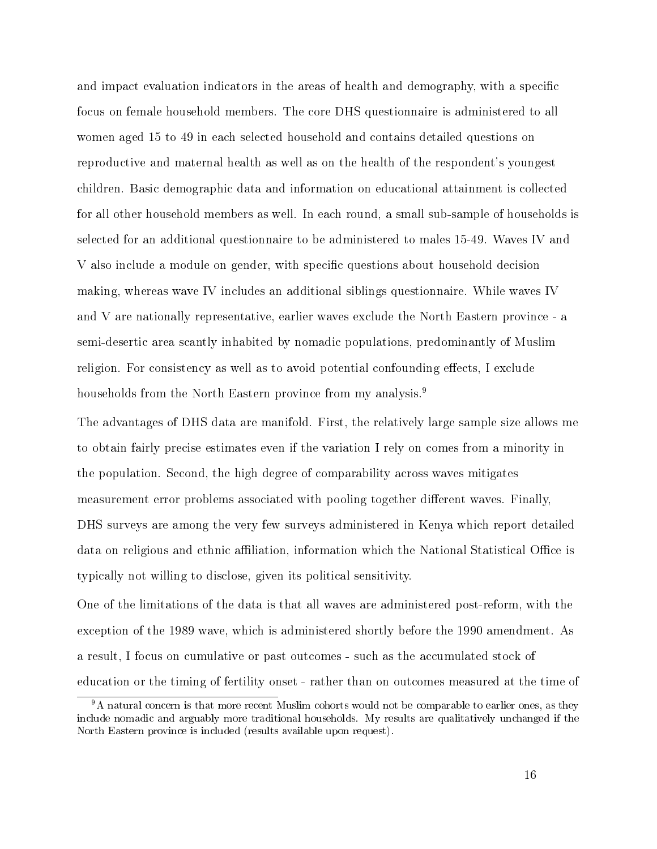and impact evaluation indicators in the areas of health and demography, with a specific focus on female household members. The core DHS questionnaire is administered to all women aged 15 to 49 in each selected household and contains detailed questions on reproductive and maternal health as well as on the health of the respondent's youngest children. Basic demographic data and information on educational attainment is collected for all other household members as well. In each round, a small sub-sample of households is selected for an additional questionnaire to be administered to males 15-49. Waves IV and V also include a module on gender, with specific questions about household decision making, whereas wave IV includes an additional siblings questionnaire. While waves IV and V are nationally representative, earlier waves exclude the North Eastern province - a semi-desertic area scantly inhabited by nomadic populations, predominantly of Muslim religion. For consistency as well as to avoid potential confounding effects, I exclude households from the North Eastern province from my analysis.<sup>9</sup>

The advantages of DHS data are manifold. First, the relatively large sample size allows me to obtain fairly precise estimates even if the variation I rely on comes from a minority in the population. Second, the high degree of comparability across waves mitigates measurement error problems associated with pooling together different waves. Finally, DHS surveys are among the very few surveys administered in Kenya which report detailed data on religious and ethnic affiliation, information which the National Statistical Office is typically not willing to disclose, given its political sensitivity.

One of the limitations of the data is that all waves are administered post-reform, with the exception of the 1989 wave, which is administered shortly before the 1990 amendment. As a result, I focus on cumulative or past outcomes - such as the accumulated stock of education or the timing of fertility onset - rather than on outcomes measured at the time of

<sup>&</sup>lt;sup>9</sup>A natural concern is that more recent Muslim cohorts would not be comparable to earlier ones, as they include nomadic and arguably more traditional households. My results are qualitatively unchanged if the North Eastern province is included (results available upon request).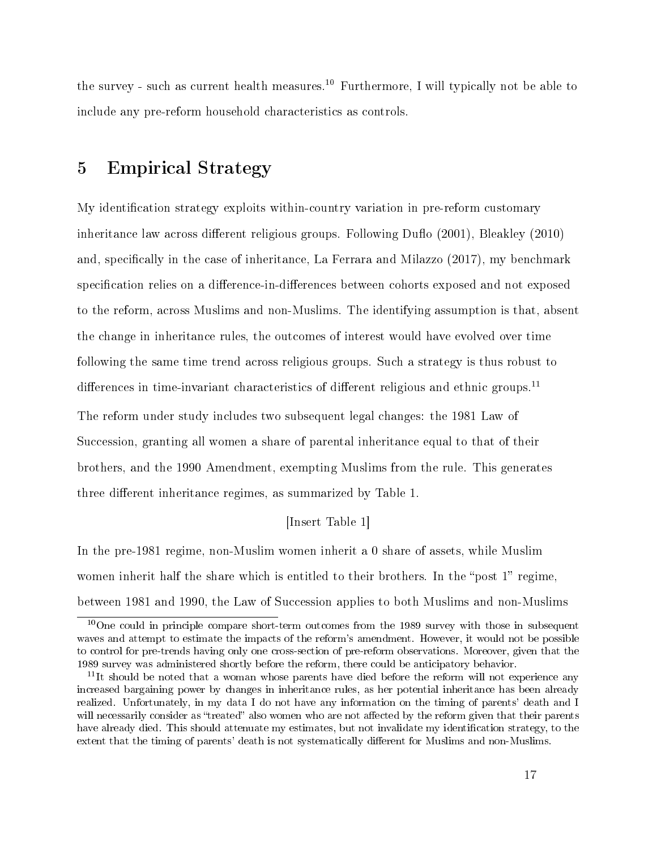the survey - such as current health measures.<sup>10</sup> Furthermore, I will typically not be able to include any pre-reform household characteristics as controls.

# 5 Empirical Strategy

My identication strategy exploits within-country variation in pre-reform customary inheritance law across different religious groups. Following Duflo (2001), Bleakley (2010) and, specifically in the case of inheritance, La Ferrara and Milazzo  $(2017)$ , my benchmark specification relies on a difference-in-differences between cohorts exposed and not exposed to the reform, across Muslims and non-Muslims. The identifying assumption is that, absent the change in inheritance rules, the outcomes of interest would have evolved over time following the same time trend across religious groups. Such a strategy is thus robust to differences in time-invariant characteristics of different religious and ethnic groups.<sup>11</sup> The reform under study includes two subsequent legal changes: the 1981 Law of Succession, granting all women a share of parental inheritance equal to that of their brothers, and the 1990 Amendment, exempting Muslims from the rule. This generates three different inheritance regimes, as summarized by Table 1.

#### [Insert Table 1]

In the pre-1981 regime, non-Muslim women inherit a 0 share of assets, while Muslim women inherit half the share which is entitled to their brothers. In the "post  $1$ " regime, between 1981 and 1990, the Law of Succession applies to both Muslims and non-Muslims

<sup>&</sup>lt;sup>10</sup>One could in principle compare short-term outcomes from the 1989 survey with those in subsequent waves and attempt to estimate the impacts of the reform's amendment. However, it would not be possible to control for pre-trends having only one cross-section of pre-reform observations. Moreover, given that the 1989 survey was administered shortly before the reform, there could be anticipatory behavior.

 $11$ It should be noted that a woman whose parents have died before the reform will not experience any increased bargaining power by changes in inheritance rules, as her potential inheritance has been already realized. Unfortunately, in my data I do not have any information on the timing of parents' death and I will necessarily consider as "treated" also women who are not affected by the reform given that their parents have already died. This should attenuate my estimates, but not invalidate my identification strategy, to the extent that the timing of parents' death is not systematically different for Muslims and non-Muslims.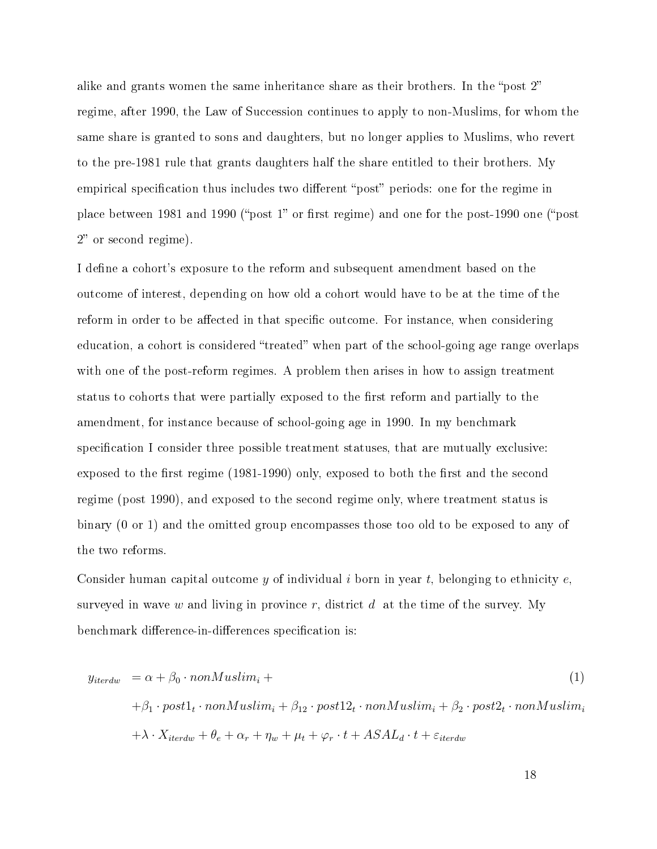alike and grants women the same inheritance share as their brothers. In the "post  $2$ " regime, after 1990, the Law of Succession continues to apply to non-Muslims, for whom the same share is granted to sons and daughters, but no longer applies to Muslims, who revert to the pre-1981 rule that grants daughters half the share entitled to their brothers. My empirical specification thus includes two different "post" periods: one for the regime in place between 1981 and 1990 ("post 1" or first regime) and one for the post-1990 one ("post  $2"$  or second regime).

I define a cohort's exposure to the reform and subsequent amendment based on the outcome of interest, depending on how old a cohort would have to be at the time of the reform in order to be affected in that specific outcome. For instance, when considering education, a cohort is considered "treated" when part of the school-going age range overlaps with one of the post-reform regimes. A problem then arises in how to assign treatment status to cohorts that were partially exposed to the first reform and partially to the amendment, for instance because of school-going age in 1990. In my benchmark specification I consider three possible treatment statuses, that are mutually exclusive: exposed to the first regime (1981-1990) only, exposed to both the first and the second regime (post 1990), and exposed to the second regime only, where treatment status is binary (0 or 1) and the omitted group encompasses those too old to be exposed to any of the two reforms.

Consider human capital outcome y of individual i born in year t, belonging to ethnicity  $e$ , surveyed in wave w and living in province r, district d at the time of the survey. My benchmark difference-in-differences specification is:

$$
y_{iterdw} = \alpha + \beta_0 \cdot nonMuslim_i ++ \beta_1 \cdot post1_t \cdot nonMuslim_i + \beta_{12} \cdot post12_t \cdot nonMuslim_i + \beta_2 \cdot post2_t \cdot nonMuslim_i+ \lambda \cdot X_{iterdw} + \theta_e + \alpha_r + \eta_w + \mu_t + \varphi_r \cdot t + ASAL_d \cdot t + \varepsilon_{iterdw}
$$
\n(1)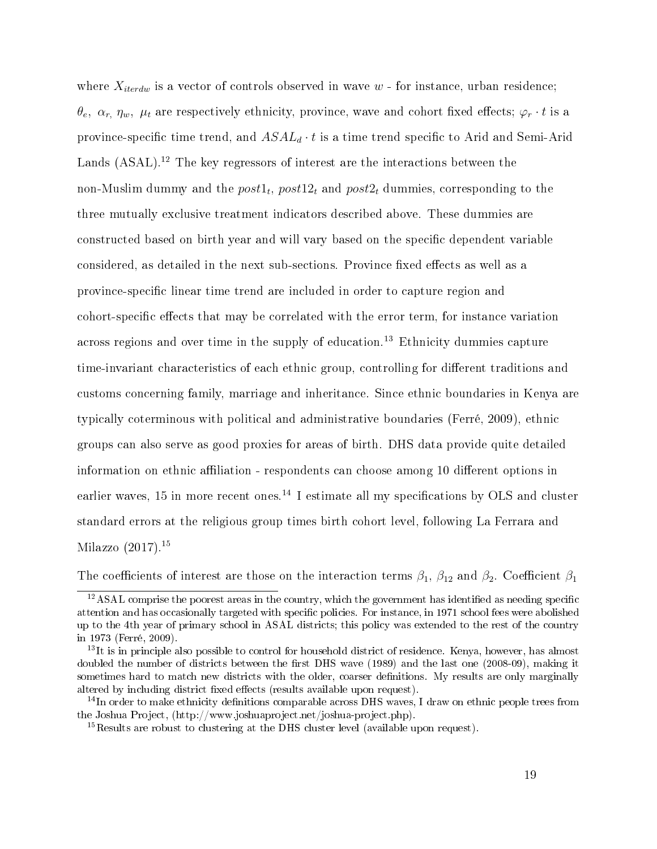where  $X_{iterdw}$  is a vector of controls observed in wave w - for instance, urban residence;  $\theta_e$ ,  $\alpha_r$ ,  $\eta_w$ ,  $\mu_t$  are respectively ethnicity, province, wave and cohort fixed effects;  $\varphi_r \cdot t$  is a province-specific time trend, and  $ASAL_d \cdot t$  is a time trend specific to Arid and Semi-Arid Lands  $(ASAL).<sup>12</sup>$  The key regressors of interest are the interactions between the non-Muslim dummy and the  $post1_t$ ,  $post12_t$  and  $post2_t$  dummies, corresponding to the three mutually exclusive treatment indicators described above. These dummies are constructed based on birth year and will vary based on the specific dependent variable considered, as detailed in the next sub-sections. Province fixed effects as well as a province-specic linear time trend are included in order to capture region and cohort-specific effects that may be correlated with the error term, for instance variation across regions and over time in the supply of education.<sup>13</sup> Ethnicity dummies capture time-invariant characteristics of each ethnic group, controlling for different traditions and customs concerning family, marriage and inheritance. Since ethnic boundaries in Kenya are typically coterminous with political and administrative boundaries (Ferré, 2009), ethnic groups can also serve as good proxies for areas of birth. DHS data provide quite detailed information on ethnic affiliation - respondents can choose among 10 different options in earlier waves, 15 in more recent ones.<sup>14</sup> I estimate all my specifications by OLS and cluster standard errors at the religious group times birth cohort level, following La Ferrara and Milazzo (2017).<sup>15</sup>

The coefficients of interest are those on the interaction terms  $\beta_1$ ,  $\beta_{12}$  and  $\beta_2$ . Coefficient  $\beta_1$ 

 $12$ ASAL comprise the poorest areas in the country, which the government has identified as needing specific attention and has occasionally targeted with specific policies. For instance, in 1971 school fees were abolished up to the 4th year of primary school in ASAL districts; this policy was extended to the rest of the country in 1973 (Ferré, 2009).

 $13$ It is in principle also possible to control for household district of residence. Kenya, however, has almost doubled the number of districts between the first DHS wave (1989) and the last one (2008-09), making it sometimes hard to match new districts with the older, coarser definitions. My results are only marginally altered by including district fixed effects (results available upon request).

 $14$ In order to make ethnicity definitions comparable across DHS waves, I draw on ethnic people trees from the Joshua Project, (http://www.joshuaproject.net/joshua-project.php).

<sup>&</sup>lt;sup>15</sup>Results are robust to clustering at the DHS cluster level (available upon request).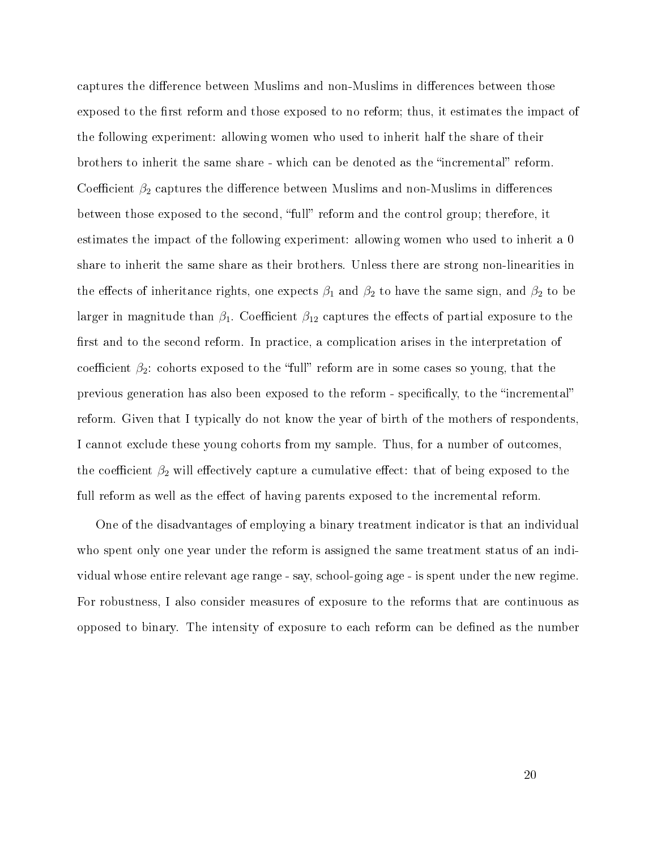captures the difference between Muslims and non-Muslims in differences between those exposed to the first reform and those exposed to no reform; thus, it estimates the impact of the following experiment: allowing women who used to inherit half the share of their brothers to inherit the same share - which can be denoted as the "incremental" reform. Coefficient  $\beta_2$  captures the difference between Muslims and non-Muslims in differences between those exposed to the second, "full" reform and the control group; therefore, it estimates the impact of the following experiment: allowing women who used to inherit a 0 share to inherit the same share as their brothers. Unless there are strong non-linearities in the effects of inheritance rights, one expects  $\beta_1$  and  $\beta_2$  to have the same sign, and  $\beta_2$  to be larger in magnitude than  $\beta_1$ . Coefficient  $\beta_{12}$  captures the effects of partial exposure to the first and to the second reform. In practice, a complication arises in the interpretation of coefficient  $\beta_2$ : cohorts exposed to the "full" reform are in some cases so young, that the previous generation has also been exposed to the reform - specifically, to the "incremental" reform. Given that I typically do not know the year of birth of the mothers of respondents, I cannot exclude these young cohorts from my sample. Thus, for a number of outcomes, the coefficient  $\beta_2$  will effectively capture a cumulative effect: that of being exposed to the full reform as well as the effect of having parents exposed to the incremental reform.

One of the disadvantages of employing a binary treatment indicator is that an individual who spent only one year under the reform is assigned the same treatment status of an individual whose entire relevant age range - say, school-going age - is spent under the new regime. For robustness, I also consider measures of exposure to the reforms that are continuous as opposed to binary. The intensity of exposure to each reform can be dened as the number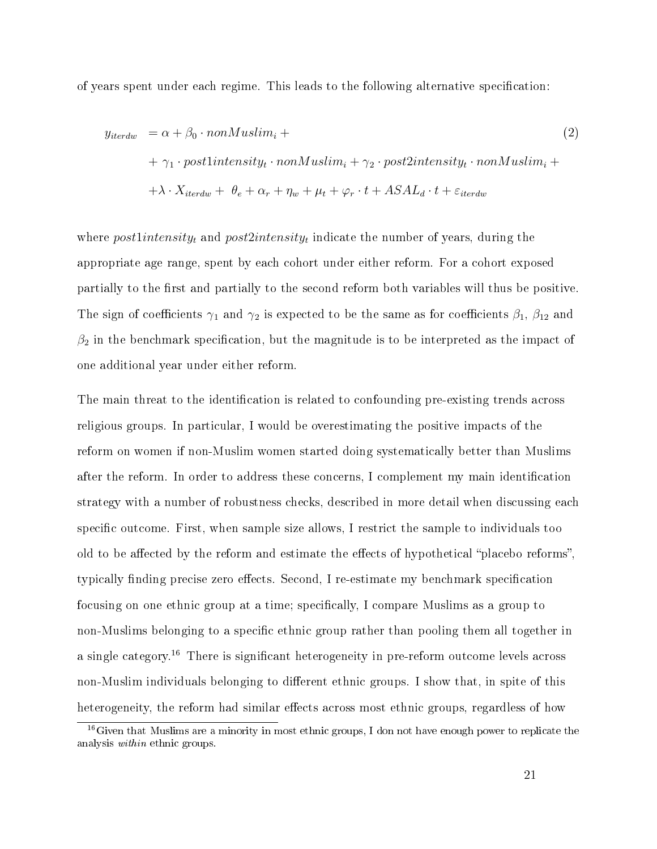of years spent under each regime. This leads to the following alternative specification:

$$
y_{iterdw} = \alpha + \beta_0 \cdot nonMuslim_i ++ \gamma_1 \cdot post1intensity_t \cdot nonMuslim_i + \gamma_2 \cdot post2intensity_t \cdot nonMuslim_i ++ \lambda \cdot X_{iterdw} + \theta_e + \alpha_r + \eta_w + \mu_t + \varphi_r \cdot t + ASAL_d \cdot t + \varepsilon_{iterdw}
$$
\n(2)

where  $postlinesity_t$  and  $post2intensity_t$  indicate the number of years, during the appropriate age range, spent by each cohort under either reform. For a cohort exposed partially to the first and partially to the second reform both variables will thus be positive. The sign of coefficients  $\gamma_1$  and  $\gamma_2$  is expected to be the same as for coefficients  $\beta_1$ ,  $\beta_{12}$  and  $\beta_2$  in the benchmark specification, but the magnitude is to be interpreted as the impact of one additional year under either reform.

The main threat to the identification is related to confounding pre-existing trends across religious groups. In particular, I would be overestimating the positive impacts of the reform on women if non-Muslim women started doing systematically better than Muslims after the reform. In order to address these concerns, I complement my main identification strategy with a number of robustness checks, described in more detail when discussing each specific outcome. First, when sample size allows, I restrict the sample to individuals too old to be affected by the reform and estimate the effects of hypothetical "placebo reforms", typically finding precise zero effects. Second, I re-estimate my benchmark specification focusing on one ethnic group at a time; specifically, I compare Muslims as a group to non-Muslims belonging to a specific ethnic group rather than pooling them all together in a single category.<sup>16</sup> There is significant heterogeneity in pre-reform outcome levels across non-Muslim individuals belonging to different ethnic groups. I show that, in spite of this heterogeneity, the reform had similar effects across most ethnic groups, regardless of how

 $16$ Given that Muslims are a minority in most ethnic groups, I don not have enough power to replicate the analysis within ethnic groups.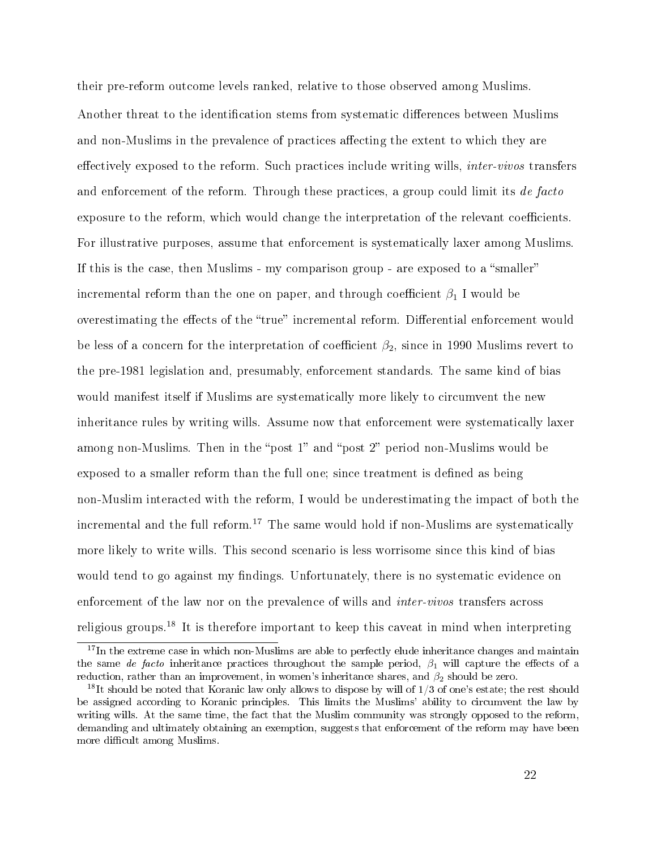their pre-reform outcome levels ranked, relative to those observed among Muslims. Another threat to the identification stems from systematic differences between Muslims and non-Muslims in the prevalence of practices affecting the extent to which they are effectively exposed to the reform. Such practices include writing wills, *inter-vivos* transfers and enforcement of the reform. Through these practices, a group could limit its de facto exposure to the reform, which would change the interpretation of the relevant coefficients. For illustrative purposes, assume that enforcement is systematically laxer among Muslims. If this is the case, then Muslims - my comparison group - are exposed to a "smaller" incremental reform than the one on paper, and through coefficient  $\beta_1$  I would be overestimating the effects of the "true" incremental reform. Differential enforcement would be less of a concern for the interpretation of coefficient  $\beta_2$ , since in 1990 Muslims revert to the pre-1981 legislation and, presumably, enforcement standards. The same kind of bias would manifest itself if Muslims are systematically more likely to circumvent the new inheritance rules by writing wills. Assume now that enforcement were systematically laxer among non-Muslims. Then in the "post 1" and "post 2" period non-Muslims would be exposed to a smaller reform than the full one; since treatment is defined as being non-Muslim interacted with the reform, I would be underestimating the impact of both the incremental and the full reform.<sup>17</sup> The same would hold if non-Muslims are systematically more likely to write wills. This second scenario is less worrisome since this kind of bias would tend to go against my findings. Unfortunately, there is no systematic evidence on enforcement of the law nor on the prevalence of wills and inter-vivos transfers across religious groups.<sup>18</sup> It is therefore important to keep this caveat in mind when interpreting

 $17$ In the extreme case in which non-Muslims are able to perfectly elude inheritance changes and maintain the same de facto inheritance practices throughout the sample period,  $\beta_1$  will capture the effects of a reduction, rather than an improvement, in women's inheritance shares, and  $\beta_2$  should be zero.

<sup>&</sup>lt;sup>18</sup>It should be noted that Koranic law only allows to dispose by will of  $1/3$  of one's estate; the rest should be assigned according to Koranic principles. This limits the Muslims' ability to circumvent the law by writing wills. At the same time, the fact that the Muslim community was strongly opposed to the reform, demanding and ultimately obtaining an exemption, suggests that enforcement of the reform may have been more difficult among Muslims.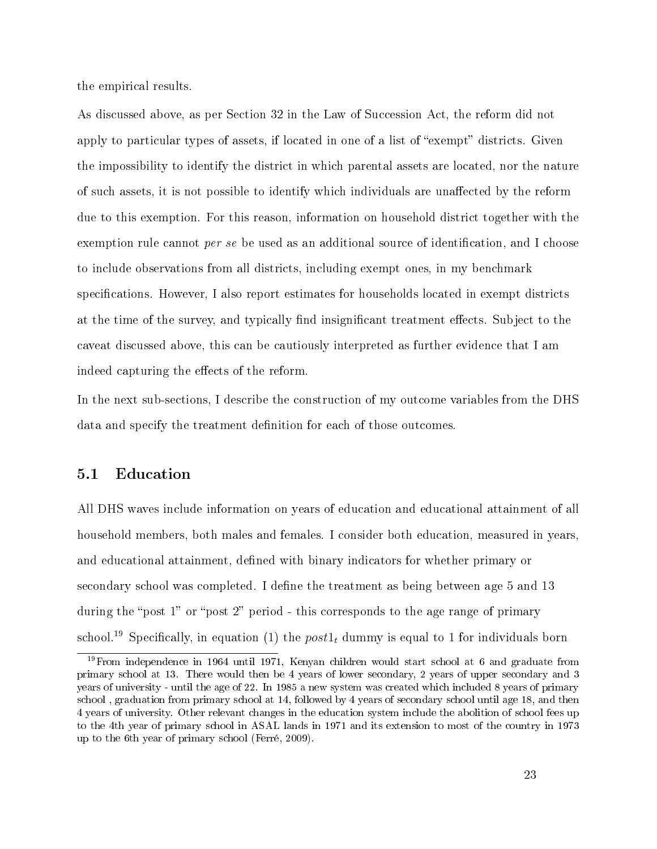the empirical results.

As discussed above, as per Section 32 in the Law of Succession Act, the reform did not apply to particular types of assets, if located in one of a list of "exempt" districts. Given the impossibility to identify the district in which parental assets are located, nor the nature of such assets, it is not possible to identify which individuals are unaffected by the reform due to this exemption. For this reason, information on household district together with the exemption rule cannot *per se* be used as an additional source of identification, and I choose to include observations from all districts, including exempt ones, in my benchmark specifications. However, I also report estimates for households located in exempt districts at the time of the survey, and typically find insignificant treatment effects. Subject to the caveat discussed above, this can be cautiously interpreted as further evidence that I am indeed capturing the effects of the reform.

In the next sub-sections, I describe the construction of my outcome variables from the DHS data and specify the treatment definition for each of those outcomes.

## 5.1 Education

All DHS waves include information on years of education and educational attainment of all household members, both males and females. I consider both education, measured in years, and educational attainment, defined with binary indicators for whether primary or secondary school was completed. I define the treatment as being between age 5 and 13 during the "post 1" or "post 2" period - this corresponds to the age range of primary school.<sup>19</sup> Specifically, in equation (1) the  $post1_t$  dummy is equal to 1 for individuals born

<sup>&</sup>lt;sup>19</sup>From independence in 1964 until 1971, Kenyan children would start school at 6 and graduate from primary school at 13. There would then be 4 years of lower secondary, 2 years of upper secondary and 3 years of university - until the age of 22. In 1985 a new system was created which included 8 years of primary school , graduation from primary school at 14, followed by 4 years of secondary school until age 18, and then 4 years of university. Other relevant changes in the education system include the abolition of school fees up to the 4th year of primary school in ASAL lands in 1971 and its extension to most of the country in 1973 up to the 6th year of primary school (Ferré, 2009).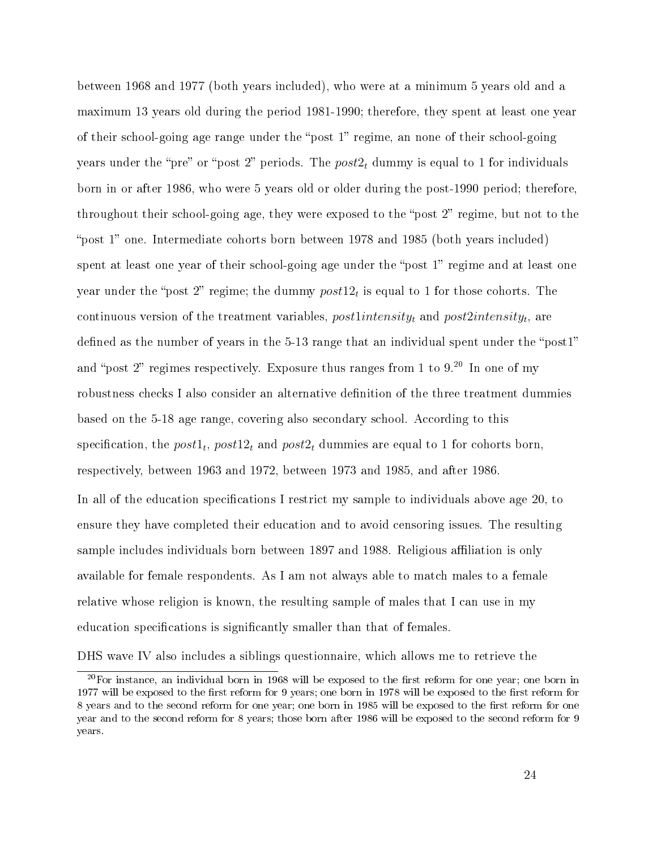between 1968 and 1977 (both years included), who were at a minimum 5 years old and a maximum 13 years old during the period 1981-1990; therefore, they spent at least one year of their school-going age range under the "post 1" regime, an none of their school-going years under the "pre" or "post 2" periods. The  $post2<sub>t</sub>$  dummy is equal to 1 for individuals born in or after 1986, who were 5 years old or older during the post-1990 period; therefore, throughout their school-going age, they were exposed to the "post  $2$ " regime, but not to the "post 1" one. Intermediate cohorts born between 1978 and 1985 (both years included) spent at least one year of their school-going age under the "post 1" regime and at least one year under the "post 2" regime; the dummy  $post12_t$  is equal to 1 for those cohorts. The continuous version of the treatment variables,  $postline isity_t$  and  $post2intensity_t$ , are defined as the number of years in the  $5-13$  range that an individual spent under the "post1" and "post 2" regimes respectively. Exposure thus ranges from 1 to  $9.^{20}$  In one of my robustness checks I also consider an alternative denition of the three treatment dummies based on the 5-18 age range, covering also secondary school. According to this specification, the  $post1_t$ ,  $post12_t$  and  $post2_t$  dummies are equal to 1 for cohorts born, respectively, between 1963 and 1972, between 1973 and 1985, and after 1986. In all of the education specifications I restrict my sample to individuals above age 20, to ensure they have completed their education and to avoid censoring issues. The resulting sample includes individuals born between 1897 and 1988. Religious affiliation is only available for female respondents. As I am not always able to match males to a female relative whose religion is known, the resulting sample of males that I can use in my education specifications is significantly smaller than that of females.

DHS wave IV also includes a siblings questionnaire, which allows me to retrieve the

 $20\,\text{For}$  instance, an individual born in 1968 will be exposed to the first reform for one year; one born in 1977 will be exposed to the first reform for 9 years; one born in 1978 will be exposed to the first reform for 8 years and to the second reform for one year; one born in 1985 will be exposed to the first reform for one year and to the second reform for 8 years; those born after 1986 will be exposed to the second reform for 9 years.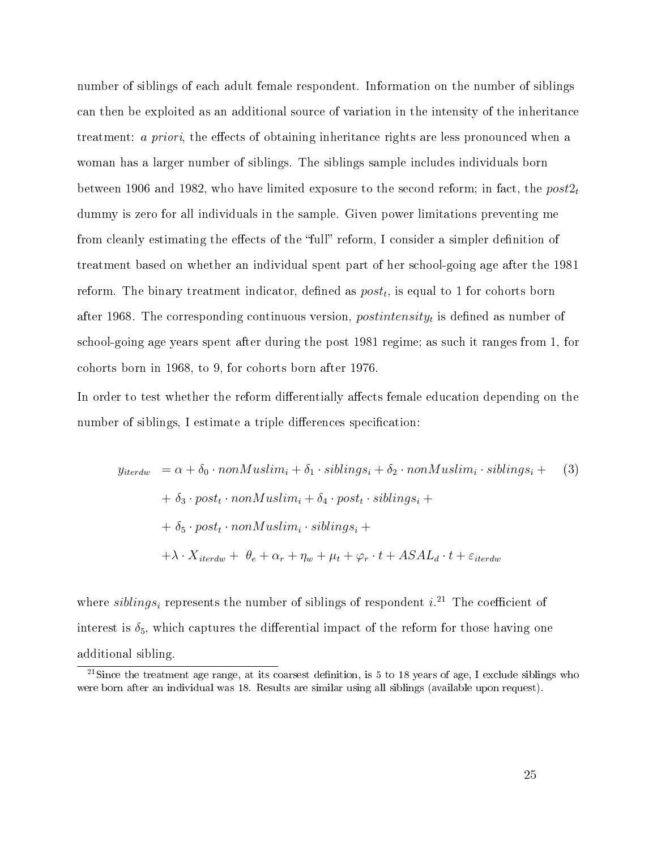number of siblings of each adult female respondent. Information on the number of siblings can then be exploited as an additional source of variation in the intensity of the inheritance treatment: a priori, the effects of obtaining inheritance rights are less pronounced when a woman has a larger number of siblings. The siblings sample includes individuals born between 1906 and 1982, who have limited exposure to the second reform; in fact, the  $post2<sub>t</sub>$ dummy is zero for all individuals in the sample. Given power limitations preventing me from cleanly estimating the effects of the "full" reform, I consider a simpler definition of treatment based on whether an individual spent part of her school-going age after the 1981 reform. The binary treatment indicator, defined as  $post_t$ , is equal to 1 for cohorts born after 1968. The corresponding continuous version,  $postintensity_t$  is defined as number of school-going age years spent after during the post 1981 regime; as such it ranges from 1, for cohorts born in 1968, to 9, for cohorts born after 1976.

In order to test whether the reform differentially affects female education depending on the number of siblings, I estimate a triple differences specification:

$$
y_{iterdw} = \alpha + \delta_0 \cdot nonMuslim_i + \delta_1 \cdot sibling_s + \delta_2 \cdot nonMuslim_i \cdot sibling_s +
$$
  
+  $\delta_3 \cdot post_t \cdot nonMuslim_i + \delta_4 \cdot post_t \cdot sibling_s +$   
+  $\delta_5 \cdot post_t \cdot nonMuslim_i \cdot sibling_s +$   
+  $\lambda \cdot X_{iterdw} + \theta_e + \alpha_r + \eta_w + \mu_t + \varphi_r \cdot t + ASAL_d \cdot t + \varepsilon_{iterdw}$  (3)

where *siblings<sub>i</sub>* represents the number of siblings of respondent  $i^{21}$ . The coefficient of interest is  $\delta_5$ , which captures the differential impact of the reform for those having one additional sibling.

<sup>&</sup>lt;sup>21</sup>Since the treatment age range, at its coarsest definition, is 5 to 18 years of age, I exclude siblings who were born after an individual was 18. Results are similar using all siblings (available upon request).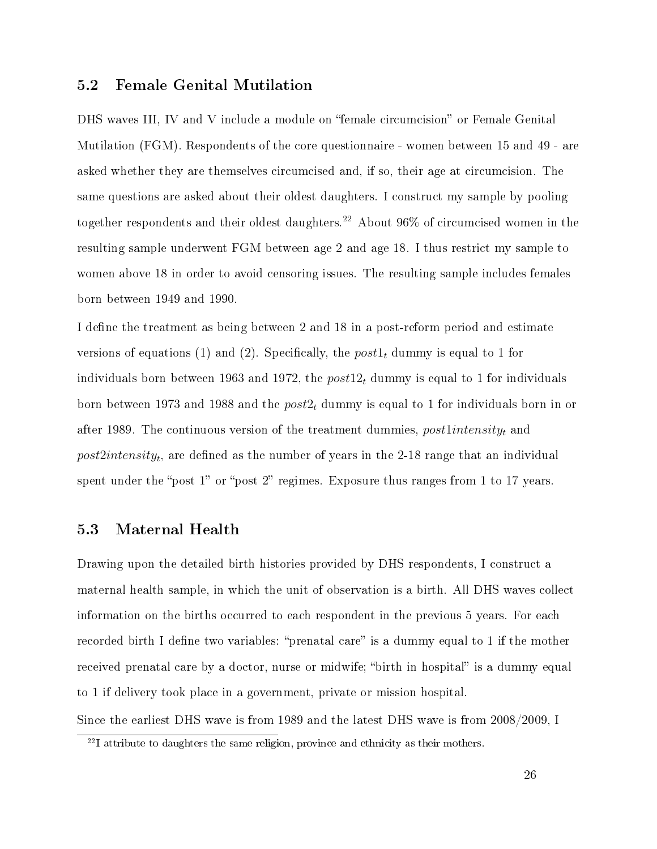## 5.2 Female Genital Mutilation

DHS waves III, IV and V include a module on "female circumcision" or Female Genital Mutilation (FGM). Respondents of the core questionnaire - women between 15 and 49 - are asked whether they are themselves circumcised and, if so, their age at circumcision. The same questions are asked about their oldest daughters. I construct my sample by pooling together respondents and their oldest daughters.<sup>22</sup> About  $96\%$  of circumcised women in the resulting sample underwent FGM between age 2 and age 18. I thus restrict my sample to women above 18 in order to avoid censoring issues. The resulting sample includes females born between 1949 and 1990.

I define the treatment as being between 2 and 18 in a post-reform period and estimate versions of equations (1) and (2). Specifically, the  $post1<sub>t</sub>$  dummy is equal to 1 for individuals born between 1963 and 1972, the  $post12<sub>t</sub>$  dummy is equal to 1 for individuals born between 1973 and 1988 and the  $post2_t$  dummy is equal to 1 for individuals born in or after 1989. The continuous version of the treatment dummies,  $postlinensity_t$  and  $post2intensity_t$ , are defined as the number of years in the 2-18 range that an individual spent under the "post 1" or "post 2" regimes. Exposure thus ranges from 1 to 17 years.

# 5.3 Maternal Health

Drawing upon the detailed birth histories provided by DHS respondents, I construct a maternal health sample, in which the unit of observation is a birth. All DHS waves collect information on the births occurred to each respondent in the previous 5 years. For each recorded birth I define two variables: "prenatal care" is a dummy equal to 1 if the mother received prenatal care by a doctor, nurse or midwife; "birth in hospital" is a dummy equal to 1 if delivery took place in a government, private or mission hospital. Since the earliest DHS wave is from 1989 and the latest DHS wave is from 2008/2009, I

 $^{22}$ I attribute to daughters the same religion, province and ethnicity as their mothers.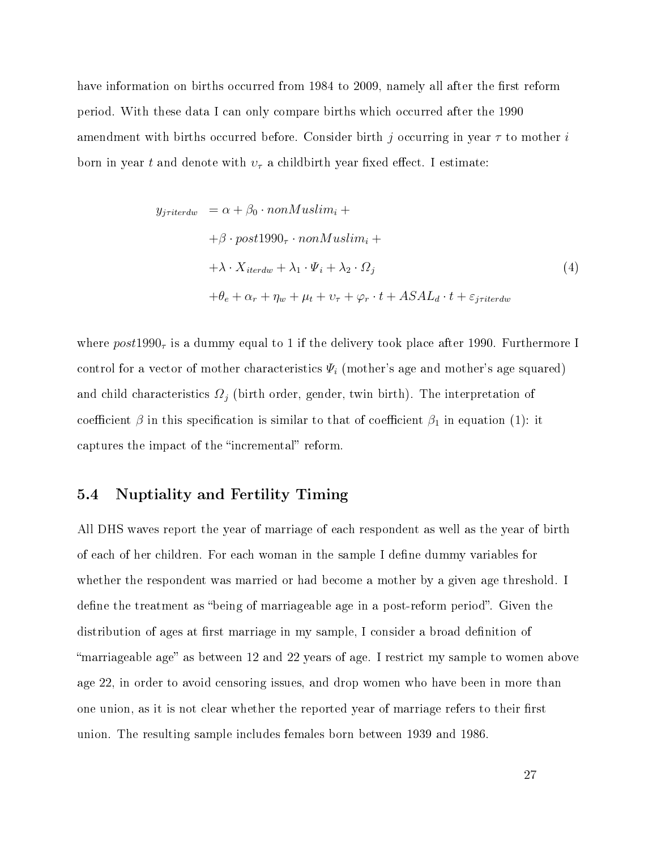have information on births occurred from 1984 to 2009, namely all after the first reform period. With these data I can only compare births which occurred after the 1990 amendment with births occurred before. Consider birth j occurring in year  $\tau$  to mother i born in year t and denote with  $v_{\tau}$  a childbirth year fixed effect. I estimate:

$$
y_{j\tau iterdw} = \alpha + \beta_0 \cdot nonMuslim_i ++ \beta \cdot post1990_{\tau} \cdot nonMuslim_i ++ \lambda \cdot X_{iterdw} + \lambda_1 \cdot \Psi_i + \lambda_2 \cdot \Omega_j+ \theta_e + \alpha_r + \eta_w + \mu_t + \nu_{\tau} + \varphi_r \cdot t + ASAL_d \cdot t + \varepsilon_{j\tau iterdw}
$$
\n(4)

where  $post1990<sub>\tau</sub>$  is a dummy equal to 1 if the delivery took place after 1990. Furthermore I control for a vector of mother characteristics  $\Psi_i$  (mother's age and mother's age squared) and child characteristics  $\Omega_j$  (birth order, gender, twin birth). The interpretation of coefficient  $\beta$  in this specification is similar to that of coefficient  $\beta_1$  in equation (1): it captures the impact of the "incremental" reform.

# 5.4 Nuptiality and Fertility Timing

All DHS waves report the year of marriage of each respondent as well as the year of birth of each of her children. For each woman in the sample I define dummy variables for whether the respondent was married or had become a mother by a given age threshold. I define the treatment as "being of marriageable age in a post-reform period". Given the distribution of ages at first marriage in my sample, I consider a broad definition of "marriageable age" as between 12 and 22 years of age. I restrict my sample to women above age 22, in order to avoid censoring issues, and drop women who have been in more than one union, as it is not clear whether the reported year of marriage refers to their first union. The resulting sample includes females born between 1939 and 1986.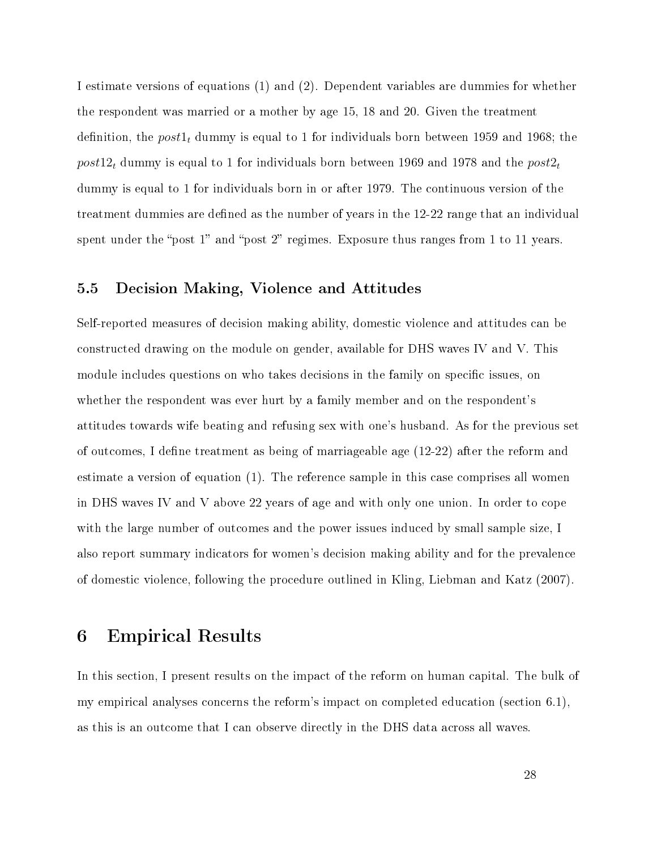I estimate versions of equations (1) and (2). Dependent variables are dummies for whether the respondent was married or a mother by age 15, 18 and 20. Given the treatment definition, the  $post1_t$  dummy is equal to 1 for individuals born between 1959 and 1968; the  $post12<sub>t</sub>$  dummy is equal to 1 for individuals born between 1969 and 1978 and the  $post2<sub>t</sub>$ dummy is equal to 1 for individuals born in or after 1979. The continuous version of the treatment dummies are defined as the number of years in the 12-22 range that an individual spent under the "post 1" and "post 2" regimes. Exposure thus ranges from 1 to 11 years.

# 5.5 Decision Making, Violence and Attitudes

Self-reported measures of decision making ability, domestic violence and attitudes can be constructed drawing on the module on gender, available for DHS waves IV and V. This module includes questions on who takes decisions in the family on specific issues, on whether the respondent was ever hurt by a family member and on the respondent's attitudes towards wife beating and refusing sex with one's husband. As for the previous set of outcomes, I define treatment as being of marriageable age  $(12-22)$  after the reform and estimate a version of equation (1). The reference sample in this case comprises all women in DHS waves IV and V above 22 years of age and with only one union. In order to cope with the large number of outcomes and the power issues induced by small sample size, I also report summary indicators for women's decision making ability and for the prevalence of domestic violence, following the procedure outlined in Kling, Liebman and Katz (2007).

# 6 Empirical Results

In this section, I present results on the impact of the reform on human capital. The bulk of my empirical analyses concerns the reform's impact on completed education (section 6.1), as this is an outcome that I can observe directly in the DHS data across all waves.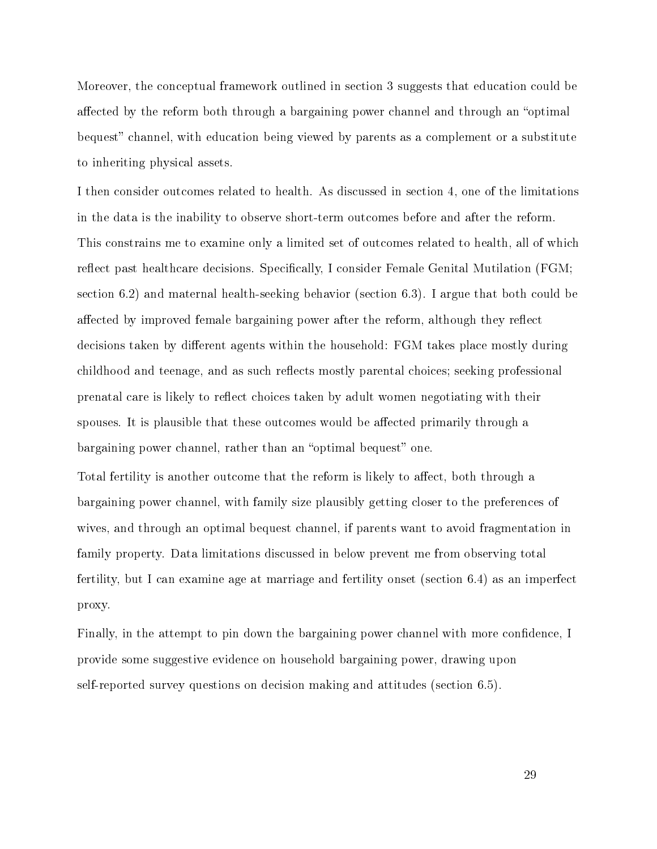Moreover, the conceptual framework outlined in section 3 suggests that education could be affected by the reform both through a bargaining power channel and through an "optimal" bequest" channel, with education being viewed by parents as a complement or a substitute to inheriting physical assets.

I then consider outcomes related to health. As discussed in section 4, one of the limitations in the data is the inability to observe short-term outcomes before and after the reform. This constrains me to examine only a limited set of outcomes related to health, all of which reflect past healthcare decisions. Specifically, I consider Female Genital Mutilation (FGM; section 6.2) and maternal health-seeking behavior (section 6.3). I argue that both could be affected by improved female bargaining power after the reform, although they reflect decisions taken by different agents within the household: FGM takes place mostly during childhood and teenage, and as such reflects mostly parental choices; seeking professional prenatal care is likely to reflect choices taken by adult women negotiating with their spouses. It is plausible that these outcomes would be affected primarily through a bargaining power channel, rather than an "optimal bequest" one.

Total fertility is another outcome that the reform is likely to affect, both through a bargaining power channel, with family size plausibly getting closer to the preferences of wives, and through an optimal bequest channel, if parents want to avoid fragmentation in family property. Data limitations discussed in below prevent me from observing total fertility, but I can examine age at marriage and fertility onset (section 6.4) as an imperfect proxy.

Finally, in the attempt to pin down the bargaining power channel with more condence, I provide some suggestive evidence on household bargaining power, drawing upon self-reported survey questions on decision making and attitudes (section 6.5).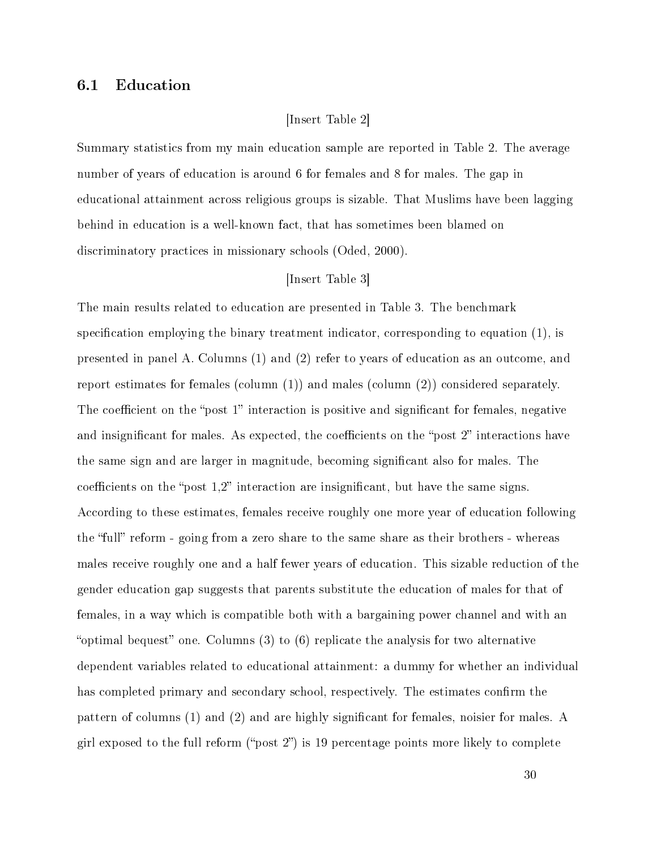### 6.1 Education

#### [Insert Table 2]

Summary statistics from my main education sample are reported in Table 2. The average number of years of education is around 6 for females and 8 for males. The gap in educational attainment across religious groups is sizable. That Muslims have been lagging behind in education is a well-known fact, that has sometimes been blamed on discriminatory practices in missionary schools (Oded, 2000).

#### [Insert Table 3]

The main results related to education are presented in Table 3. The benchmark specification employing the binary treatment indicator, corresponding to equation  $(1)$ , is presented in panel A. Columns (1) and (2) refer to years of education as an outcome, and report estimates for females (column (1)) and males (column (2)) considered separately. The coefficient on the "post 1" interaction is positive and significant for females, negative and insignificant for males. As expected, the coefficients on the "post 2" interactions have the same sign and are larger in magnitude, becoming signicant also for males. The coefficients on the "post  $1,2$ " interaction are insignificant, but have the same signs. According to these estimates, females receive roughly one more year of education following the "full" reform - going from a zero share to the same share as their brothers - whereas males receive roughly one and a half fewer years of education. This sizable reduction of the gender education gap suggests that parents substitute the education of males for that of females, in a way which is compatible both with a bargaining power channel and with an "optimal bequest" one. Columns  $(3)$  to  $(6)$  replicate the analysis for two alternative dependent variables related to educational attainment: a dummy for whether an individual has completed primary and secondary school, respectively. The estimates confirm the pattern of columns (1) and (2) and are highly signicant for females, noisier for males. A girl exposed to the full reform ("post  $2$ ") is 19 percentage points more likely to complete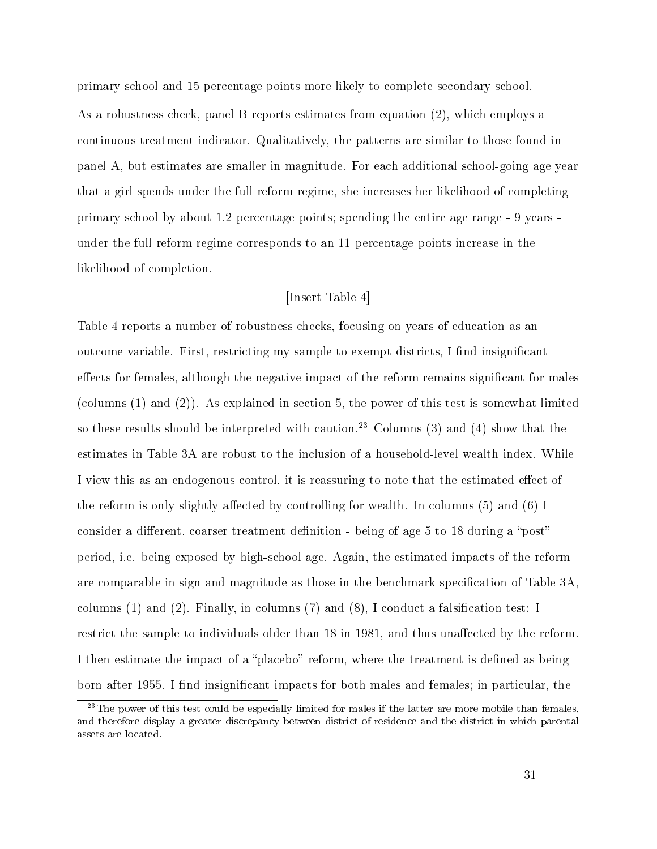primary school and 15 percentage points more likely to complete secondary school. As a robustness check, panel B reports estimates from equation (2), which employs a continuous treatment indicator. Qualitatively, the patterns are similar to those found in panel A, but estimates are smaller in magnitude. For each additional school-going age year that a girl spends under the full reform regime, she increases her likelihood of completing primary school by about 1.2 percentage points; spending the entire age range - 9 years under the full reform regime corresponds to an 11 percentage points increase in the likelihood of completion.

#### [Insert Table 4]

Table 4 reports a number of robustness checks, focusing on years of education as an outcome variable. First, restricting my sample to exempt districts, I find insignificant effects for females, although the negative impact of the reform remains significant for males (columns (1) and (2)). As explained in section 5, the power of this test is somewhat limited so these results should be interpreted with caution.<sup>23</sup> Columns (3) and (4) show that the estimates in Table 3A are robust to the inclusion of a household-level wealth index. While I view this as an endogenous control, it is reassuring to note that the estimated effect of the reform is only slightly affected by controlling for wealth. In columns  $(5)$  and  $(6)$  I consider a different, coarser treatment definition - being of age 5 to 18 during a "post" period, i.e. being exposed by high-school age. Again, the estimated impacts of the reform are comparable in sign and magnitude as those in the benchmark specification of Table  $3A$ , columns  $(1)$  and  $(2)$ . Finally, in columns  $(7)$  and  $(8)$ , I conduct a falsification test: I restrict the sample to individuals older than 18 in 1981, and thus unaffected by the reform. I then estimate the impact of a "placebo" reform, where the treatment is defined as being born after 1955. I find insignificant impacts for both males and females; in particular, the

<sup>&</sup>lt;sup>23</sup>The power of this test could be especially limited for males if the latter are more mobile than females, and therefore display a greater discrepancy between district of residence and the district in which parental assets are located.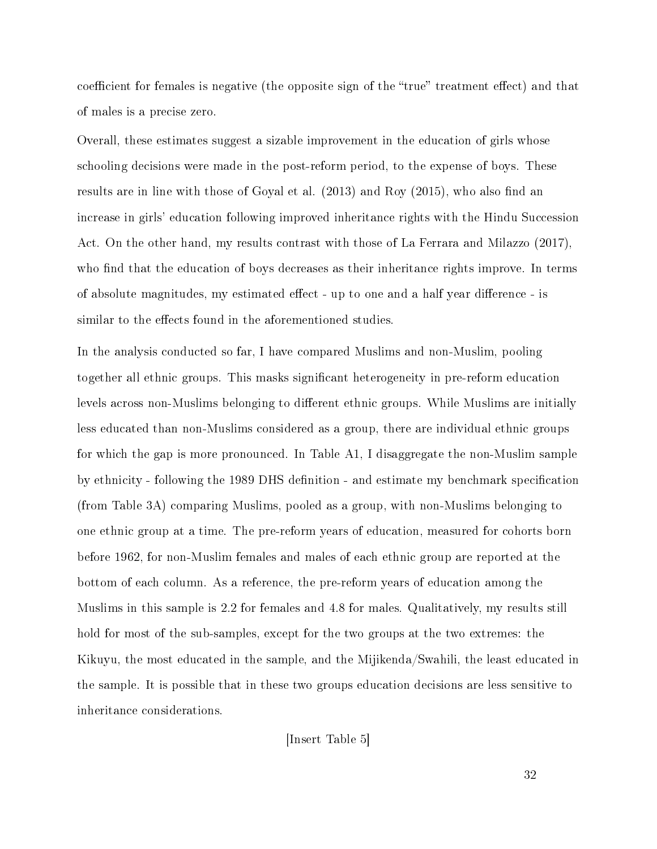coefficient for females is negative (the opposite sign of the "true" treatment effect) and that of males is a precise zero.

Overall, these estimates suggest a sizable improvement in the education of girls whose schooling decisions were made in the post-reform period, to the expense of boys. These results are in line with those of Goyal et al.  $(2013)$  and Roy  $(2015)$ , who also find an increase in girls' education following improved inheritance rights with the Hindu Succession Act. On the other hand, my results contrast with those of La Ferrara and Milazzo (2017), who find that the education of boys decreases as their inheritance rights improve. In terms of absolute magnitudes, my estimated effect - up to one and a half year difference - is similar to the effects found in the aforementioned studies.

In the analysis conducted so far, I have compared Muslims and non-Muslim, pooling together all ethnic groups. This masks signicant heterogeneity in pre-reform education levels across non-Muslims belonging to different ethnic groups. While Muslims are initially less educated than non-Muslims considered as a group, there are individual ethnic groups for which the gap is more pronounced. In Table A1, I disaggregate the non-Muslim sample by ethnicity - following the 1989 DHS definition - and estimate my benchmark specification (from Table 3A) comparing Muslims, pooled as a group, with non-Muslims belonging to one ethnic group at a time. The pre-reform years of education, measured for cohorts born before 1962, for non-Muslim females and males of each ethnic group are reported at the bottom of each column. As a reference, the pre-reform years of education among the Muslims in this sample is 2.2 for females and 4.8 for males. Qualitatively, my results still hold for most of the sub-samples, except for the two groups at the two extremes: the Kikuyu, the most educated in the sample, and the Mijikenda/Swahili, the least educated in the sample. It is possible that in these two groups education decisions are less sensitive to inheritance considerations.

[Insert Table 5]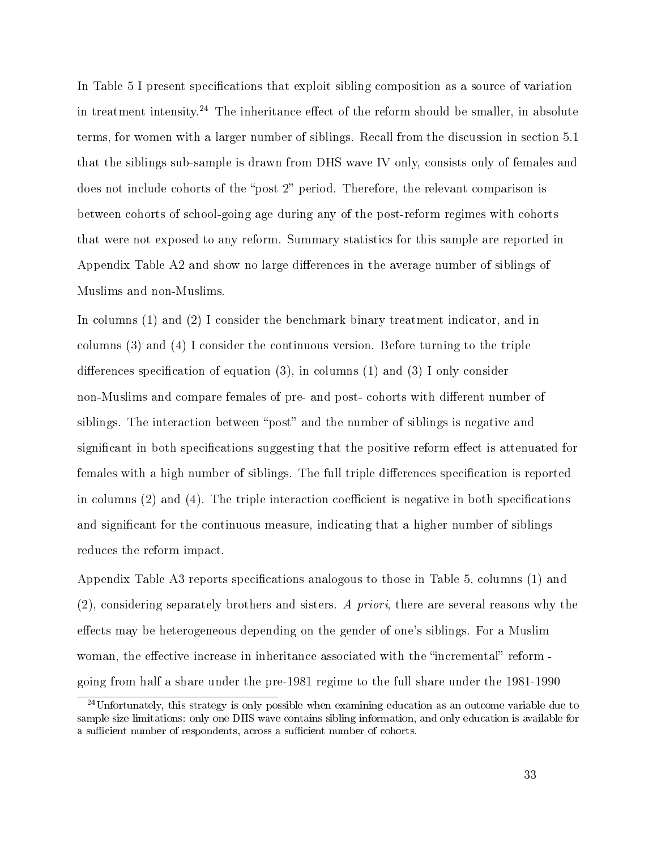In Table 5 I present specifications that exploit sibling composition as a source of variation in treatment intensity.<sup>24</sup> The inheritance effect of the reform should be smaller, in absolute terms, for women with a larger number of siblings. Recall from the discussion in section 5.1 that the siblings sub-sample is drawn from DHS wave IV only, consists only of females and does not include cohorts of the "post 2" period. Therefore, the relevant comparison is between cohorts of school-going age during any of the post-reform regimes with cohorts that were not exposed to any reform. Summary statistics for this sample are reported in Appendix Table A2 and show no large differences in the average number of siblings of Muslims and non-Muslims.

In columns (1) and (2) I consider the benchmark binary treatment indicator, and in columns (3) and (4) I consider the continuous version. Before turning to the triple differences specification of equation  $(3)$ , in columns  $(1)$  and  $(3)$  I only consider non-Muslims and compare females of pre- and post- cohorts with different number of siblings. The interaction between "post" and the number of siblings is negative and significant in both specifications suggesting that the positive reform effect is attenuated for females with a high number of siblings. The full triple differences specification is reported in columns  $(2)$  and  $(4)$ . The triple interaction coefficient is negative in both specifications and significant for the continuous measure, indicating that a higher number of siblings reduces the reform impact.

Appendix Table A3 reports specifications analogous to those in Table 5, columns (1) and  $(2)$ , considering separately brothers and sisters. A priori, there are several reasons why the effects may be heterogeneous depending on the gender of one's siblings. For a Muslim woman, the effective increase in inheritance associated with the "incremental" reform going from half a share under the pre-1981 regime to the full share under the 1981-1990

<sup>24</sup>Unfortunately, this strategy is only possible when examining education as an outcome variable due to sample size limitations: only one DHS wave contains sibling information, and only education is available for a sufficient number of respondents, across a sufficient number of cohorts.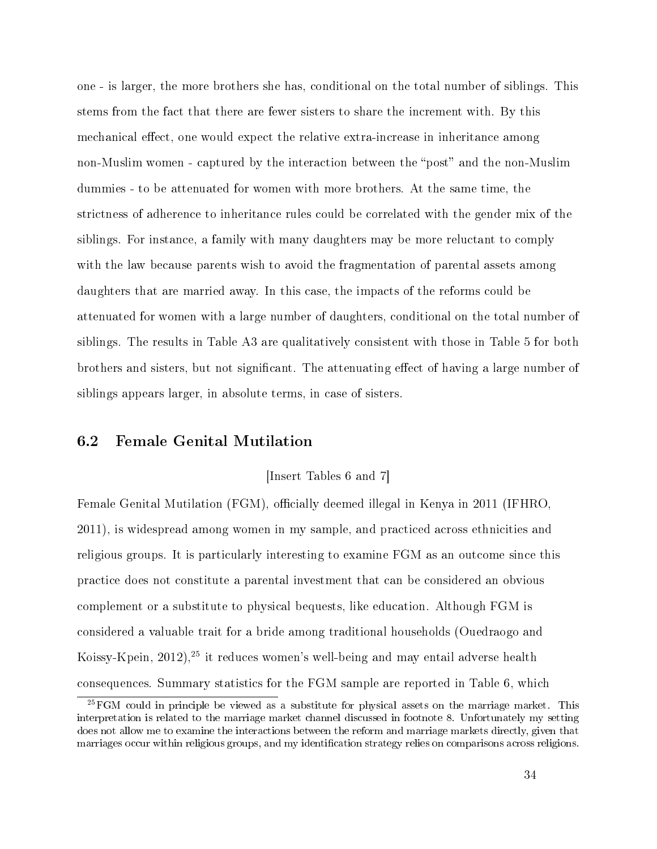one - is larger, the more brothers she has, conditional on the total number of siblings. This stems from the fact that there are fewer sisters to share the increment with. By this mechanical effect, one would expect the relative extra-increase in inheritance among non-Muslim women - captured by the interaction between the "post" and the non-Muslim dummies - to be attenuated for women with more brothers. At the same time, the strictness of adherence to inheritance rules could be correlated with the gender mix of the siblings. For instance, a family with many daughters may be more reluctant to comply with the law because parents wish to avoid the fragmentation of parental assets among daughters that are married away. In this case, the impacts of the reforms could be attenuated for women with a large number of daughters, conditional on the total number of siblings. The results in Table A3 are qualitatively consistent with those in Table 5 for both brothers and sisters, but not significant. The attenuating effect of having a large number of siblings appears larger, in absolute terms, in case of sisters.

#### 6.2 Female Genital Mutilation

#### [Insert Tables 6 and 7]

Female Genital Mutilation (FGM), officially deemed illegal in Kenya in 2011 (IFHRO, 2011), is widespread among women in my sample, and practiced across ethnicities and religious groups. It is particularly interesting to examine FGM as an outcome since this practice does not constitute a parental investment that can be considered an obvious complement or a substitute to physical bequests, like education. Although FGM is considered a valuable trait for a bride among traditional households (Ouedraogo and Koissy-Kpein,  $2012$ <sup>25</sup> it reduces women's well-being and may entail adverse health consequences. Summary statistics for the FGM sample are reported in Table 6, which

 $^{25}$ FGM could in principle be viewed as a substitute for physical assets on the marriage market. This interpretation is related to the marriage market channel discussed in footnote 8. Unfortunately my setting does not allow me to examine the interactions between the reform and marriage markets directly, given that marriages occur within religious groups, and my identification strategy relies on comparisons across religions.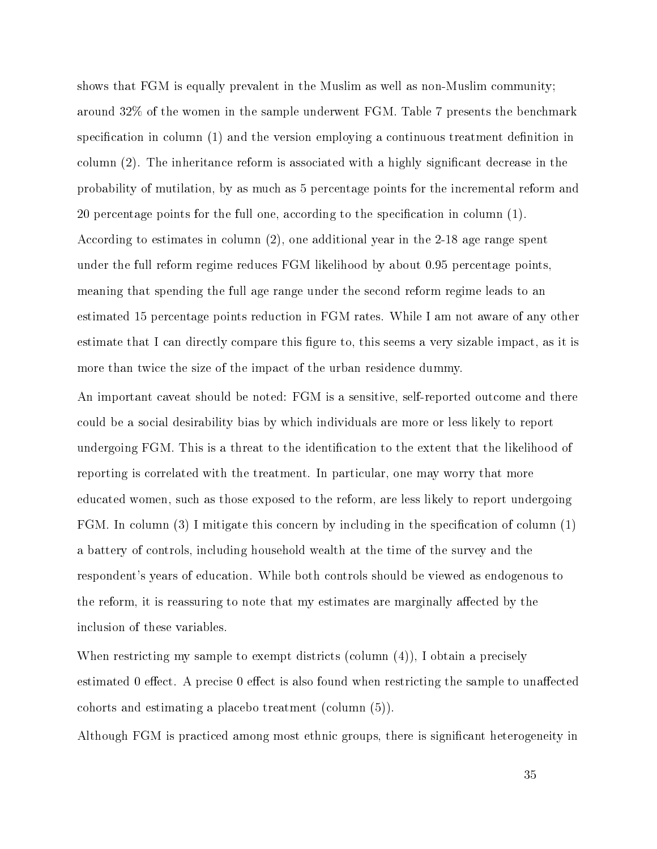shows that FGM is equally prevalent in the Muslim as well as non-Muslim community; around 32% of the women in the sample underwent FGM. Table 7 presents the benchmark specification in column  $(1)$  and the version employing a continuous treatment definition in column (2). The inheritance reform is associated with a highly significant decrease in the probability of mutilation, by as much as 5 percentage points for the incremental reform and 20 percentage points for the full one, according to the specification in column  $(1)$ . According to estimates in column (2), one additional year in the 2-18 age range spent under the full reform regime reduces FGM likelihood by about 0.95 percentage points, meaning that spending the full age range under the second reform regime leads to an estimated 15 percentage points reduction in FGM rates. While I am not aware of any other estimate that I can directly compare this figure to, this seems a very sizable impact, as it is more than twice the size of the impact of the urban residence dummy.

An important caveat should be noted: FGM is a sensitive, self-reported outcome and there could be a social desirability bias by which individuals are more or less likely to report undergoing FGM. This is a threat to the identification to the extent that the likelihood of reporting is correlated with the treatment. In particular, one may worry that more educated women, such as those exposed to the reform, are less likely to report undergoing FGM. In column  $(3)$  I mitigate this concern by including in the specification of column  $(1)$ a battery of controls, including household wealth at the time of the survey and the respondent's years of education. While both controls should be viewed as endogenous to the reform, it is reassuring to note that my estimates are marginally affected by the inclusion of these variables.

When restricting my sample to exempt districts (column (4)), I obtain a precisely estimated 0 effect. A precise 0 effect is also found when restricting the sample to unaffected cohorts and estimating a placebo treatment (column (5)).

Although FGM is practiced among most ethnic groups, there is signicant heterogeneity in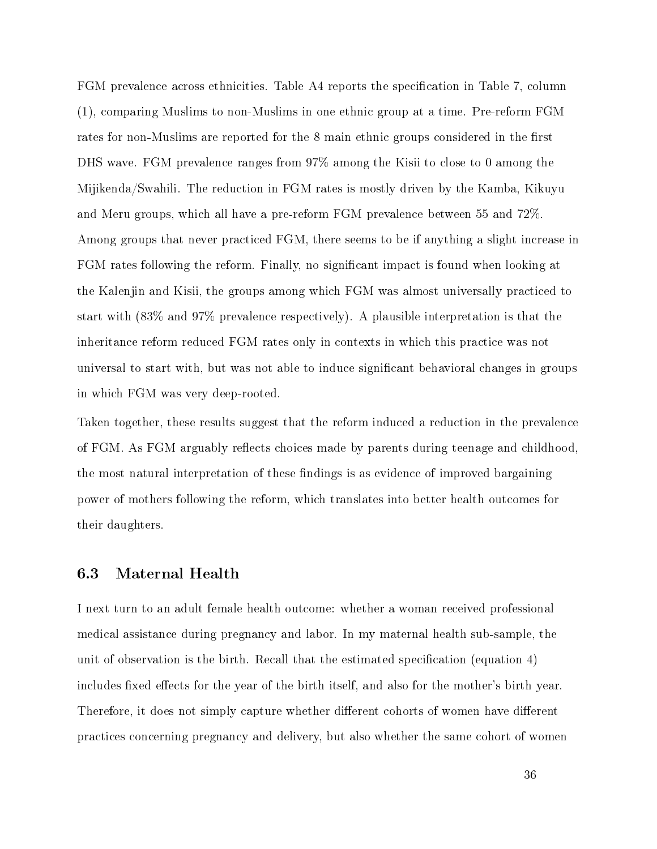FGM prevalence across ethnicities. Table A4 reports the specification in Table 7, column (1), comparing Muslims to non-Muslims in one ethnic group at a time. Pre-reform FGM rates for non-Muslims are reported for the 8 main ethnic groups considered in the first DHS wave. FGM prevalence ranges from 97% among the Kisii to close to 0 among the Mijikenda/Swahili. The reduction in FGM rates is mostly driven by the Kamba, Kikuyu and Meru groups, which all have a pre-reform FGM prevalence between 55 and 72%. Among groups that never practiced FGM, there seems to be if anything a slight increase in FGM rates following the reform. Finally, no signicant impact is found when looking at the Kalenjin and Kisii, the groups among which FGM was almost universally practiced to start with (83% and 97% prevalence respectively). A plausible interpretation is that the inheritance reform reduced FGM rates only in contexts in which this practice was not universal to start with, but was not able to induce signicant behavioral changes in groups in which FGM was very deep-rooted.

Taken together, these results suggest that the reform induced a reduction in the prevalence of FGM. As FGM arguably reflects choices made by parents during teenage and childhood, the most natural interpretation of these findings is as evidence of improved bargaining power of mothers following the reform, which translates into better health outcomes for their daughters.

## 6.3 Maternal Health

I next turn to an adult female health outcome: whether a woman received professional medical assistance during pregnancy and labor. In my maternal health sub-sample, the unit of observation is the birth. Recall that the estimated specification (equation  $4$ ) includes fixed effects for the year of the birth itself, and also for the mother's birth year. Therefore, it does not simply capture whether different cohorts of women have different practices concerning pregnancy and delivery, but also whether the same cohort of women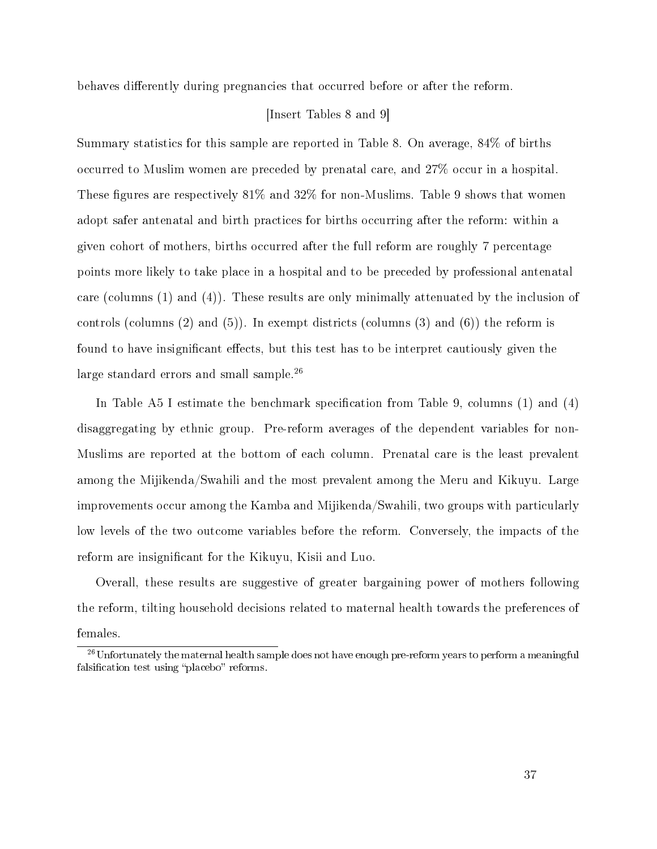behaves differently during pregnancies that occurred before or after the reform.

#### [Insert Tables 8 and 9]

Summary statistics for this sample are reported in Table 8. On average, 84% of births occurred to Muslim women are preceded by prenatal care, and 27% occur in a hospital. These figures are respectively  $81\%$  and  $32\%$  for non-Muslims. Table 9 shows that women adopt safer antenatal and birth practices for births occurring after the reform: within a given cohort of mothers, births occurred after the full reform are roughly 7 percentage points more likely to take place in a hospital and to be preceded by professional antenatal care (columns (1) and (4)). These results are only minimally attenuated by the inclusion of controls (columns  $(2)$  and  $(5)$ ). In exempt districts (columns  $(3)$  and  $(6)$ ) the reform is found to have insignificant effects, but this test has to be interpret cautiously given the large standard errors and small sample.<sup>26</sup>

In Table A5 I estimate the benchmark specification from Table 9, columns  $(1)$  and  $(4)$ disaggregating by ethnic group. Pre-reform averages of the dependent variables for non-Muslims are reported at the bottom of each column. Prenatal care is the least prevalent among the Mijikenda/Swahili and the most prevalent among the Meru and Kikuyu. Large improvements occur among the Kamba and Mijikenda/Swahili, two groups with particularly low levels of the two outcome variables before the reform. Conversely, the impacts of the reform are insignificant for the Kikuyu, Kisii and Luo.

Overall, these results are suggestive of greater bargaining power of mothers following the reform, tilting household decisions related to maternal health towards the preferences of females.

<sup>&</sup>lt;sup>26</sup>Unfortunately the maternal health sample does not have enough pre-reform years to perform a meaningful falsification test using "placebo" reforms.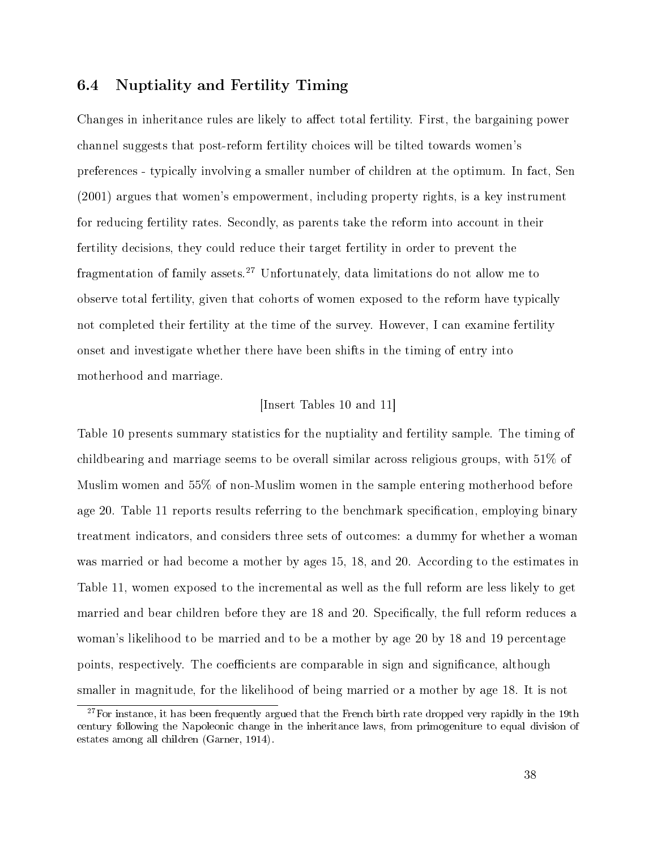# 6.4 Nuptiality and Fertility Timing

Changes in inheritance rules are likely to affect total fertility. First, the bargaining power channel suggests that post-reform fertility choices will be tilted towards women's preferences - typically involving a smaller number of children at the optimum. In fact, Sen (2001) argues that women's empowerment, including property rights, is a key instrument for reducing fertility rates. Secondly, as parents take the reform into account in their fertility decisions, they could reduce their target fertility in order to prevent the fragmentation of family assets.<sup>27</sup> Unfortunately, data limitations do not allow me to observe total fertility, given that cohorts of women exposed to the reform have typically not completed their fertility at the time of the survey. However, I can examine fertility onset and investigate whether there have been shifts in the timing of entry into motherhood and marriage.

#### [Insert Tables 10 and 11]

Table 10 presents summary statistics for the nuptiality and fertility sample. The timing of childbearing and marriage seems to be overall similar across religious groups, with 51% of Muslim women and 55% of non-Muslim women in the sample entering motherhood before age 20. Table 11 reports results referring to the benchmark specification, employing binary treatment indicators, and considers three sets of outcomes: a dummy for whether a woman was married or had become a mother by ages 15, 18, and 20. According to the estimates in Table 11, women exposed to the incremental as well as the full reform are less likely to get married and bear children before they are 18 and 20. Specifically, the full reform reduces a woman's likelihood to be married and to be a mother by age 20 by 18 and 19 percentage points, respectively. The coefficients are comparable in sign and significance, although smaller in magnitude, for the likelihood of being married or a mother by age 18. It is not

 $27$  For instance, it has been frequently argued that the French birth rate dropped very rapidly in the 19th century following the Napoleonic change in the inheritance laws, from primogeniture to equal division of estates among all children (Garner, 1914).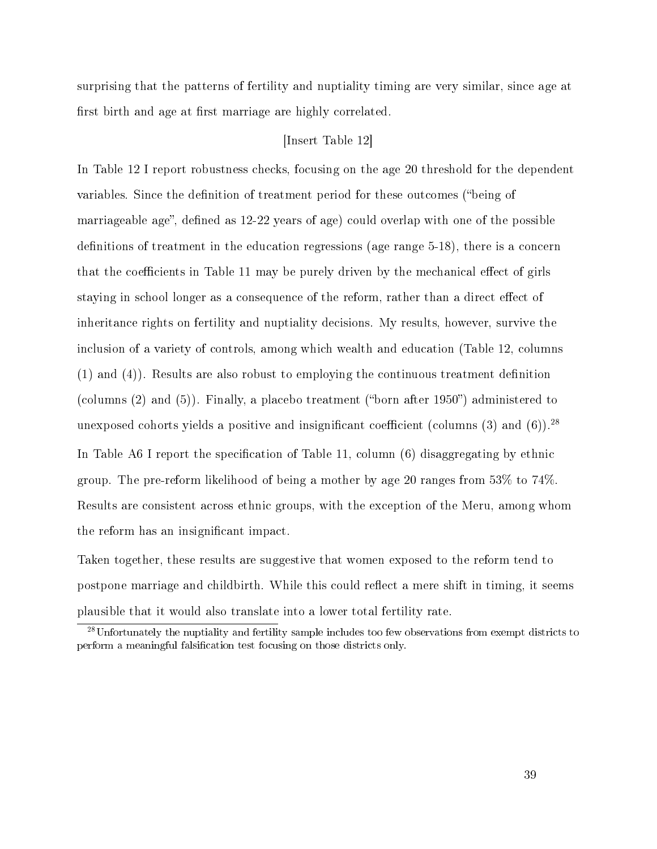surprising that the patterns of fertility and nuptiality timing are very similar, since age at first birth and age at first marriage are highly correlated.

#### [Insert Table 12]

In Table 12 I report robustness checks, focusing on the age 20 threshold for the dependent variables. Since the definition of treatment period for these outcomes ("being of marriageable age", defined as  $12-22$  years of age) could overlap with one of the possible definitions of treatment in the education regressions (age range 5-18), there is a concern that the coefficients in Table 11 may be purely driven by the mechanical effect of girls staying in school longer as a consequence of the reform, rather than a direct effect of inheritance rights on fertility and nuptiality decisions. My results, however, survive the inclusion of a variety of controls, among which wealth and education (Table 12, columns  $(1)$  and  $(4)$ ). Results are also robust to employing the continuous treatment definition (columns  $(2)$  and  $(5)$ ). Finally, a placebo treatment ("born after 1950") administered to unexposed cohorts yields a positive and insignificant coefficient (columns  $(3)$  and  $(6)$ ).<sup>28</sup> In Table A6 I report the specification of Table 11, column  $(6)$  disaggregating by ethnic group. The pre-reform likelihood of being a mother by age 20 ranges from 53% to 74%. Results are consistent across ethnic groups, with the exception of the Meru, among whom the reform has an insignicant impact.

Taken together, these results are suggestive that women exposed to the reform tend to postpone marriage and childbirth. While this could reflect a mere shift in timing, it seems plausible that it would also translate into a lower total fertility rate.

<sup>&</sup>lt;sup>28</sup>Unfortunately the nuptiality and fertility sample includes too few observations from exempt districts to perform a meaningful falsification test focusing on those districts only.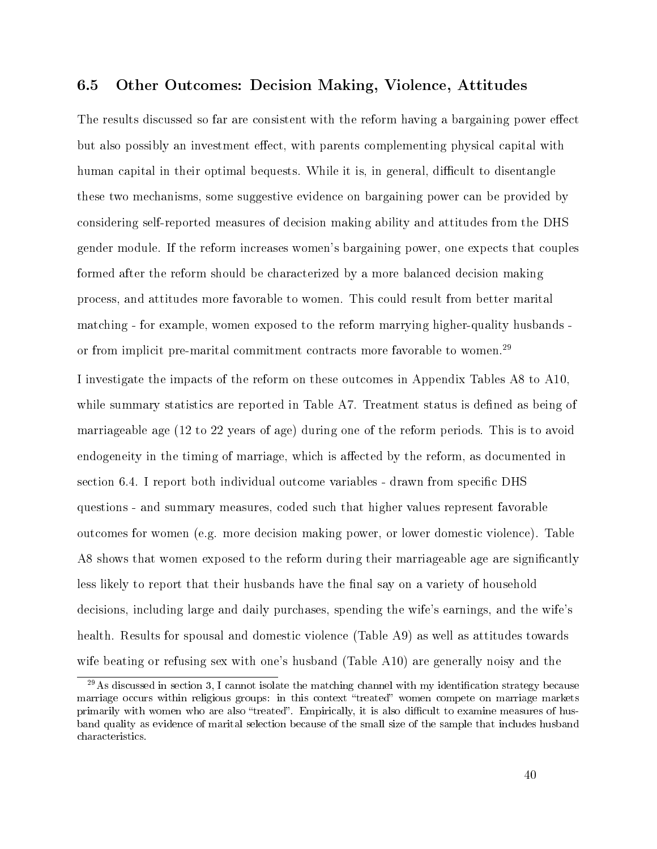## 6.5 Other Outcomes: Decision Making, Violence, Attitudes

The results discussed so far are consistent with the reform having a bargaining power effect but also possibly an investment effect, with parents complementing physical capital with human capital in their optimal bequests. While it is, in general, difficult to disentangle these two mechanisms, some suggestive evidence on bargaining power can be provided by considering self-reported measures of decision making ability and attitudes from the DHS gender module. If the reform increases women's bargaining power, one expects that couples formed after the reform should be characterized by a more balanced decision making process, and attitudes more favorable to women. This could result from better marital matching - for example, women exposed to the reform marrying higher-quality husbands or from implicit pre-marital commitment contracts more favorable to women.<sup>29</sup> I investigate the impacts of the reform on these outcomes in Appendix Tables A8 to A10, while summary statistics are reported in Table A7. Treatment status is defined as being of marriageable age (12 to 22 years of age) during one of the reform periods. This is to avoid endogeneity in the timing of marriage, which is affected by the reform, as documented in section 6.4. I report both individual outcome variables - drawn from specific DHS questions - and summary measures, coded such that higher values represent favorable outcomes for women (e.g. more decision making power, or lower domestic violence). Table A8 shows that women exposed to the reform during their marriageable age are significantly less likely to report that their husbands have the final say on a variety of household decisions, including large and daily purchases, spending the wife's earnings, and the wife's health. Results for spousal and domestic violence (Table A9) as well as attitudes towards wife beating or refusing sex with one's husband (Table A10) are generally noisy and the

 $29\text{As}$  discussed in section 3, I cannot isolate the matching channel with my identification strategy because marriage occurs within religious groups: in this context "treated" women compete on marriage markets primarily with women who are also "treated". Empirically, it is also difficult to examine measures of husband quality as evidence of marital selection because of the small size of the sample that includes husband characteristics.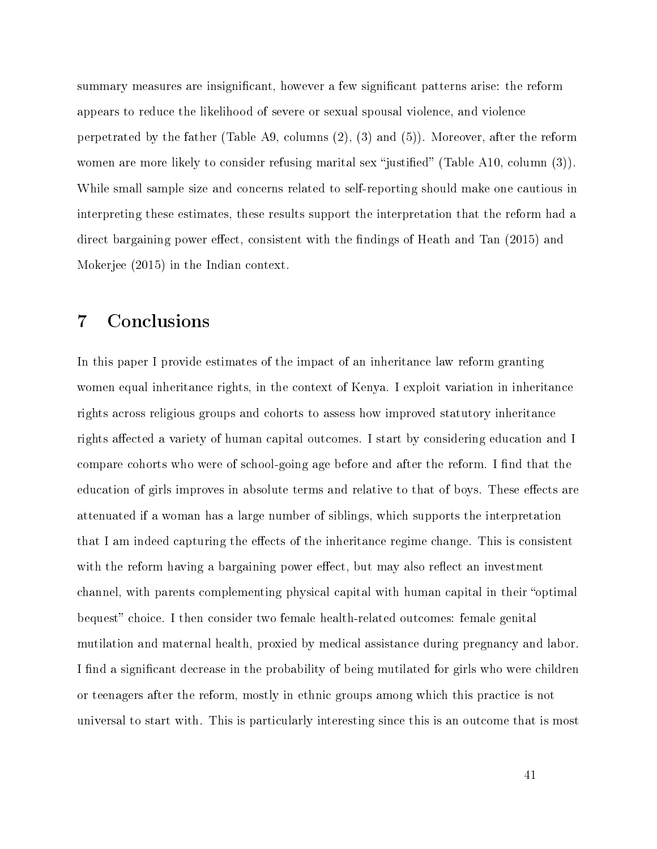summary measures are insignificant, however a few significant patterns arise: the reform appears to reduce the likelihood of severe or sexual spousal violence, and violence perpetrated by the father (Table A9, columns (2), (3) and (5)). Moreover, after the reform women are more likely to consider refusing marital sex "justified" (Table A10, column  $(3)$ ). While small sample size and concerns related to self-reporting should make one cautious in interpreting these estimates, these results support the interpretation that the reform had a direct bargaining power effect, consistent with the findings of Heath and Tan (2015) and Mokerjee (2015) in the Indian context.

# 7 Conclusions

In this paper I provide estimates of the impact of an inheritance law reform granting women equal inheritance rights, in the context of Kenya. I exploit variation in inheritance rights across religious groups and cohorts to assess how improved statutory inheritance rights affected a variety of human capital outcomes. I start by considering education and I compare cohorts who were of school-going age before and after the reform. I find that the education of girls improves in absolute terms and relative to that of boys. These effects are attenuated if a woman has a large number of siblings, which supports the interpretation that I am indeed capturing the effects of the inheritance regime change. This is consistent with the reform having a bargaining power effect, but may also reflect an investment channel, with parents complementing physical capital with human capital in their "optimal" bequest" choice. I then consider two female health-related outcomes: female genital mutilation and maternal health, proxied by medical assistance during pregnancy and labor. I find a significant decrease in the probability of being mutilated for girls who were children or teenagers after the reform, mostly in ethnic groups among which this practice is not universal to start with. This is particularly interesting since this is an outcome that is most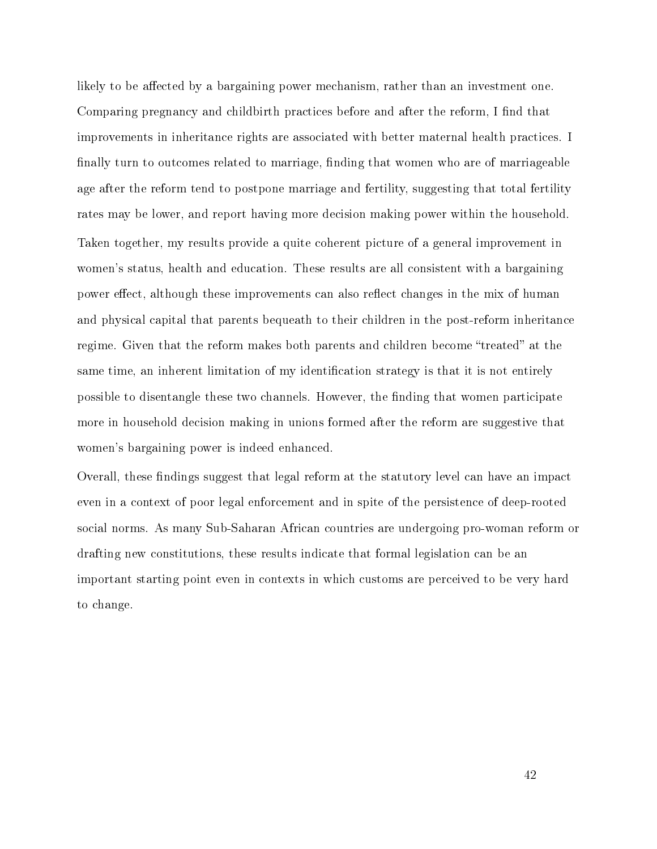likely to be affected by a bargaining power mechanism, rather than an investment one. Comparing pregnancy and childbirth practices before and after the reform, I find that improvements in inheritance rights are associated with better maternal health practices. I finally turn to outcomes related to marriage, finding that women who are of marriageable age after the reform tend to postpone marriage and fertility, suggesting that total fertility rates may be lower, and report having more decision making power within the household. Taken together, my results provide a quite coherent picture of a general improvement in women's status, health and education. These results are all consistent with a bargaining power effect, although these improvements can also reflect changes in the mix of human and physical capital that parents bequeath to their children in the post-reform inheritance regime. Given that the reform makes both parents and children become "treated" at the same time, an inherent limitation of my identification strategy is that it is not entirely possible to disentangle these two channels. However, the finding that women participate more in household decision making in unions formed after the reform are suggestive that women's bargaining power is indeed enhanced.

Overall, these findings suggest that legal reform at the statutory level can have an impact even in a context of poor legal enforcement and in spite of the persistence of deep-rooted social norms. As many Sub-Saharan African countries are undergoing pro-woman reform or drafting new constitutions, these results indicate that formal legislation can be an important starting point even in contexts in which customs are perceived to be very hard to change.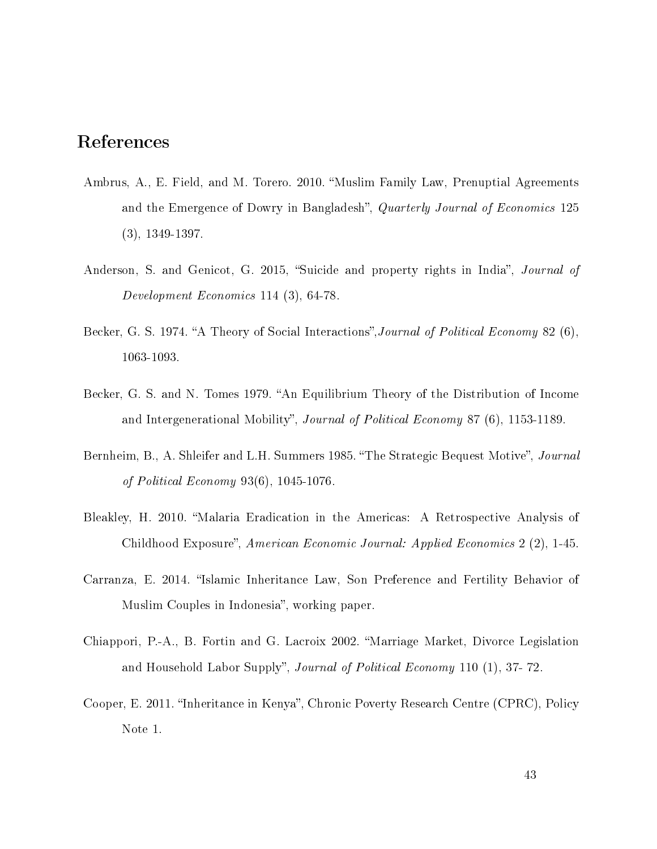# References

- Ambrus, A., E. Field, and M. Torero. 2010. "Muslim Family Law, Prenuptial Agreements and the Emergence of Dowry in Bangladesh", Quarterly Journal of Economics 125 (3), 1349-1397.
- Anderson, S. and Genicot, G. 2015, "Suicide and property rights in India", Journal of Development Economics 114 (3), 64-78.
- Becker, G. S. 1974. "A Theory of Social Interactions", Journal of Political Economy 82 (6), 1063-1093.
- Becker, G. S. and N. Tomes 1979. "An Equilibrium Theory of the Distribution of Income and Intergenerational Mobility", Journal of Political Economy 87 (6), 1153-1189.
- Bernheim, B., A. Shleifer and L.H. Summers 1985. "The Strategic Bequest Motive", *Journal* of Political Economy 93(6), 1045-1076.
- Bleakley, H. 2010. Malaria Eradication in the Americas: A Retrospective Analysis of Childhood Exposure", American Economic Journal: Applied Economics 2 (2), 1-45.
- Carranza, E. 2014. "Islamic Inheritance Law, Son Preference and Fertility Behavior of Muslim Couples in Indonesia", working paper.
- Chiappori, P.-A., B. Fortin and G. Lacroix 2002. Marriage Market, Divorce Legislation and Household Labor Supply", Journal of Political Economy 110 (1), 37-72.
- Cooper, E. 2011. "Inheritance in Kenya", Chronic Poverty Research Centre (CPRC), Policy Note 1.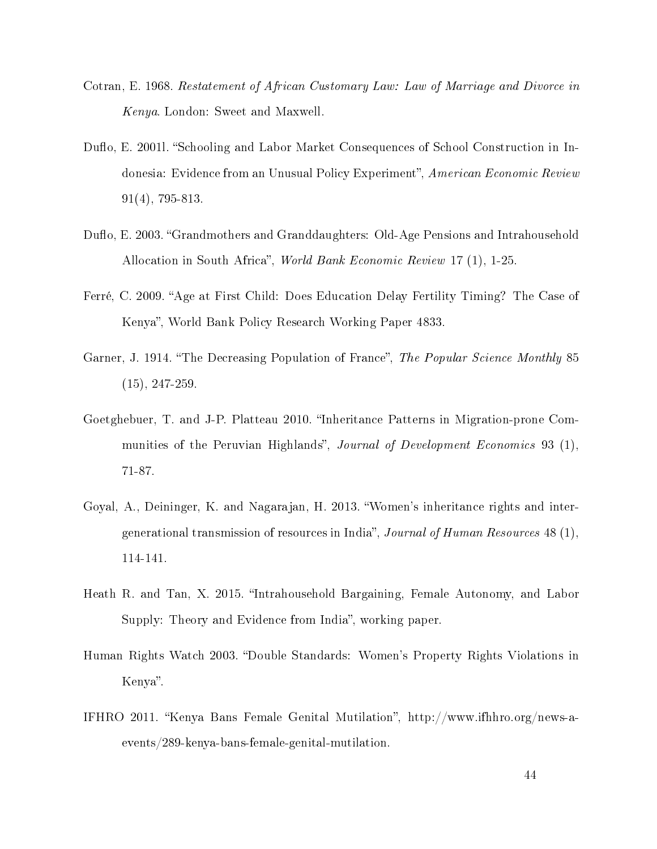- Cotran, E. 1968. Restatement of African Customary Law: Law of Marriage and Divorce in Kenya. London: Sweet and Maxwell.
- Duflo, E. 20011. "Schooling and Labor Market Consequences of School Construction in Indonesia: Evidence from an Unusual Policy Experiment", American Economic Review 91(4), 795-813.
- Duflo, E. 2003. "Grandmothers and Granddaughters: Old-Age Pensions and Intrahousehold Allocation in South Africa", *World Bank Economic Review* 17 (1), 1-25.
- Ferré, C. 2009. "Age at First Child: Does Education Delay Fertility Timing? The Case of Kenya", World Bank Policy Research Working Paper 4833.
- Garner, J. 1914. "The Decreasing Population of France", The Popular Science Monthly 85 (15), 247-259.
- Goetghebuer, T. and J-P. Platteau 2010. "Inheritance Patterns in Migration-prone Communities of the Peruvian Highlands", Journal of Development Economics 93 (1), 71-87.
- Goyal, A., Deininger, K. and Nagarajan, H. 2013. Women's inheritance rights and intergenerational transmission of resources in India", Journal of Human Resources 48 (1), 114-141.
- Heath R. and Tan, X. 2015. "Intrahousehold Bargaining, Female Autonomy, and Labor Supply: Theory and Evidence from India", working paper.
- Human Rights Watch 2003. "Double Standards: Women's Property Rights Violations in Kenya".
- IFHRO 2011. "Kenya Bans Female Genital Mutilation", http://www.ifhhro.org/news-aevents/289-kenya-bans-female-genital-mutilation.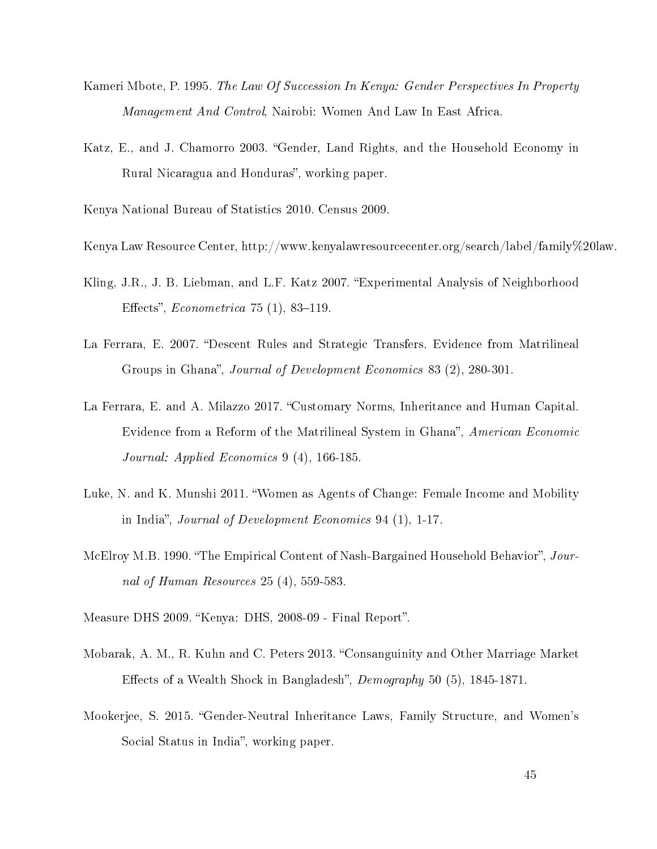- Kameri Mbote, P. 1995. *The Law Of Succession In Kenya: Gender Perspectives In Property* Management And Control, Nairobi: Women And Law In East Africa.
- Katz, E., and J. Chamorro 2003. "Gender, Land Rights, and the Household Economy in Rural Nicaragua and Honduras", working paper.

Kenya National Bureau of Statistics 2010. Census 2009.

Kenya Law Resource Center, http://www.kenyalawresourcecenter.org/search/label/family%20law.

- Kling, J.R., J. B. Liebman, and L.F. Katz 2007. Experimental Analysis of Neighborhood Effects",  $Econometrica$  75 (1), 83–119.
- La Ferrara, E. 2007. "Descent Rules and Strategic Transfers. Evidence from Matrilineal Groups in Ghana", Journal of Development Economics 83 (2), 280-301.
- La Ferrara, E. and A. Milazzo 2017. "Customary Norms, Inheritance and Human Capital. Evidence from a Reform of the Matrilineal System in Ghana", American Economic Journal: Applied Economics 9 (4), 166-185.
- Luke, N. and K. Munshi 2011. Women as Agents of Change: Female Income and Mobility in India", Journal of Development Economics 94  $(1)$ , 1-17.
- McElroy M.B. 1990. "The Empirical Content of Nash-Bargained Household Behavior", Journal of Human Resources 25 (4), 559-583.
- Measure DHS 2009. "Kenya: DHS, 2008-09 Final Report".
- Mobarak, A. M., R. Kuhn and C. Peters 2013. "Consanguinity and Other Marriage Market Effects of a Wealth Shock in Bangladesh", Demography 50  $(5)$ , 1845-1871.
- Mookerjee, S. 2015. Gender-Neutral Inheritance Laws, Family Structure, and Women's Social Status in India", working paper.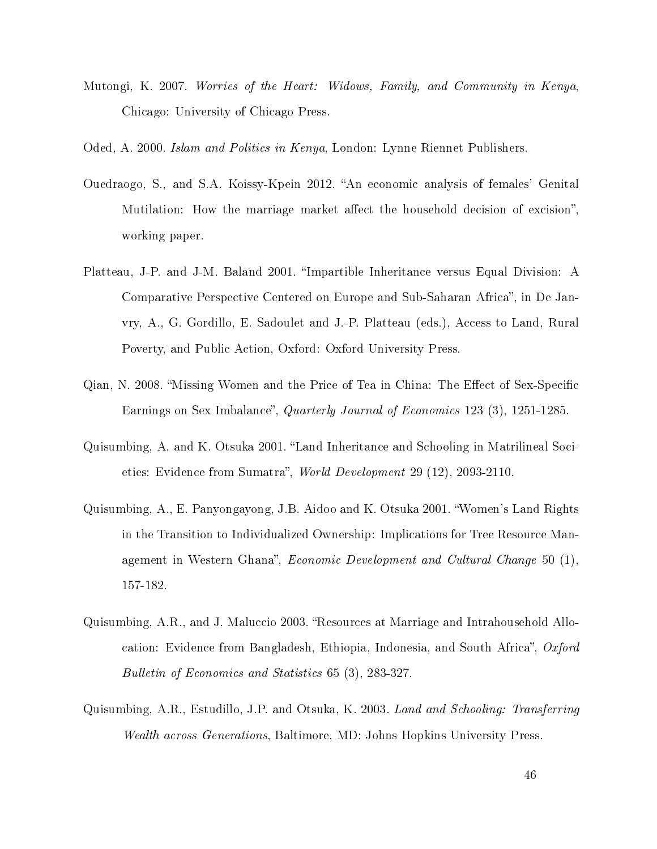- Mutongi, K. 2007. Worries of the Heart: Widows, Family, and Community in Kenya, Chicago: University of Chicago Press.
- Oded, A. 2000. Islam and Politics in Kenya, London: Lynne Riennet Publishers.
- Ouedraogo, S., and S.A. Koissy-Kpein 2012. "An economic analysis of females' Genital Mutilation: How the marriage market affect the household decision of excision", working paper.
- Platteau, J-P. and J-M. Baland 2001. "Impartible Inheritance versus Equal Division: A Comparative Perspective Centered on Europe and Sub-Saharan Africa", in De Janvry, A., G. Gordillo, E. Sadoulet and J.-P. Platteau (eds.), Access to Land, Rural Poverty, and Public Action, Oxford: Oxford University Press.
- Qian, N. 2008. "Missing Women and the Price of Tea in China: The Effect of Sex-Specific Earnings on Sex Imbalance", Quarterly Journal of Economics 123 (3), 1251-1285.
- Quisumbing, A. and K. Otsuka 2001. "Land Inheritance and Schooling in Matrilineal Societies: Evidence from Sumatra", World Development 29 (12), 2093-2110.
- Quisumbing, A., E. Panyongayong, J.B. Aidoo and K. Otsuka 2001. Women's Land Rights in the Transition to Individualized Ownership: Implications for Tree Resource Management in Western Ghana", *Economic Development and Cultural Change* 50 (1), 157-182.
- Quisumbing, A.R., and J. Maluccio 2003. "Resources at Marriage and Intrahousehold Allocation: Evidence from Bangladesh, Ethiopia, Indonesia, and South Africa",  $Oxford$ Bulletin of Economics and Statistics 65 (3), 283-327.
- Quisumbing, A.R., Estudillo, J.P. and Otsuka, K. 2003. Land and Schooling: Transferring Wealth across Generations, Baltimore, MD: Johns Hopkins University Press.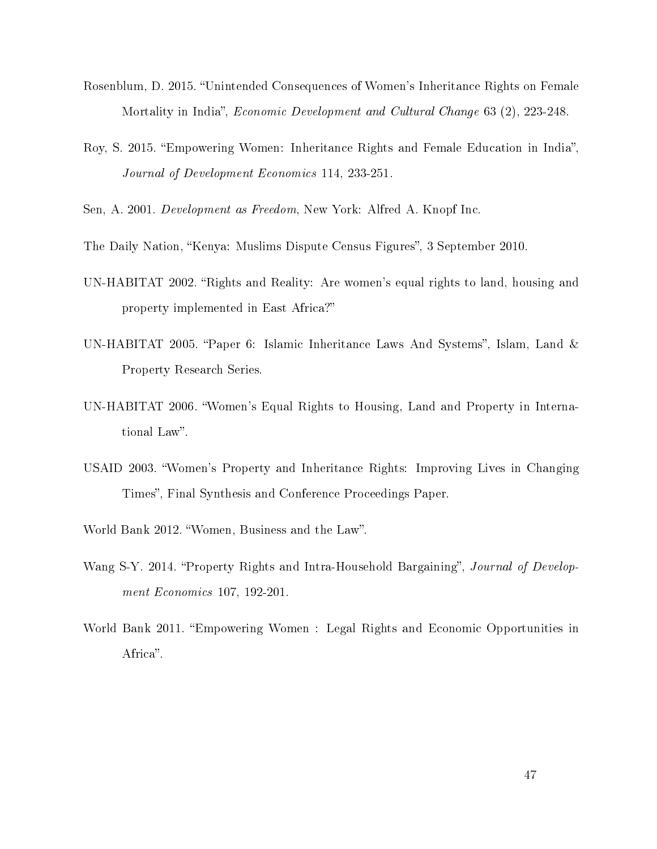- Rosenblum, D. 2015. Unintended Consequences of Women's Inheritance Rights on Female Mortality in India", *Economic Development and Cultural Change* 63 (2), 223-248.
- Roy, S. 2015. "Empowering Women: Inheritance Rights and Female Education in India", Journal of Development Economics 114, 233-251.
- Sen, A. 2001. Development as Freedom, New York: Alfred A. Knopf Inc.
- The Daily Nation, "Kenya: Muslims Dispute Census Figures", 3 September 2010.
- UN-HABITAT 2002. "Rights and Reality: Are women's equal rights to land, housing and property implemented in East Africa?
- UN-HABITAT 2005. "Paper 6: Islamic Inheritance Laws And Systems", Islam, Land  $\&$ Property Research Series.
- UN-HABITAT 2006. Women's Equal Rights to Housing, Land and Property in International Law".
- USAID 2003. Women's Property and Inheritance Rights: Improving Lives in Changing Times", Final Synthesis and Conference Proceedings Paper.
- World Bank 2012. "Women, Business and the Law".
- Wang S-Y. 2014. "Property Rights and Intra-Household Bargaining", Journal of Development Economics 107, 192-201.
- World Bank 2011. "Empowering Women : Legal Rights and Economic Opportunities in Africa".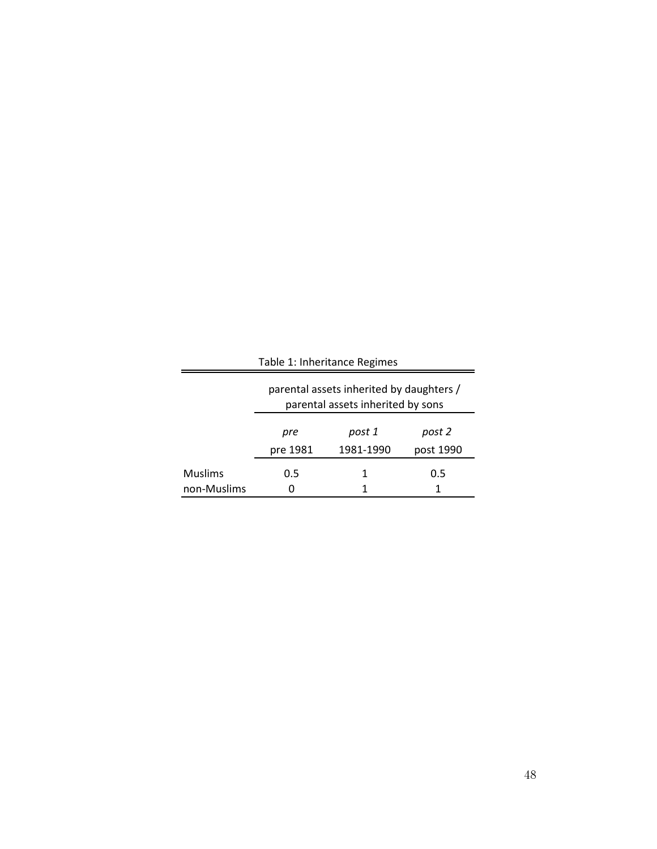| pre<br>pre 1981 | post 1<br>1981-1990 | post 2<br>post 1990                                                                                           |
|-----------------|---------------------|---------------------------------------------------------------------------------------------------------------|
| 0.5             | 1                   | 0.5                                                                                                           |
|                 |                     | Table 1: Inheritance Regimes<br>parental assets inherited by daughters /<br>parental assets inherited by sons |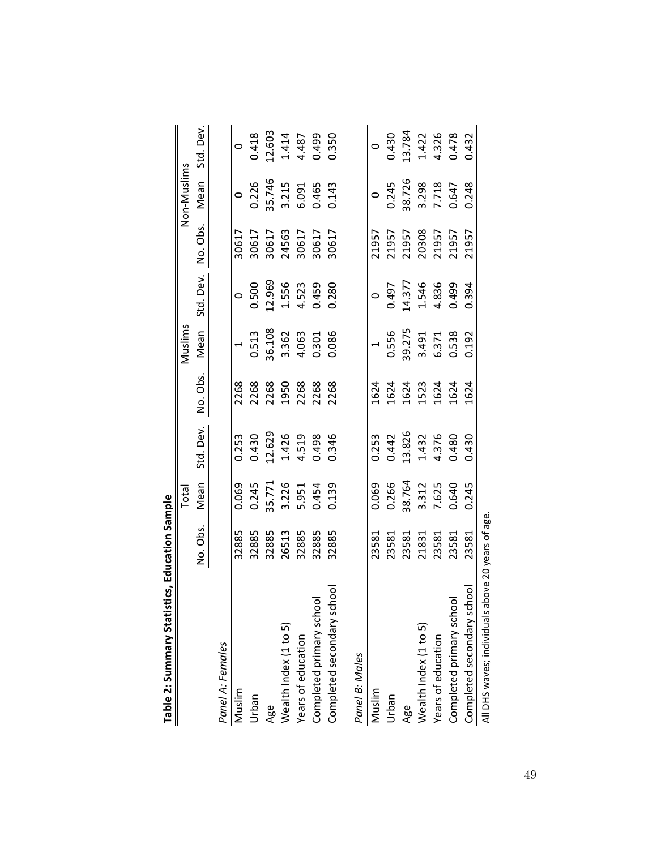| Table 2: Summary Statistics, Education Sample     |          |        |           |          |         |                         |          |                |                                   |
|---------------------------------------------------|----------|--------|-----------|----------|---------|-------------------------|----------|----------------|-----------------------------------|
|                                                   |          | Total  |           |          | Muslims |                         |          | Non-Muslims    |                                   |
|                                                   | No. Obs. | Mean   | Std. Dev. | No. Obs. | Mean    | Std. Dev.               | No. Obs. | Mean           | Std. Dev.                         |
| Panel A: Females                                  |          |        |           |          |         |                         |          |                |                                   |
| Muslim                                            | 32885    | 0.069  | 0.253     | 2268     |         |                         | 30617    |                |                                   |
| Urban                                             | 32885    | 0.245  | 0.430     | 2268     | 0.513   | 0.500                   | 30617    | 0.226          | 0.418                             |
| Age                                               | 32885    | 35.771 | 12.629    | 2268     | 36.108  | 12.969                  | 30617    | 35.746         |                                   |
| Wealth Index (1 to 5)                             | 26513    | 3.226  | 1.426     | 1950     | 3.362   |                         | 24563    |                | 12.603<br>1.414<br>4.487<br>0.499 |
| Years of education                                | 32885    | 5.951  | 4.519     | 2268     | 4.063   | 1.556<br>4.523<br>0.459 | 30617    | 3.215<br>6.091 |                                   |
| Completed primary school                          | 32885    | 0.454  | 0.498     | 2268     | 0.301   |                         | 30617    | 0.465          |                                   |
| Completed secondary school                        | 32885    | 0.139  | 0.346     | 2268     | 0.086   | 0.280                   | 30617    | 0.143          | 0.350                             |
|                                                   |          |        |           |          |         |                         |          |                |                                   |
| Panel B: Males                                    |          |        |           |          |         |                         |          |                |                                   |
| Muslim                                            | 23581    | 0.069  | 0.253     | 1624     |         |                         | 21957    |                |                                   |
| Urban                                             | 23581    | 0.266  | 0.442     | 1624     | 0.556   | 0.497                   | 21957    | 0.245          | 0.430                             |
| Age                                               | 23581    | 38.764 | 13.826    | 1624     | 39.275  | 14.377                  | 21957    | 38.726         | 13.784<br>1.422<br>4.326          |
| Wealth Index (1 to 5)                             | 21831    | 3.312  | 1.432     | 1523     | 3.491   | 1.546                   | 20308    |                |                                   |
| Years of education                                | 23581    | 7.625  | 4.376     | 1624     | 6.371   | 4.836                   | 21957    | 3.298<br>7.718 |                                   |
| Completed primary school                          | 23581    | 0.640  | 0.480     | 1624     | 0.538   | 0.499                   | 21957    | 0.647          | 0.478                             |
| Completed secondary school                        | 23581    | 0.245  | 0.430     | 1624     | 0.192   | 0.394                   | 21957    | 0.248          | 0.432                             |
| All DHS waves; individuals above 20 years of age. |          |        |           |          |         |                         |          |                |                                   |

Table 2: Summary Statistics, Education Sample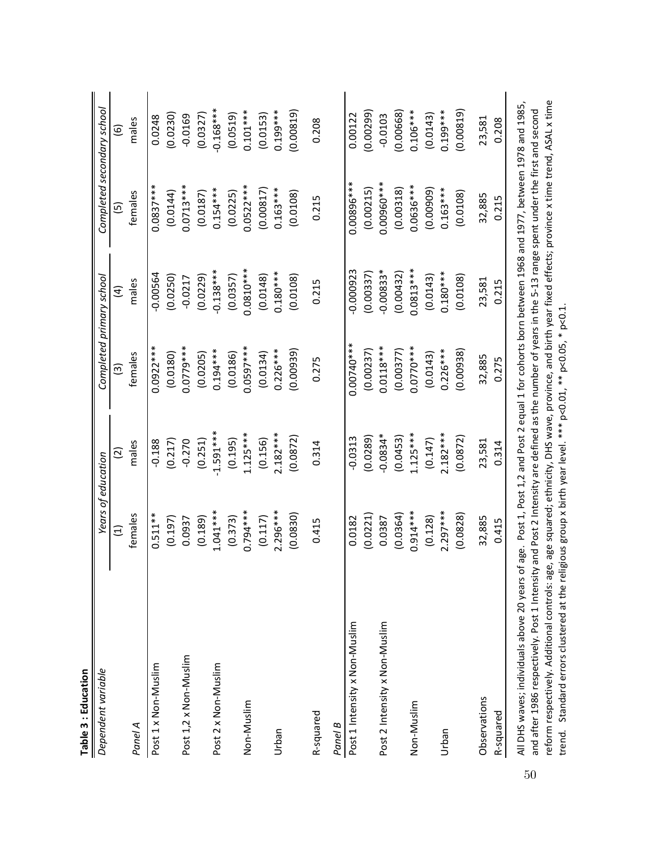| Table 3 : Education                         |                    |             |                                                                                                            |               |                            |                     |
|---------------------------------------------|--------------------|-------------|------------------------------------------------------------------------------------------------------------|---------------|----------------------------|---------------------|
| Dependent variable                          | Years of education |             | Completed primary school                                                                                   |               | Completed secondary school |                     |
|                                             | Ξ                  | ପ୍ର         | $\widetilde{\Xi}$                                                                                          | $\widehat{E}$ | $\widetilde{\mathbb{E}}$   | $\widetilde{\circ}$ |
| Panel A                                     | females            | males       | females                                                                                                    | males         | females                    | males               |
| Post 1 x Non-Muslim                         | $0.511***$         | $-0.188$    | $0.0922***$                                                                                                | 0.00564       | $0.0837***$                | 0.0248              |
|                                             | (0.197)            | (0.217)     | (0.0180)                                                                                                   | (0.0250)      | (0.0144)                   | (0.0230)            |
| Post 1,2 x Non-Muslim                       | 0.0937             | $-0.270$    | $0.0779***$                                                                                                | $-0.0217$     | $0.0713***$                | $-0.0169$           |
|                                             | (0.189)            | (0.251)     | (0.0205)                                                                                                   | (0.0229)      | (0.0187)                   | (0.0327)            |
| Post 2 x Non-Muslim                         | $1.041***$         | $-1.591***$ | $0.194***$                                                                                                 | $-0.138***$   | $0.154***$                 | $-0.168***$         |
|                                             | (0.373)            | (0.195)     | (0.0186)                                                                                                   | (0.0357)      | (0.0225)                   | (0.0519)            |
| Non-Muslim                                  | $0.794***$         | $1.125***$  | $0.0597***$                                                                                                | $0.0810***$   | $0.0522***$                | $0.101***$          |
|                                             | (0.117)            | (0.156)     | (0.0134)                                                                                                   | (0.0148)      | (0.00817)                  | (0.0153)            |
| Urban                                       | 2.296***           | $2.182***$  | $0.226***$                                                                                                 | $0.180***$    | $0.163***$                 | $0.199***$          |
|                                             | (0.0830)           | (0.0872)    | (0.00939)                                                                                                  | (0.0108)      | (0.0108)                   | (0.00819)           |
| R-squared                                   | 0.415              | 0.314       | 0.275                                                                                                      | 0.215         | 0.215                      | 0.208               |
| Panel B                                     |                    |             |                                                                                                            |               |                            |                     |
| Post 1 Intensity x Non-Muslim               | 0.0182             | $-0.0313$   | $0.00740***$                                                                                               | $-0.000923$   | 0.00896***                 | 0.00122             |
|                                             | (0.0221)           | (0.0289)    | (0.00237)                                                                                                  | (0.00337)     | (0.00215)                  | (0.00299)           |
| Post 2 Intensity x Non-Muslim               | 0.0387             | $0.0834*$   | $0.0118***$                                                                                                | $-0.00833*$   | 0.00960 ***                | $-0.0103$           |
|                                             | (0.0364)           | (0.0453)    | (0.00377)                                                                                                  | (0.00432)     | (0.00318)                  | (0.00668)           |
| Non-Muslim                                  | $0.914***$         | $1.125***$  | $0.0770***$                                                                                                | $0.0813***$   | $0.0636***$                | $0.106***$          |
|                                             | (0.128)            | (0.147)     | (0.0143)                                                                                                   | (0.0143)      | (0.00909)                  | (0.0143)            |
| Urban                                       | $2.297***$         | $2.182***$  | $0.226***$                                                                                                 | $0.180***$    | $0.163***$                 | $0.199***$          |
|                                             | (0.0828)           | (0.0872)    | (0.00938)                                                                                                  | (0.0108)      | (0.0108)                   | (0.00819)           |
| Observations                                | 32,885             | 23,581      | 32,885                                                                                                     | 23,581        | 32,885                     | 23,581              |
| R-squared                                   | 0.415              | 0.314       | 0.275                                                                                                      | 0.215         | 0.215                      | 0.208               |
| All DHS waves: individuals above 20 years o |                    |             | of age. Post 1. Post 1.2 and Post 2 equal 1 for cohorts born between 1968 and 1977. between 1978 and 1985. |               |                            |                     |

reform respectively. Additional controls: age, age squared; ethnicity, DHS wave, province, and birth year fixed effects; province x time trend, ASAL x time reform respectively. Additional controls: age, age squared; ethnicity, DHS wave, province, and birth year fixed effects; province x time trend, ASAL x time All DHS waves; individuals above 20 years of age. Post 1, Post 1,2 and Post 2 equal 1 for cohorts born between 1968 and 1977, between 1978 and 1985, and after 1986 respectively. Post 1 Intensity and Post 2 Intensity are defined as the number of years in the 5-13 range spent under the first and second and after 1986 respectively. Post 1 Intensity and Post 2 Intensity are defined as the number of years in the 5-13 range spent under the first and second trend. Standard errors clustered at the religious group x birth year level. \*\*\* p<0.01, \*\* p<0.05, \* p<0.1. trend. Standard errors clustered at the religious group x birth year level. \*\*\* p<0.01, \*\* p<0.05, \* p<0.1. 50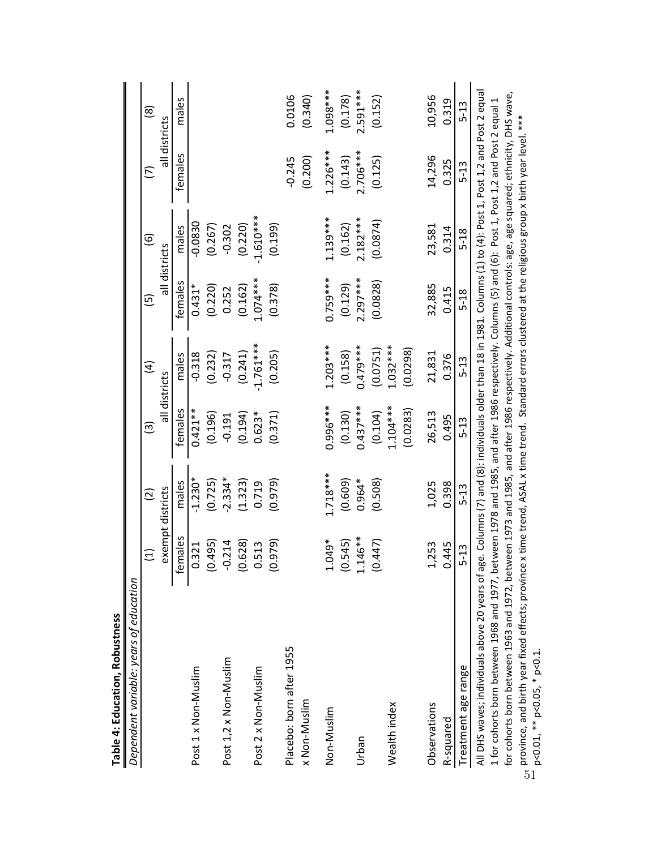| Dependent variable: years of education                                                                                                                                                      |                  |                   |            |                        |            |                   |               |            |
|---------------------------------------------------------------------------------------------------------------------------------------------------------------------------------------------|------------------|-------------------|------------|------------------------|------------|-------------------|---------------|------------|
|                                                                                                                                                                                             | ਦੁ               | $\widehat{\circ}$ | <u>ଟ</u>   | $\widehat{\mathbf{f}}$ | Θ          | $\widehat{\circ}$ | Σ             | @          |
|                                                                                                                                                                                             | exempt districts |                   |            | all districts          |            | all districts     | all districts |            |
|                                                                                                                                                                                             | females          | males             | females    | males                  | females    | males             | females       | males      |
| Post 1 x Non-Muslim                                                                                                                                                                         | 0.321            | $-1.230*$         | $0.421***$ | $-0.318$               | $0.431*$   | 0.0830            |               |            |
|                                                                                                                                                                                             | (0.495)          | (0.725)           | (0.196)    | (0.232)                | (0.220)    | (0.267)           |               |            |
| Post 1,2 x Non-Muslim                                                                                                                                                                       | $-0.214$         | $-2.334*$         | $-0.191$   | $-0.317$               | 0.252      | $-0.302$          |               |            |
|                                                                                                                                                                                             | (0.628)          | (1.323)           | (0.194)    | (0.241)                | (0.162)    | (0.220)           |               |            |
| Post 2 x Non-Muslim                                                                                                                                                                         | 0.513            | 0.719             | $0.623*$   | $-1.761***$            | $1.074***$ | $-1.610***$       |               |            |
|                                                                                                                                                                                             | (0.979)          | (0.979)           | (0.371)    | (0.205)                | (0.378)    | (0.199)           |               |            |
| Placebo: born after 1955                                                                                                                                                                    |                  |                   |            |                        |            |                   | $-0.245$      | 0.0106     |
| x Non-Muslim                                                                                                                                                                                |                  |                   |            |                        |            |                   | (0.200)       | (0.340)    |
| Non-Muslim                                                                                                                                                                                  | 1.049*           | $1.718***$        | $0.996***$ | $1.203***$             | $0.759***$ | $1.139***$        | $1.226***$    | $1.098***$ |
|                                                                                                                                                                                             | (0.545)          | (0.609)           | (0.130)    | (0.158)                | (0.129)    | (0.162)           | (0.143)       | (0.178)    |
| Urban                                                                                                                                                                                       | $1.146***$       | $0.964*$          | $0.437***$ | $0.479***$             | $2.297***$ | $2.182***$        | $2.706***$    | $2.591***$ |
|                                                                                                                                                                                             | (0.447)          | (0.508)           | (0.104)    | (0.0751)               | (0.0828)   | (0.0874)          | (0.125)       | (0.152)    |
| Wealth index                                                                                                                                                                                |                  |                   | $1.104***$ | $1.032***$             |            |                   |               |            |
|                                                                                                                                                                                             |                  |                   | (0.0283)   | (0.0298)               |            |                   |               |            |
| Observations                                                                                                                                                                                | 1,253            | 1,025             | 26,513     | 21,831                 | 32,885     | 23,581            | 14,296        | 10,956     |
| R-squared                                                                                                                                                                                   | 0.445            | 0.398             | 0.495      | 0.376                  | 0.415      | 0.314             | 0.325         | 0.319      |
| Treatment age range                                                                                                                                                                         | $5 - 13$         | $5 - 13$          | 5-13       | 5-13                   | $5 - 18$   | $5 - 18$          | $5 - 13$      | 5-13       |
| All DHS waves; individuals above 20 years of age. Columns (7) and (8): individuals older than 18 in 1981. Columns (1) to (4): Post 1, Post 1, 2 and Post 2 equal                            |                  |                   |            |                        |            |                   |               |            |
| 1 for cohorts born between 1968 and 1977, between 1978 and 1985, and after 1986 respectively. Columns (5) and (6): Post 1, Post 1,2 and Post 2 equal 1                                      |                  |                   |            |                        |            |                   |               |            |
| for cohorts born between 1963 and 1972, between 1973 and 1985, and after 1986 respectively. Additional controls: age, age squared; ethnicity, DHS wave,                                     |                  |                   |            |                        |            |                   |               |            |
| on province, and birth year fixed effects; province x time trend, ASAL x time trend. Standard errors clustered at the religious group x birth year level. ***<br>— محم من ** محم مع * محم م |                  |                   |            |                        |            |                   |               |            |
| p<0.01, ** p<0.05, * p<0.1.                                                                                                                                                                 |                  |                   |            |                        |            |                   |               |            |

Table 4: Education, Robustness **Table 4: Education, Robustness**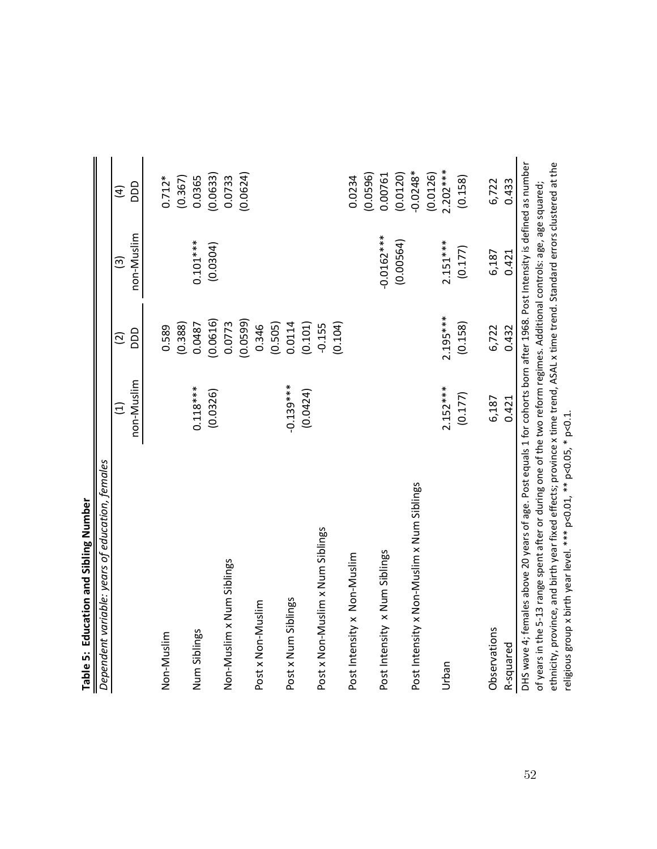| Dependent variable: years of education, females                                                                               |             |                |                |               |
|-------------------------------------------------------------------------------------------------------------------------------|-------------|----------------|----------------|---------------|
|                                                                                                                               | $\Xi$       | $\overline{c}$ | $\overline{3}$ | $\widehat{d}$ |
|                                                                                                                               | non-Muslim  | DDD            | non-Muslim     | DDD           |
| Non-Muslim                                                                                                                    |             | 0.589          |                | $0.712*$      |
|                                                                                                                               |             | (0.388)        |                | (0.367)       |
| Num Siblings                                                                                                                  | $0.118***$  | 0.0487         | $0.101***$     | 0.0365        |
|                                                                                                                               | (0.0326)    | (0.0616)       | (0.0304)       | (0.0633)      |
| Non-Muslim x Num Siblings                                                                                                     |             | 0.0773         |                | 0.0733        |
|                                                                                                                               |             | (0.0599)       |                | (0.0624)      |
| Post x Non-Muslim                                                                                                             |             | 0.346          |                |               |
|                                                                                                                               |             | (0.505)        |                |               |
| Post x Num Siblings                                                                                                           | $-0.139***$ | 0.0114         |                |               |
|                                                                                                                               | (0.0424)    | (0.101)        |                |               |
| Post x Non-Muslim x Num Siblings                                                                                              |             | $-0.155$       |                |               |
|                                                                                                                               |             | (0.104)        |                |               |
| Post Intensity x Non-Muslim                                                                                                   |             |                |                | 0.0234        |
|                                                                                                                               |             |                |                | (0.0596)      |
| Post Intensity x Num Siblings                                                                                                 |             |                | $-0.0162***$   | 0.00761       |
|                                                                                                                               |             |                | (0.00564)      | (0.0120)      |
| Post Intensity x Non-Muslim x Num Siblings                                                                                    |             |                |                | $-0.0248*$    |
|                                                                                                                               |             |                |                | (0.0126)      |
| Urban                                                                                                                         | $2.152***$  | $2.195***$     | $2.151***$     | $2.202***$    |
|                                                                                                                               | (0.177)     | (0.158)        | (0.177)        | (0.158)       |
| Observations                                                                                                                  | 6,187       | 6,722          | 6,187          | 6,722         |
| R-squared                                                                                                                     | 0.421       | 0.432          | 0.421          | 0.433         |
| DHS wave 4; females above 20 years of age. Post equals 1 for cohorts born after 1968. Post Intensity is defined as number     |             |                |                |               |
| of years in the 5-13 range spent after or during one of the two reform regimes. Additional controls: age, age squared;        |             |                |                |               |
| ethnicity, province, and birth year fixed effects; province x time trend, ASAL x time trend. Standard errors clustered at the |             |                |                |               |
| religious group x birth year level. *** p<0.01, ** p<0.05, * p<0.1                                                            |             |                |                |               |

Table 5: Education and Sibling Number **Table 5: Education and Sibling Number**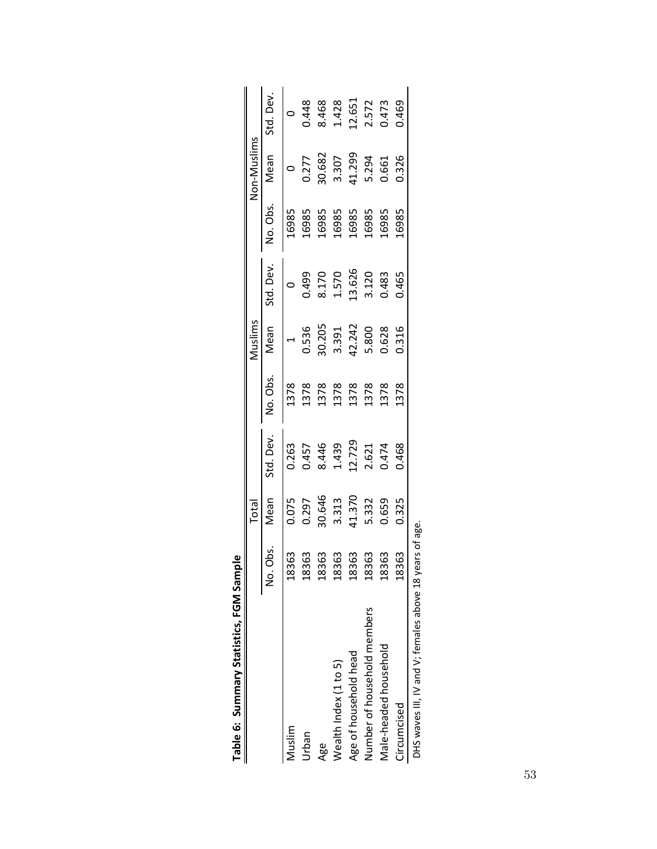|                                                         |                | <b>Total</b> |                |          | Muslims        |                         |          | Non-Muslims     |                          |
|---------------------------------------------------------|----------------|--------------|----------------|----------|----------------|-------------------------|----------|-----------------|--------------------------|
|                                                         | Obs.<br>o<br>2 | Mean         | Std. Dev.      | No. Obs. | Mean           | Std. Dev.               | No. Obs. | Mean            | Std. Dev.                |
| Muslim                                                  | 18363          | 0.075        | 0.263          | 1378     | $\overline{a}$ |                         | 16985    |                 |                          |
| Urban                                                   | 18363          | 0.297        | 0.457          | 1378     | 0.536          |                         | 16985    | 0.277<br>30.682 | 0.448                    |
| Age                                                     | 18363          | 30.646       | 8.446          | 1378     | 30.205         | 0.499<br>8.170<br>1.570 | 16985    |                 | 8.468                    |
| Wealth Index (1 to 5)                                   | 18363          | 3.313        | 1.439          | 1378     | 3.391          |                         | 16985    | 3.307           | 1.428                    |
| Age of household head                                   | 18363          | 41.370       | 12.729         | 1378     | 12.242         | 13.626                  | 16985    | 41.299          |                          |
| Number of household members                             | 18363          | 5.332        |                | 1378     | 5.800          | 3.120                   | 16985    | 5.294           | 12.651<br>2.572<br>0.473 |
| Male-headed household                                   | 18363          | 0.659        | 2.621<br>0.474 | 1378     | 0.628          | 0.483                   | 16985    | 0.661           |                          |
| Circumcised                                             | 18363          | 0.325        | 0.468          | 1378     | 0.316          | 0.465                   | 16985    | 0.326           | 0.469                    |
| DHS waves III, IV and V; females above 18 years of age. |                |              |                |          |                |                         |          |                 |                          |
|                                                         |                |              |                |          |                |                         |          |                 |                          |

| ໍ່<br>ć<br>Ì<br>׆֧֪֞ |  |
|----------------------|--|
| i                    |  |
| i<br>׃               |  |
| İ<br>ö               |  |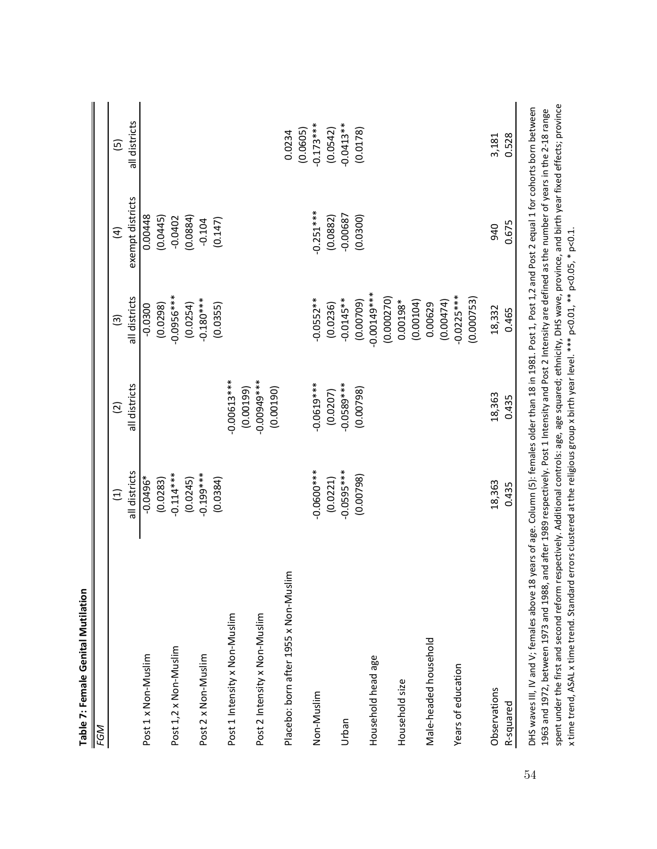| FGM                                                                                                                                                              |               |                            |                           |                  |               |
|------------------------------------------------------------------------------------------------------------------------------------------------------------------|---------------|----------------------------|---------------------------|------------------|---------------|
|                                                                                                                                                                  | $\Xi$         | $\widetilde{\omega}$       | $\widehat{\Xi}$           | <u>क</u>         | ම             |
|                                                                                                                                                                  | all districts | all districts              | all districts             | exempt districts | all districts |
| Post 1 x Non-Muslim                                                                                                                                              | $-0.0496*$    |                            | $-0.0300$                 | 0.00448          |               |
|                                                                                                                                                                  | (0.0283)      |                            | (0.0298)                  | (0.0445)         |               |
| Post 1,2 x Non-Muslim                                                                                                                                            | $-0.114***$   |                            | $-0.0956***$              | $-0.0402$        |               |
|                                                                                                                                                                  | (0.0245)      |                            | (0.0254)                  | (0.0884)         |               |
| Post 2 x Non-Muslim                                                                                                                                              | $-0.199***$   |                            | $-0.180***$               | $-0.104$         |               |
|                                                                                                                                                                  | (0.0384)      |                            | (0.0355)                  | (0.147)          |               |
| Post 1 Intensity x Non-Muslim                                                                                                                                    |               | $-0.00613***$              |                           |                  |               |
|                                                                                                                                                                  |               | (0.00199)                  |                           |                  |               |
| Post 2 Intensity x Non-Muslim                                                                                                                                    |               | $-0.00949***$<br>(0.00190) |                           |                  |               |
| Placebo: born after 1955 x Non-Musli                                                                                                                             |               |                            |                           |                  | 0.0234        |
| Ξ                                                                                                                                                                |               |                            |                           |                  | (0.0605)      |
| Non-Muslim                                                                                                                                                       | $-0.0600***$  | $-0.0619***$               | $-0.0552***$              | $-0.251***$      | $-0.173***$   |
|                                                                                                                                                                  | (0.0221)      | (0.0207)                   | (0.0236)                  | (0.0882)         | (0.0542)      |
| Urban                                                                                                                                                            | $-0.0595***$  | $-0.0589***$               | $-0.0145**$               | $-0.00687$       | $-0.0413**$   |
|                                                                                                                                                                  | (0.00798)     | (0.00798)                  | (0.00709)                 | (0.0300)         | (0.0178)      |
| Household head age                                                                                                                                               |               |                            | $-0.00149***$             |                  |               |
|                                                                                                                                                                  |               |                            | (0.000270)                |                  |               |
| Household size                                                                                                                                                   |               |                            | $0.00198*$                |                  |               |
| Male-headed household                                                                                                                                            |               |                            | (0.00104)<br>0.00629      |                  |               |
|                                                                                                                                                                  |               |                            | (0.00474)                 |                  |               |
| Years of education                                                                                                                                               |               |                            | $0.0225***$<br>(0.000753) |                  |               |
| Observations                                                                                                                                                     | 18,363        | 18,363                     | 18,332                    | 940              | 3,181         |
| R-squared                                                                                                                                                        | 0.435         | 0.435                      | 0.465                     | 0.675            | 0.528         |
| DHS waves III, IV and V; females above 18 years of age. Column (5): females older than 18 in 1981. Post 1, Post 1, 2 and Post 2 equal 1 for cohorts born between |               |                            |                           |                  |               |
|                                                                                                                                                                  |               |                            |                           |                  |               |

spent under the first and second reform respectively. Additional controls: age, age squared; ethnicity, DHS wave, province, and birth year fixed effects; province<br>x time trend, ASAL x time trend. Standard errors clustered spent under the first and second reform respectively. Additional controls: age, age squared; ethnicity, DHS wave, province, and birth year fixed effects; province 1963 and 1972, between 1973 and 1988, and after 1989 respectively. Post 1 Intensity and Post 2 Intensity are defined as the number of years in the 2-18 range 1963 and 1972, between 1973 and 1988, and after 1989 respectively. Post 1 Intensity and Post 2 Intensity are defined as the number of years in the 2-18 range x time trend, ASAL x time trend. Standard errors clustered at the religious group x birth year level. \*\*\* p<0.01, \*\* p<0.05, \* p<0.1.

Table 7: Female Genital Mutilation **Table 7: Female Genital Mutilation**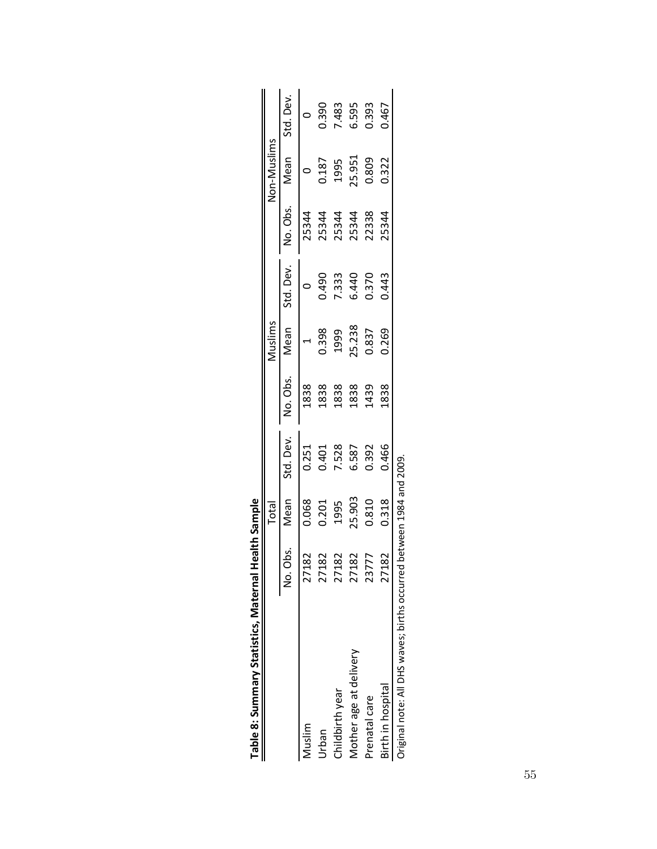|                                                                      |          | Danimos in Minor |           |          |         |           |          |             |           |
|----------------------------------------------------------------------|----------|------------------|-----------|----------|---------|-----------|----------|-------------|-----------|
|                                                                      |          | Total            |           |          | Muslims |           |          | Non-Muslims |           |
|                                                                      | No. Obs. | Mean             | Std. Dev. | No. Obs. | Mean    | Std. Dev. | No. Obs. | Mean        | Std. Dev. |
| Muslim                                                               | 27182    | 0.068            | 0.251     | 1838     |         |           | 25344    |             |           |
| Jrban                                                                | 27182    | 0.201            | 0.401     | 1838     | 0.398   | 0.490     | 25344    | 0.187       | 0.390     |
| Childbirth year                                                      | 27182    | 1995             | 7.528     | 1838     | 1999    | 7.333     | 25344    | 1995        | 7.483     |
| Mother age at delivery                                               | 27182    | 25.903           | 6.587     | 1838     | 25.238  | 6.440     | 25344    | 25.951      | 6.595     |
| Prenatal care                                                        | 23777    | 0.810            | 0.392     | 1439     | 0.837   | 0.370     | 22338    | 0.809       | 0.393     |
| Birth in hospital                                                    | 27182    | 0.318            | 0.466     | 1838     | 0.269   | 0.443     | 25344    | 0.322       | 0.467     |
| Original note: All DHS waves; births occurred between 1984 and 2009. |          |                  |           |          |         |           |          |             |           |

| ì                     |
|-----------------------|
| I Health Sar          |
| ī                     |
|                       |
|                       |
|                       |
| nterna.               |
|                       |
|                       |
|                       |
| $\cdot$ risti $\cdot$ |
|                       |
|                       |
|                       |
|                       |
| anmar.                |
| j                     |
| ∷                     |
|                       |
| ة eld.                |
|                       |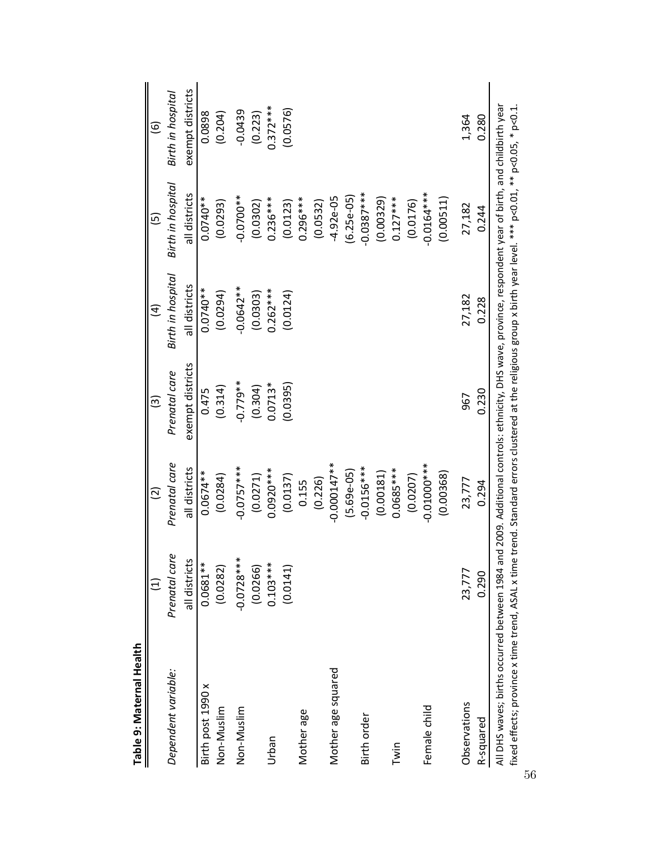|                                                                                                                                                                                                                                                                                                               |               | $\overline{c}$ | $\widetilde{\mathbf{S}}$ | $\widehat{a}$     | $\widetilde{\Theta}$ | $\widehat{\Theta}$ |
|---------------------------------------------------------------------------------------------------------------------------------------------------------------------------------------------------------------------------------------------------------------------------------------------------------------|---------------|----------------|--------------------------|-------------------|----------------------|--------------------|
| Dependent variable:                                                                                                                                                                                                                                                                                           | Prenatal care | Prenatal care  | Prenatal care            | Birth in hospital | Birth in hospital    | Birth in hospital  |
|                                                                                                                                                                                                                                                                                                               | all districts | all districts  | exempt districts         | all districts     | all districts        | exempt districts   |
| Birth post 1990 x                                                                                                                                                                                                                                                                                             | $0.0681***$   | $0.0674**$     | 0.475                    | $0.0740**$        | $0.0740**$           | 0.0898             |
| Non-Muslim                                                                                                                                                                                                                                                                                                    | (0.0282)      | (0.0284)       | (0.314)                  | (0.0294)          | (0.0293)             | (0.204)            |
| Non-Muslim                                                                                                                                                                                                                                                                                                    | $-0.0728***$  | $-0.0757***$   | $-0.779**$               | $-0.0642**$       | $-0.0700**$          | $-0.0439$          |
|                                                                                                                                                                                                                                                                                                               | (0.0266)      | (0.0271)       | (0.304)                  | (0.0303)          | (0.0302)             | (0.223)            |
| Urban                                                                                                                                                                                                                                                                                                         | $0.103***$    | $0.0920***$    | $0.0713*$                | $0.262***$        | $0.236***$           | $0.372***$         |
|                                                                                                                                                                                                                                                                                                               | (0.0141)      | (0.0137)       | 0.0395                   | (0.0124)          | (0.0123)             | (0.0576)           |
| Mother age                                                                                                                                                                                                                                                                                                    |               | 0.155          |                          |                   | $0.296***$           |                    |
|                                                                                                                                                                                                                                                                                                               |               | (0.226)        |                          |                   | (0.0532)             |                    |
| Mother age squared                                                                                                                                                                                                                                                                                            |               | $-0.000147**$  |                          |                   | $-4.92e-05$          |                    |
|                                                                                                                                                                                                                                                                                                               |               | $(5.69e-05)$   |                          |                   | $(6.25e-05)$         |                    |
| Birth order                                                                                                                                                                                                                                                                                                   |               | $-0.0156***$   |                          |                   | $-0.0387***$         |                    |
|                                                                                                                                                                                                                                                                                                               |               | (0.00181)      |                          |                   | (0.00329)            |                    |
| Twin                                                                                                                                                                                                                                                                                                          |               | 0.0685 ***     |                          |                   | $0.127***$           |                    |
|                                                                                                                                                                                                                                                                                                               |               | (0.0207)       |                          |                   | (0.0176)             |                    |
| Female child                                                                                                                                                                                                                                                                                                  |               | $-0.01000$ *** |                          |                   | $-0.0164***$         |                    |
|                                                                                                                                                                                                                                                                                                               |               | (0.00368)      |                          |                   | (0.00511)            |                    |
| Observations                                                                                                                                                                                                                                                                                                  | 23,777        | 23,777         | 967                      | 27,182            | 27,182               | 1,364              |
| R-squared                                                                                                                                                                                                                                                                                                     | 0.290         | 0.294          | 0.230                    | 0.228             | 0.244                | 0.280              |
| All DHS waves; births occurred between 1984 and 2009. Additional controls: ethnicity, DHS wave, province, respondent year of birth, and childbirth year<br>fixed effects; province x time trend, ASAL x time trend. Standard errors clustered at the religious group x birth year level. *** p<0.01, ** p<0.1 |               |                |                          |                   |                      |                    |

Table 9: Maternal Health **Table 9: Maternal Health**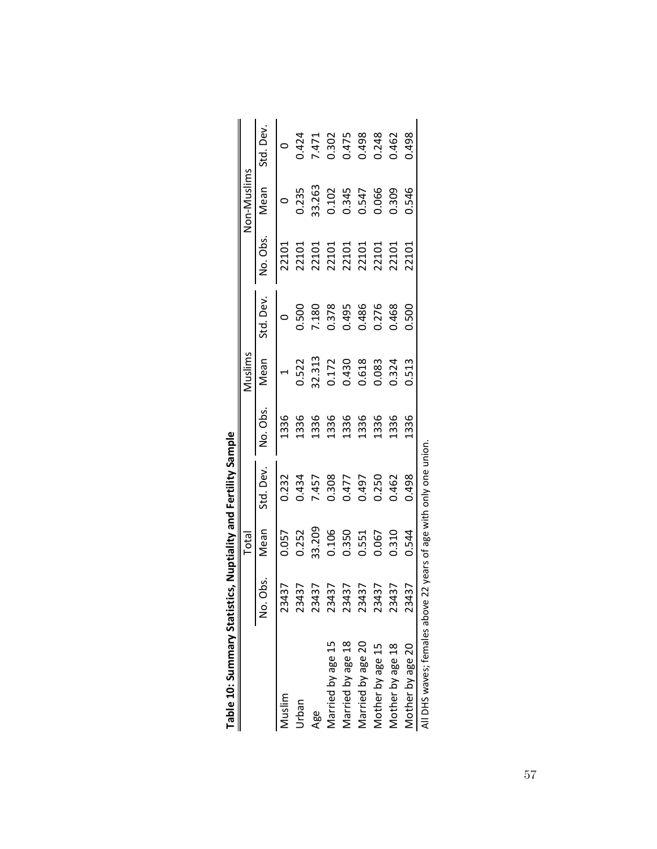|                              |                | Total  |                                     |          | Muslims |           |                | Non-Muslims |          |
|------------------------------|----------------|--------|-------------------------------------|----------|---------|-----------|----------------|-------------|----------|
|                              | Obs.<br>۔<br>S | Vlean  | std. Dev                            | No. Obs. | Mean    | Std. Dev. | No. Obs        | Mean        | Std. Dev |
| Muslim                       | 23437          | 0.057  | 0.232                               | 1336     |         |           | 22101          |             |          |
| Urban                        | 23437          | 0.252  | 0.434                               | 1336     | 0.522   | 0.500     | 22101          | 0.235       | 0.424    |
| Age                          | 23437          | 33.209 | 7.457                               | 1336     | 32.313  | 7.180     | 22101          | 33.263      | 7.471    |
| Married by age 15            | 23437          | 0.106  | 0.308                               | 1336     | 0.172   | 0.378     | 22101          | 0.102       | 0.302    |
| Married by age 18            | 437<br>Ž       | 0.350  | 0.477                               | 1336     | 0.430   | 0.495     | 22101<br>22101 | 0.345       | 0.475    |
| Married by age 20            | 23437          | 0.551  | 0.497                               | 1336     | 0.618   | 0.486     |                | 0.547       | 0.498    |
| Mother by age 15             | 23437          | 0.067  | 0.250                               | 1336     | 0.083   | 0.276     | 22101          | 0.066       | 0.248    |
| Mother by age 18             | 23437          | 0.310  | 0.462                               | 1336     | 0.324   | 0.468     | 22101          | 0.309       | 0.462    |
| Mother by age 20             | 23437          | 0.544  | 0.498                               | 1336     | 0.513   | 0.500     | 22101          | 0.546       | 0.498    |
| All DHS waves; females above |                |        | 22 years of age with only one union |          |         |           |                |             |          |

| ؟<br>؟<br>Ì                  |  |
|------------------------------|--|
| $\sim$ is a not fere $\sim$  |  |
|                              |  |
| י<br>יייוא                   |  |
| j<br>atıst<br>؛              |  |
| ;<br>į<br>ļ<br>$\frac{1}{2}$ |  |
| $\frac{1}{2}$<br>コロニッ<br>Ī   |  |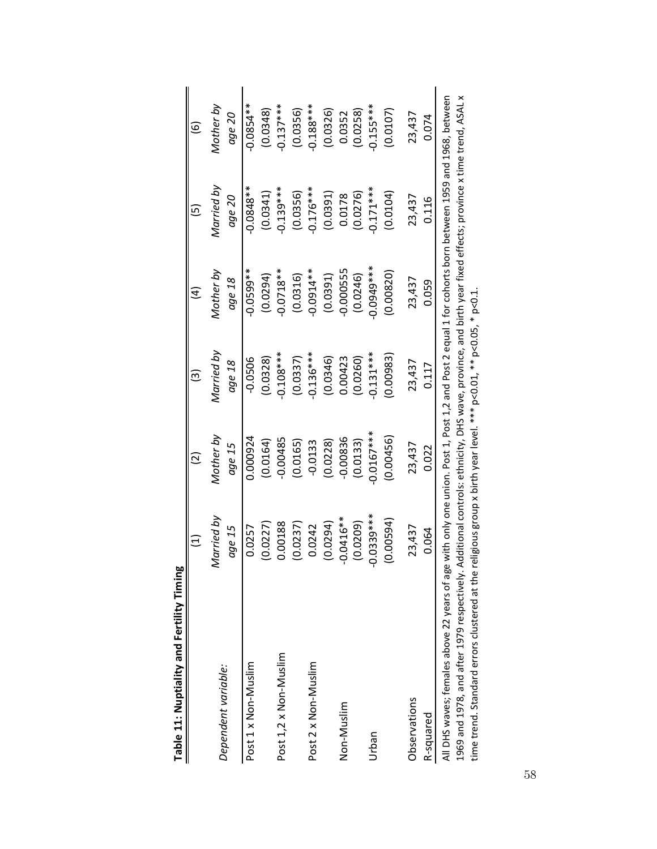| Table 11: Nuptiality and Fertility Timing                                                                                                                                                                   |              |                                                                    |             |               |                |                        |
|-------------------------------------------------------------------------------------------------------------------------------------------------------------------------------------------------------------|--------------|--------------------------------------------------------------------|-------------|---------------|----------------|------------------------|
|                                                                                                                                                                                                             |              | $\widehat{\circ}$                                                  | <u>ල</u>    | $\widehat{A}$ | $\overline{5}$ | $\widehat{\mathbf{e}}$ |
|                                                                                                                                                                                                             | Married by   | Mother by                                                          | Married by  | Mother by     | Married by     | Mother by              |
| Dependent variable:                                                                                                                                                                                         | age 15       | age 15                                                             | age 18      | age 18        | age 20         | age 20                 |
| Post 1 x Non-Muslim                                                                                                                                                                                         | 0.0257       | 0.000924                                                           | $-0.0506$   | $0.0599**$    | $0.0848**$     | $-0.0854**$            |
|                                                                                                                                                                                                             | (0.0227)     | (0.0164)                                                           | (0.0328)    | (0.0294)      | (0.0341)       | (0.0348)               |
| Post 1,2 x Non-Muslim                                                                                                                                                                                       | 0.00188      | $-0.00485$                                                         | $-0.108***$ | $-0.0718**$   | $-0.139***$    | $-0.137***$            |
|                                                                                                                                                                                                             | (0.0237)     | (0.0165)                                                           | (0.0337)    | (0.0316)      | (0.0356)       | (0.0356)               |
| Post 2 x Non-Muslim                                                                                                                                                                                         | 0.0242       | $-0.0133$                                                          | $-0.136***$ | $-0.0914**$   | $-0.176***$    | $-0.188***$            |
|                                                                                                                                                                                                             | (0.0294)     | (0.0228)                                                           | (0.0346)    | (0.0391)      | (0.0391)       | (0.0326)               |
| Non-Muslim                                                                                                                                                                                                  | $-0.0416**$  | $-0.00836$                                                         | 0.00423     | 0.000555      | 0.0178         | 0.0352                 |
|                                                                                                                                                                                                             | (0.0209)     | (0.0133)                                                           | (0.0260)    | (0.0246)      | (0.0276)       | (0.0258)               |
| Urban                                                                                                                                                                                                       | $-0.0339***$ | $0.0167***$                                                        | $-0.131***$ | $-0.0949***$  | $-0.171***$    | $-0.155***$            |
|                                                                                                                                                                                                             | (0.00594)    | (0.00456)                                                          | (0.00983)   | (0.00820)     | (0.0104)       | (0.0107)               |
| Observations                                                                                                                                                                                                | 23,437       | 23,437                                                             | 23,437      | 23,437        | 23,437         | 23,437                 |
| R-squared                                                                                                                                                                                                   | 0.064        | 0.022                                                              | 0.117       | 0.059         | 0.116          | 0.074                  |
| All DHS waves; females above 22 years of age with only one union. Post 1, Post 1, 2 and Post 2 equal 1 for cohorts born between 1959 and 1968, between                                                      |              |                                                                    |             |               |                |                        |
| 1969 and 1978, and after 1979 respectively. Additional controls: ethnicity, DHS wave, province, and birth year fixed effects; province x time trend, ASAL x<br>time trend. Standard errors clustered at the |              | religious group x birth year level. *** p<0.01, ** p<0.05, * p<0.1 |             |               |                |                        |
|                                                                                                                                                                                                             |              |                                                                    |             |               |                |                        |

| í<br>i                   |
|--------------------------|
|                          |
|                          |
|                          |
|                          |
|                          |
| $\overline{\phantom{a}}$ |
| ĭ                        |
|                          |
|                          |
| l                        |
|                          |
|                          |
|                          |
|                          |
|                          |
|                          |
|                          |
|                          |
| l                        |
| ı                        |
|                          |
|                          |
|                          |
|                          |
|                          |
|                          |
|                          |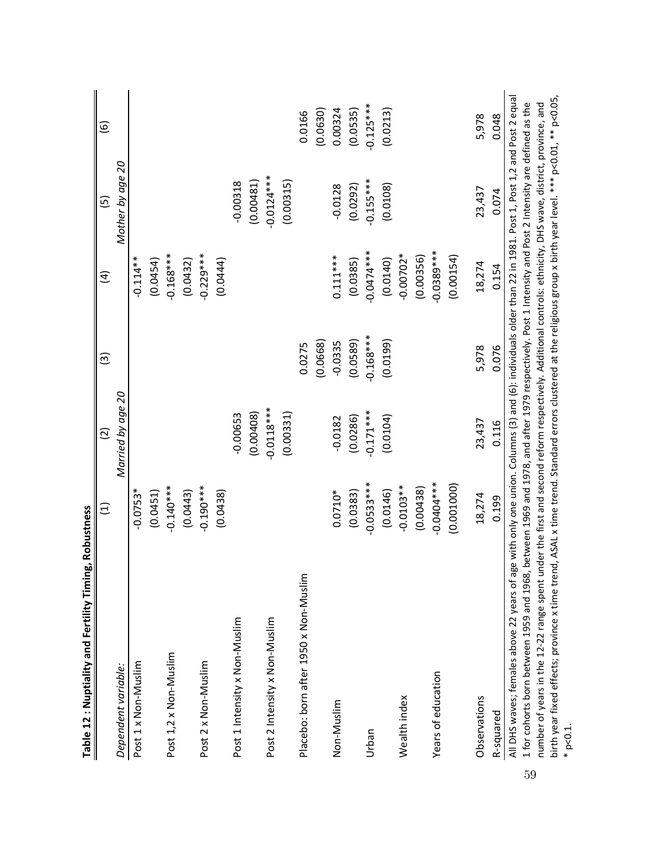| Table 12: Nuptiality and Fertility Timing, Robustness                                                                                                                                                                                                                                                                                      |                 |                   |                |              |                                                                                                              |                        |
|--------------------------------------------------------------------------------------------------------------------------------------------------------------------------------------------------------------------------------------------------------------------------------------------------------------------------------------------|-----------------|-------------------|----------------|--------------|--------------------------------------------------------------------------------------------------------------|------------------------|
|                                                                                                                                                                                                                                                                                                                                            | $\widehat{\Xi}$ | $\overline{2}$    | $\overline{3}$ | <u>।</u>     | $\widetilde{5}$                                                                                              | $\widehat{\mathbf{e}}$ |
| Dependent variable:                                                                                                                                                                                                                                                                                                                        |                 | Married by age 20 |                |              | Mother by age 20                                                                                             |                        |
| Post 1 x Non-Muslim                                                                                                                                                                                                                                                                                                                        | $-0.0753*$      |                   |                | $-0.114**$   |                                                                                                              |                        |
|                                                                                                                                                                                                                                                                                                                                            | (0.0451)        |                   |                | (0.0454)     |                                                                                                              |                        |
| Post 1,2 x Non-Muslim                                                                                                                                                                                                                                                                                                                      | $-0.140**$      |                   |                | $-0.168***$  |                                                                                                              |                        |
|                                                                                                                                                                                                                                                                                                                                            | (0.0443)        |                   |                | (0.0432)     |                                                                                                              |                        |
| Post 2 x Non-Muslim                                                                                                                                                                                                                                                                                                                        | $-0.190***$     |                   |                | $-0.229***$  |                                                                                                              |                        |
|                                                                                                                                                                                                                                                                                                                                            | (0.0438)        |                   |                | (0.0444)     |                                                                                                              |                        |
| Post 1 Intensity x Non-Muslim                                                                                                                                                                                                                                                                                                              |                 | $-0.00653$        |                |              | $-0.00318$                                                                                                   |                        |
|                                                                                                                                                                                                                                                                                                                                            |                 | (0.00408)         |                |              | (0.00481)                                                                                                    |                        |
| Post 2 Intensity x Non-Muslim                                                                                                                                                                                                                                                                                                              |                 | $-0.0118***$      |                |              | $-0.0124***$                                                                                                 |                        |
|                                                                                                                                                                                                                                                                                                                                            |                 | (0.00331)         |                |              | (0.00315)                                                                                                    |                        |
| Placebo: born after 1950 x Non-Muslim                                                                                                                                                                                                                                                                                                      |                 |                   | 0.0275         |              |                                                                                                              | 0.0166                 |
|                                                                                                                                                                                                                                                                                                                                            |                 |                   | (0.0668)       |              |                                                                                                              | (0.0630)               |
| Non-Muslim                                                                                                                                                                                                                                                                                                                                 | $0.0710*$       | $-0.0182$         | $-0.0335$      | $0.111***$   | $-0.0128$                                                                                                    | 0.00324                |
|                                                                                                                                                                                                                                                                                                                                            | (0.0383)        | (0.0286)          | (0.0589)       | (0.0385)     | (0.0292)                                                                                                     | (0.0535)               |
| Urban                                                                                                                                                                                                                                                                                                                                      | $-0.0533***$    | $-0.171***$       | $-0.168***$    | $-0.0474***$ | $-0.155***$                                                                                                  | $-0.125***$            |
|                                                                                                                                                                                                                                                                                                                                            | (0.0146)        | (0.0104)          | (0.0199)       | (0.0140)     | (0.0108)                                                                                                     | (0.0213)               |
| Wealth index                                                                                                                                                                                                                                                                                                                               | $-0.0103**$     |                   |                | $-0.00702*$  |                                                                                                              |                        |
|                                                                                                                                                                                                                                                                                                                                            | (0.00438)       |                   |                | (0.00356)    |                                                                                                              |                        |
| Years of education                                                                                                                                                                                                                                                                                                                         | $-0.0404**$     |                   |                | $-0.0389***$ |                                                                                                              |                        |
|                                                                                                                                                                                                                                                                                                                                            | (0.001000)      |                   |                | (0.00154)    |                                                                                                              |                        |
| Observations                                                                                                                                                                                                                                                                                                                               | 18,274          | 23,437            | 5,978          | 18,274       | 23,437                                                                                                       | 5,978                  |
| R-squared                                                                                                                                                                                                                                                                                                                                  | 0.199           | 0.116             | 0.076          | 0.154        | 0.074                                                                                                        | 0.048                  |
| All DHS waves; females above 22 years of age with only one union. Columns (3) and (6): individuals older than 22 in 1981. Post 1, Post 1,2 and Post 2 equal<br>1 for cohorts born between 1959 and 1968,                                                                                                                                   |                 |                   |                |              | between 1969 and 1978, and after 1979 respectively. Post 1 Intensity and Post 2 Intensity are defined as the |                        |
| birth year fixed effects; province x time trend, ASAL x time trend. Standard errors clustered at the religious group x birth year level. *** p<0.01, ** p<0.05,<br>number of years in the 12-22 range spent under the first and second reform respectively. Additional controls: ethnicity, DHS wave, district, province, and<br>$*$ p<0.1 |                 |                   |                |              |                                                                                                              |                        |
|                                                                                                                                                                                                                                                                                                                                            |                 |                   |                |              |                                                                                                              |                        |

**Table 12 : Nuptiality and Fertility Timing, Robustness** A å Ė  $+$ ilit ن<br>پر<br>پ ntialith Ż  $\ddot{\phantom{0}}$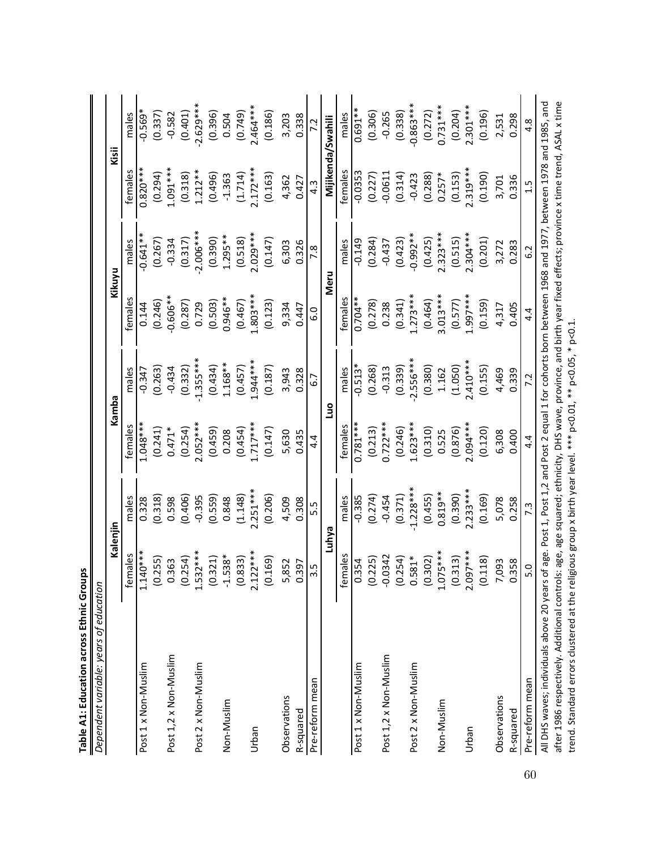| Table A1: Education across Ethnic Groups                                                                                                                        |                                    |            |            |             |            |            |                   |             |
|-----------------------------------------------------------------------------------------------------------------------------------------------------------------|------------------------------------|------------|------------|-------------|------------|------------|-------------------|-------------|
| Dependent variable: years of education                                                                                                                          |                                    |            |            |             |            |            |                   |             |
|                                                                                                                                                                 | Kalenjin                           |            |            | Kamba       | Kikuyu     |            | Kisii             |             |
|                                                                                                                                                                 | females                            | males      | females    | males       | females    | males      | females           | males       |
| Post 1 x Non-Muslim                                                                                                                                             | $1.140***$                         | 0.328      | $1.048***$ | $-0.347$    | 0.144      | $-0.641**$ | $0.820***$        | $-0.569*$   |
|                                                                                                                                                                 | (0.255)                            | (0.318)    | (0.241)    | (0.263)     | (0.246)    | (0.267)    | (0.294)           | (0.337)     |
| Post 1,2 x Non-Muslim                                                                                                                                           | 0.363                              | 0.598      | $0.471*$   | $-0.434$    | $-0.606**$ | $-0.334$   | $1.091***$        | $-0.582$    |
|                                                                                                                                                                 | (0.254)                            | (0.406)    | (0.254)    | (0.332)     | (0.287)    | (0.317)    | (0.318)           | (0.401)     |
| Post 2 x Non-Muslim                                                                                                                                             | $1.532***$                         | $-0.395$   | $2.052***$ | $-1.355***$ | 0.729      | $2.006***$ | $1.212**$         | $-2.629***$ |
|                                                                                                                                                                 | (0.321)                            | (0.559)    | (0.459)    | (0.434)     | (0.503)    | (0.390)    | (0.496)           | (0.396)     |
| Non-Muslim                                                                                                                                                      | $-1.538*$                          | 0.848      | 0.208      | $1.168**$   | $0.946**$  | $1.295***$ | $-1.363$          | 0.504       |
|                                                                                                                                                                 |                                    | (1.148)    | (0.454)    | (0.457)     | (0.467)    | (0.518)    | (1.714)           | (0.749)     |
| <b>Urban</b>                                                                                                                                                    | $(0.833)$<br>2.122***              | $2.251***$ | $1.717***$ | $1.944***$  | $1.803***$ | $2.029***$ | $2.172***$        | $2.464***$  |
|                                                                                                                                                                 | (0.169)                            | (0.206)    | (0.147)    | (0.187)     | (0.123)    | (0.147)    | (0.163)           | (0.186)     |
| Observations                                                                                                                                                    | 5,852                              | 4,509      | 5,630      | 3,943       | 9,334      | 6,303      | 4,362             | 3,203       |
| R-squared                                                                                                                                                       | 0.397                              | 0.308      | 0.435      | 0.328       | 0.447      | 0.326      | 0.427             | 0.338       |
| Pre-reform mean                                                                                                                                                 | 3.5                                | 5.5        | 4.4        | 5.7         | ٥.<br>ق    | 7.8        | $4.\overline{3}$  | 7.2         |
|                                                                                                                                                                 | Luhya                              |            | <b>Sri</b> |             |            | Meru       | Mijikenda/Swahili |             |
|                                                                                                                                                                 | females                            | males      | females    | males       | females    | males      | females           | males       |
| Post 1 x Non-Muslim                                                                                                                                             | 0.354                              | $-0.385$   | $0.781***$ | $-0.513*$   | $0.704**$  | $-0.149$   | $-0.0353$         | $0.691**$   |
|                                                                                                                                                                 | (0.225)                            | (0.274)    | (0.213)    | (0.268)     | (0.278)    | (0.284)    | (0.227)           | (0.306)     |
| Post 1,2 x Non-Muslim                                                                                                                                           |                                    | $-0.454$   | $0.722***$ | $-0.313$    | 0.238      | $-0.437$   | $-0.0611$         | $-0.265$    |
|                                                                                                                                                                 | $-0.0342$<br>$(0.254)$<br>$0.581*$ | (0.371)    | (0.246)    | (0.339)     | (0.341)    | (0.423)    | (0.314)           | (0.338)     |
| Post 2 x Non-Muslim                                                                                                                                             |                                    | $1.228***$ | $1.623***$ | $-2.556***$ | $1.273***$ | $-0.992**$ | $-0.423$          | $-0.863***$ |
|                                                                                                                                                                 | $(0.302)$<br>1.075***              | (0.455)    | (0.310)    | (0.380)     | (0.464)    | (0.425)    | (0.288)           | (0.272)     |
| Non-Muslim                                                                                                                                                      |                                    | $0.819**$  | 0.525      | 1.162       | $3.013***$ | $2.323***$ | $0.257*$          | $0.731***$  |
|                                                                                                                                                                 | $(0.313)$<br>2.097***              | (0.390)    | (0.876)    | (1.050)     | (0.577)    | (0.515)    | (0.153)           | (0.204)     |
| Urban                                                                                                                                                           |                                    | $2.233***$ | $2.094***$ | $2.410***$  | $1.997***$ | $2.304***$ | $2.319***$        | $2.301***$  |
|                                                                                                                                                                 | (0.118)                            | (0.169)    | (0.120)    | (0.155)     | (0.159)    | (0.201)    | (0.190)           | (0.196)     |
| Observations                                                                                                                                                    | 7,093                              | 5,078      | 6,308      | 4,469       | 4,317      | 3,272      | 3,701             | 2,531       |
| R-squared                                                                                                                                                       | 0.358                              | 0.258      | 0.400      | 0.339       | 0.405      | 0.283      | 0.336             | 0.298       |
| Pre-reform mean                                                                                                                                                 | 5.0                                | 7.3        | 4.4        | 7.2         | 4.4        | 6.2        | 1.5               | 4.8         |
| All DHS waves; individuals above 20 years of age. Post 1, Post 1,2 and Post 2 equal 1 for cohorts born between 1968 and 1977, between 1978 and 1985, and        |                                    |            |            |             |            |            |                   |             |
| after 1986 respectively. Additional controls: age, age squared; ethnicity, DHS wave, province, and birth year fixed effects; province x time trend, ASAL x time |                                    |            |            |             |            |            |                   |             |
| trend. Standard errors clustered at the religious group x birth year level. *** p<0.01, ** p<0.05, * p<0.1                                                      |                                    |            |            |             |            |            |                   |             |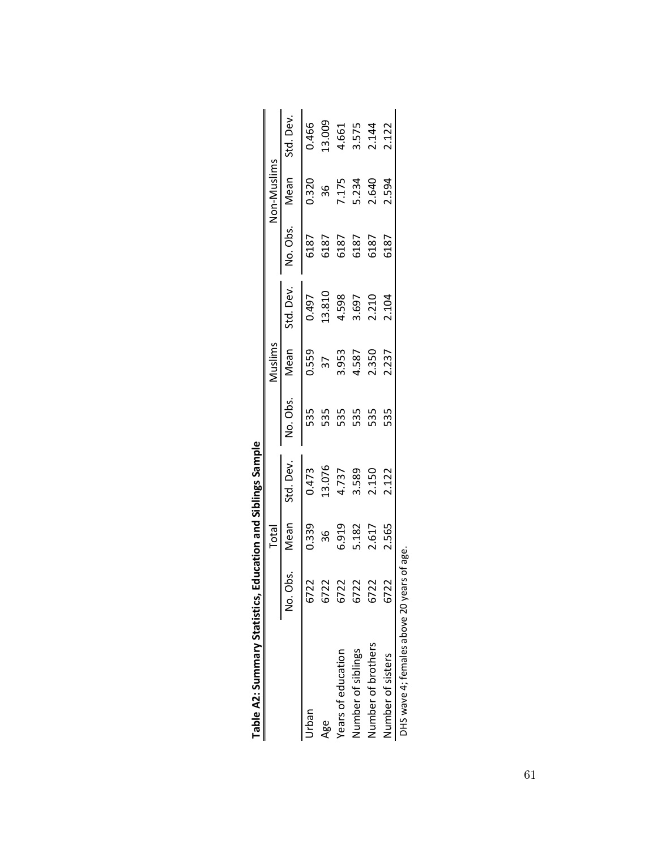| Table A2: Summary Statistics,              |                |       | Education and Siblings Sample |          |         |           |          |             |                         |
|--------------------------------------------|----------------|-------|-------------------------------|----------|---------|-----------|----------|-------------|-------------------------|
|                                            |                | Total |                               |          | Muslims |           |          | Non-Muslims |                         |
|                                            | Obs.<br>J<br>2 | Mean  | Std. Dev.                     | No. Obs. | Mean    | Std. Dev. | No. Obs. | Mean        | Std. Dev.               |
| Jrban                                      | 6722           | 0.339 | 0.473                         | 535      | 0.559   | 0.497     | 6187     | 0.320       | 0.466                   |
| Age                                        |                | 36    | 13.076                        | 535      | 37      | 13.810    | 6187     | 36          | 13.009                  |
| rears of education                         | 6722           | 6.919 | 4.737                         | 535      | 3.953   | 4.598     | 6187     | 7.175       | 4.661                   |
| Number of siblings                         | 6722           | 5.182 | 3.589                         | 535      | 4.587   | 3.697     | 6187     | 5.234       |                         |
| Number of brothers                         |                | 2.617 | 2.150                         | 535      | 2.350   | 2.210     | 6187     | 2.640       | 3.575<br>2.144<br>2.122 |
| Number of sisters                          |                | 2.565 | 2.122                         | 535      | 2.237   | 2.104     | 6187     | 2.594       |                         |
| DHS wave 4; females above 20 years of age. |                |       |                               |          |         |           |          |             |                         |

| $\frac{1}{2}$     |
|-------------------|
|                   |
| pue<br>とくこうこく     |
| <b>Statistics</b> |
| à<br>;<br>j       |
| <b>Table</b>      |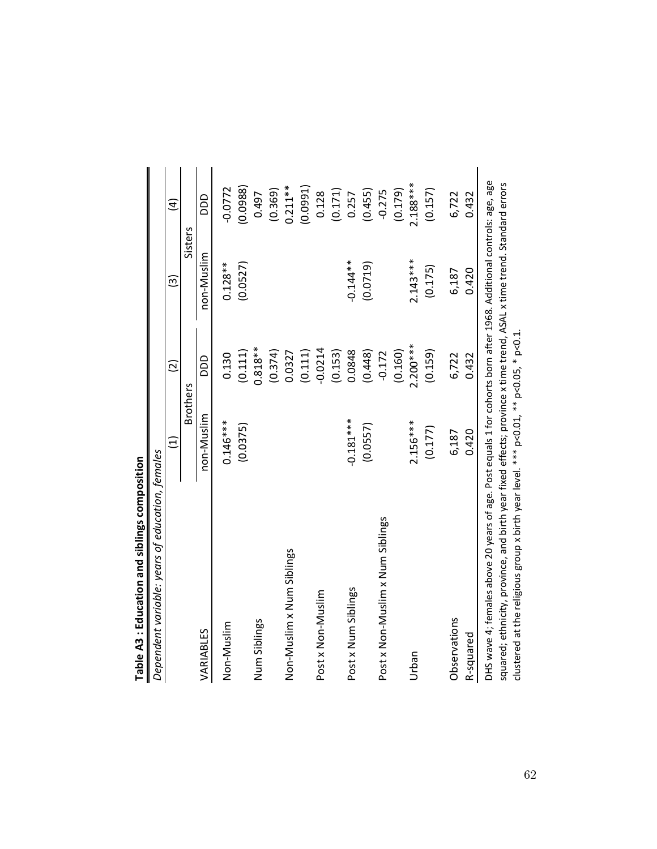| Dependent variable: years of education, females                                                                                                                                                                                                                                                                                     |                 |                        |            |               |
|-------------------------------------------------------------------------------------------------------------------------------------------------------------------------------------------------------------------------------------------------------------------------------------------------------------------------------------|-----------------|------------------------|------------|---------------|
|                                                                                                                                                                                                                                                                                                                                     | Ξ               | $\widehat{\mathbf{c}}$ | ⊙          | $\widehat{a}$ |
|                                                                                                                                                                                                                                                                                                                                     | <b>Brothers</b> |                        | Sisters    |               |
| VARIABLES                                                                                                                                                                                                                                                                                                                           | non-Muslim      | DDD                    | non-Muslim | DDD           |
| Non-Muslim                                                                                                                                                                                                                                                                                                                          | $0.146***$      | 0.130                  | $0.128**$  | 0.0772        |
|                                                                                                                                                                                                                                                                                                                                     | (0.0375)        | (0.111)                | (0.0527)   | (0.0988)      |
| Num Siblings                                                                                                                                                                                                                                                                                                                        |                 | $0.818**$              |            | 0.497         |
|                                                                                                                                                                                                                                                                                                                                     |                 | (0.374)                |            | (0.369)       |
| Non-Muslim x Num Siblings                                                                                                                                                                                                                                                                                                           |                 | 0.0327                 |            | $0.211***$    |
|                                                                                                                                                                                                                                                                                                                                     |                 | (0.111)                |            | (0.0991)      |
| Post x Non-Muslim                                                                                                                                                                                                                                                                                                                   |                 | $-0.0214$              |            | 0.128         |
|                                                                                                                                                                                                                                                                                                                                     |                 | (0.153)                |            | (0.171)       |
| Post x Num Siblings                                                                                                                                                                                                                                                                                                                 | $-0.181***$     | 0.0848                 | $-0.144**$ | 0.257         |
|                                                                                                                                                                                                                                                                                                                                     | (0.0557)        | (0.448)                | (0.0719)   | (0.455)       |
| Post x Non-Muslim x Num Siblings                                                                                                                                                                                                                                                                                                    |                 | $-0.172$               |            | $-0.275$      |
|                                                                                                                                                                                                                                                                                                                                     |                 | (0.160)                |            | (0.179)       |
| Urban                                                                                                                                                                                                                                                                                                                               | $2.156***$      | $2.200***$             | $2.143***$ | $2.188***$    |
|                                                                                                                                                                                                                                                                                                                                     | (0.177)         | (0.159)                | (0.175)    | (0.157)       |
| Observations                                                                                                                                                                                                                                                                                                                        | 6,187           | 6,722                  | 6,187      | 6,722         |
| R-squared                                                                                                                                                                                                                                                                                                                           | 0.420           | 0.432                  | 0.420      | 0.432         |
| DHS wave 4; females above 20 years of age. Post equals 1 for cohorts born after 1968. Additional controls: age, age<br>squared; ethnicity, province, and birth year fixed effects; province x time trend, ASAL x time trend. Standard errors<br>clustered at the religious group x birth year level. *** p<0.01, ** p<0.05, * p<0.1 |                 |                        |            |               |

Table A3 : Education and siblings composition **Table A3 : Education and siblings composition**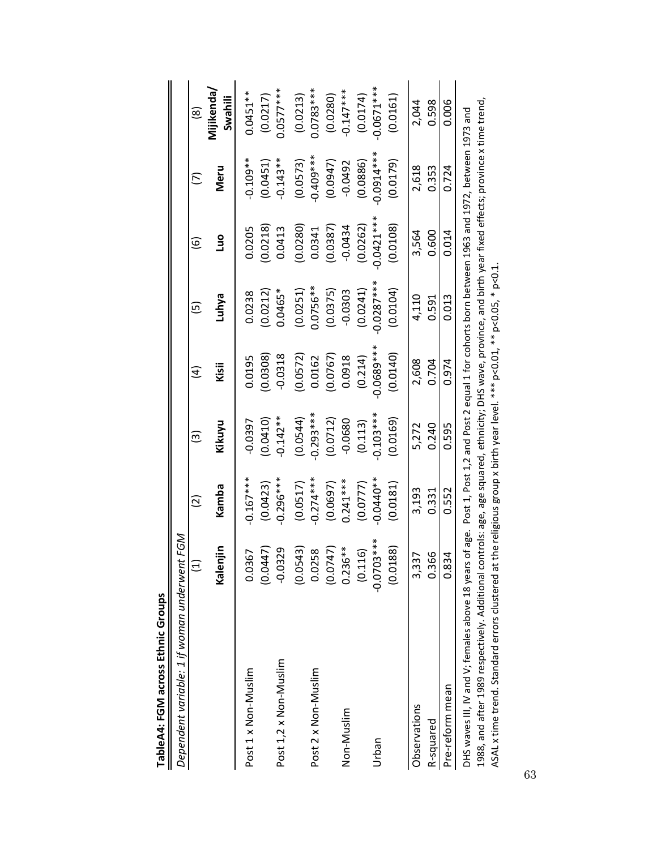| Dependent variable: 1 if woman underwent                                                                                                                                                                                                                                                                                                                                     | FGM           |                   |                   |              |                                                                       |              |              |                       |
|------------------------------------------------------------------------------------------------------------------------------------------------------------------------------------------------------------------------------------------------------------------------------------------------------------------------------------------------------------------------------|---------------|-------------------|-------------------|--------------|-----------------------------------------------------------------------|--------------|--------------|-----------------------|
|                                                                                                                                                                                                                                                                                                                                                                              | $\widehat{E}$ | $\widetilde{\Xi}$ | $\widetilde{\Xi}$ | ਤ            | 0                                                                     | ତ୍ର          |              | $\circleds$           |
|                                                                                                                                                                                                                                                                                                                                                                              | Kalenjin      | Kamba             | Kikuyu            | Kisii        | Luhya                                                                 | <b>Dn</b>    | Meru         | Mijikenda/<br>Swahili |
| Post 1 x Non-Muslim                                                                                                                                                                                                                                                                                                                                                          | 0.0367        | $-0.167***$       | $-0.0397$         | 0.0195       | 0.0238                                                                | 0.0205       | $-0.109**$   | $0.0451***$           |
|                                                                                                                                                                                                                                                                                                                                                                              | (0.0447)      | (0.0423)          | (0.0410)          | (8050.0)     | (0.0212)                                                              | (0.0218)     | (0.0451)     | (0.0217)              |
| Post 1,2 x Non-Muslim                                                                                                                                                                                                                                                                                                                                                        | $-0.0329$     | $-0.296***$       | $-0.142**$        | $-0.0318$    | $0.0465*$                                                             | 0.0413       | $-0.143**$   | $0.0577***$           |
|                                                                                                                                                                                                                                                                                                                                                                              | (0.0543)      | (0.0517)          | (0.0544)          | (0.0572)     | (0.0251)                                                              | (0.0280)     | (0.0573)     | (0.0213)              |
| Post 2 x Non-Muslim                                                                                                                                                                                                                                                                                                                                                          | 0.0258        | $-0.274***$       | $-0.293***$       | 0.0162       | $0.0756**$                                                            | 0.0341       | $0.409***$   | $0.0783***$           |
|                                                                                                                                                                                                                                                                                                                                                                              | (0.0747)      | (0.0697)          | (0.0712)          | (0.0767)     | (0.0375)                                                              | (0.0387)     | (0.0947)     | (0.0280)              |
| Non-Muslim                                                                                                                                                                                                                                                                                                                                                                   | $0.236**$     | $0.241***$        | $-0.0680$         | 0.0918       | $-0.0303$                                                             | $-0.0434$    | $-0.0492$    | $-0.147***$           |
|                                                                                                                                                                                                                                                                                                                                                                              | (0.116)       | (0.0777)          | (0.113)           | (0.214)      | (0.0241)                                                              | (0.0262)     | (0.0886)     | (0.0174)              |
| Urban                                                                                                                                                                                                                                                                                                                                                                        | $-0.0703***$  | $0.0440**$        | $-0.103***$       | $-0.0689***$ | $-0.0287***$                                                          | $-0.0421***$ | $-0.0914***$ | $-0.0671***$          |
|                                                                                                                                                                                                                                                                                                                                                                              | (0.0188)      | (0.0181)          | (0.0169)          | (0.0140)     | (0.0104)                                                              | (0.0108)     | (0.0179)     | (0.0161)              |
| Observations                                                                                                                                                                                                                                                                                                                                                                 | 3,337         | 3,193             | 5,272             | 2,608        | 4,110                                                                 | 3,564        | 2,618        | 2,044                 |
| R-squared                                                                                                                                                                                                                                                                                                                                                                    | 0.366         | 0.331             | 0.240             | 0.704        | 0.591                                                                 | 0.600        | 0.353        | 0.598                 |
| Pre-reform mean                                                                                                                                                                                                                                                                                                                                                              | 0.834         | 0.552             | 0.595             | 0.974        | 0.013                                                                 | 0.014        | 0.724        | 0.006                 |
| 1988, and after 1989 respectively. Additional controls: age, age squared, ethnicity; DHS wave, province, and birth year fixed effects; province x time trend,<br>DHS waves III, IV and V; females above 18 years of age. Post 1, Post 1, 2 and Post 2 equal 1 for cohorts born between 1963 and 1972, between 1973 and<br>ASAL x time trend. Standard errors clustered at th |               |                   |                   |              | ne religious group x birth year level. *** p<0.01, ** p<0.05, * p<0.1 |              |              |                       |

TableA4: FGM across Ethnic Groups **TableA4: FGM across Ethnic Groups**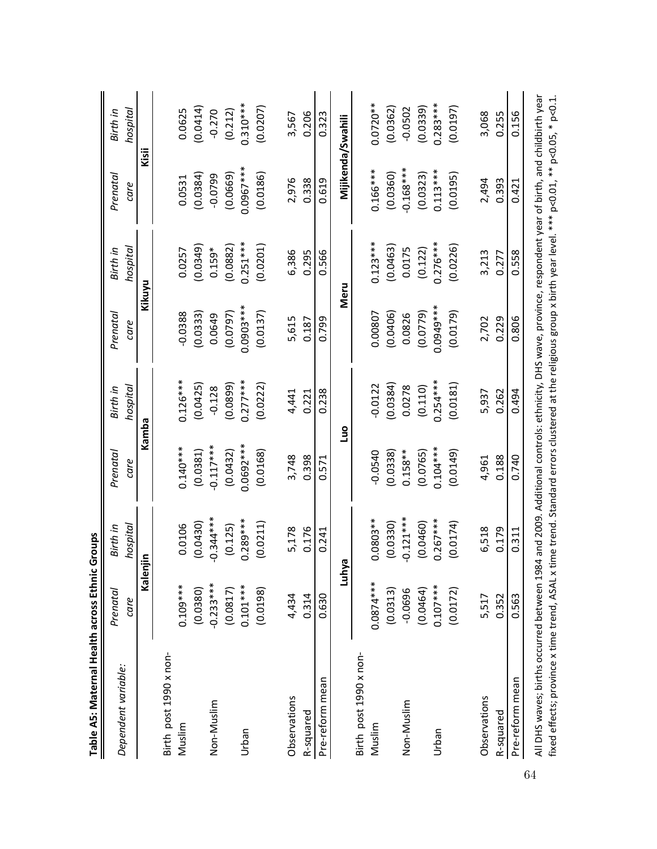| l able A5: Maternal Health across Ethni                                                                                                                                                                   |             | <b>Groups</b> |             |            |             |            |                                                                                                                 |            |
|-----------------------------------------------------------------------------------------------------------------------------------------------------------------------------------------------------------|-------------|---------------|-------------|------------|-------------|------------|-----------------------------------------------------------------------------------------------------------------|------------|
| Dependent variable:                                                                                                                                                                                       | Prenatal    | Birth in      | Prenatai    | Birth in   | Prenatal    | Birth in   | Prenatai                                                                                                        | Birth in   |
|                                                                                                                                                                                                           | care        | hospital      | care        | hospita    | care        | hospita    | care                                                                                                            | hospita    |
|                                                                                                                                                                                                           |             | Kalenjin      | Kamba       |            | Kikuyu      |            | Kisii                                                                                                           |            |
| Birth post 1990 x non-                                                                                                                                                                                    |             |               |             |            |             |            |                                                                                                                 |            |
| Muslim                                                                                                                                                                                                    | $0.109***$  | 0.0106        | $0.140***$  | $0.126***$ | 0.0388      | 0.0257     | 0.0531                                                                                                          | 0.0625     |
|                                                                                                                                                                                                           | (0.0380)    | (0.0430)      | (0.0381)    | (0.0425)   | (0.0333)    | (0.0349)   | (0.0384)                                                                                                        | (0.0414)   |
| Non-Muslim                                                                                                                                                                                                | $-0.233***$ | $-0.344***$   | $-0.117***$ | $-0.128$   | 0.0649      | $0.159*$   | $-0.0799$                                                                                                       | $-0.270$   |
|                                                                                                                                                                                                           | (0.0817)    | (0.125)       | (0.0432)    | (0.0899)   | (0.0797)    | (0.0882)   | (0.0669)                                                                                                        | (0.212)    |
| Urban                                                                                                                                                                                                     | $0.101***$  | $0.289***$    | $0.0692***$ | $0.277***$ | $0.0903***$ | $0.251***$ | $0.0967***$                                                                                                     | $0.310***$ |
|                                                                                                                                                                                                           | (0.0198)    | (0.0211)      | (0.0168)    | (0.0222)   | (0.0137)    | (0.0201)   | (0.0186)                                                                                                        | (0.0207)   |
|                                                                                                                                                                                                           |             |               |             |            |             |            |                                                                                                                 |            |
| Observations                                                                                                                                                                                              | 4,434       | 5,178         | 3,748       | 4,441      | 5,615       | 6,386      | 2,976                                                                                                           | 3,567      |
| R-squared                                                                                                                                                                                                 | 0.314       | 0.176         | 0.398       | 0.221      | 0.187       | 0.295      | 0.338                                                                                                           | 0.206      |
| Pre-reform mean                                                                                                                                                                                           | 0.630       | 0.241         | 0.571       | 0.238      | 0.799       | 0.566      | 0.619                                                                                                           | 0.323      |
|                                                                                                                                                                                                           |             | Luhya         | <u>o</u> n  |            | Meru        |            | Mijikenda/Swahili                                                                                               |            |
| Birth post 1990 x non-                                                                                                                                                                                    |             |               |             |            |             |            |                                                                                                                 |            |
| Muslim                                                                                                                                                                                                    | $0.0874***$ | $0.0803***$   | 0.0540      | 0.0122     | 0.00807     | $0.123***$ | $0.166***$                                                                                                      | $0.0720**$ |
|                                                                                                                                                                                                           | (0.0313)    | (0.0330)      | (0.0338)    | (0.0384)   | (0.0406)    | (0.0463)   | (0.0360)                                                                                                        | (0.0362)   |
| Non-Muslim                                                                                                                                                                                                | $-0.0696$   | $0.121***$    | $0.158**$   | 0.0278     | 0.0826      | 0.0175     | $-0.168***$                                                                                                     | $-0.0502$  |
|                                                                                                                                                                                                           | (0.0464)    | (0.0460)      | (0.0765)    | (0.110)    | (0.0779)    | (0.122)    | (0.0323)                                                                                                        | (0.0339)   |
| Urban                                                                                                                                                                                                     | $0.107***$  | $0.267***$    | $0.104***$  | $0.254***$ | $0.0949***$ | $0.276***$ | $0.113***$                                                                                                      | $0.283***$ |
|                                                                                                                                                                                                           | (0.0172)    | (0.0174)      | (0.0149)    | (0.0181)   | (0.0179)    | (0.0226)   | (0.0195)                                                                                                        | (0.0197)   |
| Observations                                                                                                                                                                                              | 5,517       | 6,518         | 4,961       | 5,937      | 2,702       | 3,213      | 2,494                                                                                                           | 3,068      |
| R-squared                                                                                                                                                                                                 | 0.352       | 0.179         | 0.188       | 0.262      | 0.229       | 0.277      | 0.393                                                                                                           | 0.255      |
| Pre-reform mean                                                                                                                                                                                           | 0.563       | 0.311         | 0.740       | 0.494      | 0.806       | 0.558      | 0.421                                                                                                           | 0.156      |
| fixed effects; province x time trend, ASAL x time trend. Standard errors clustered at the religious group x birth year level. *** p<0.01, ** p<0.05, * p<0.1<br>All DHS waves; births occurred between 19 |             |               |             |            |             |            | 84 and 2009 . Additional controls: ethnicity, DHS wave, province, respondent year of birth, and childbirth year |            |

**Table A5: Maternal Health across Ethnic Groups** j.  $\cdot$ á  $\frac{4}{3}$  $\frac{1}{2}$ Ŕ AE. NA aldeT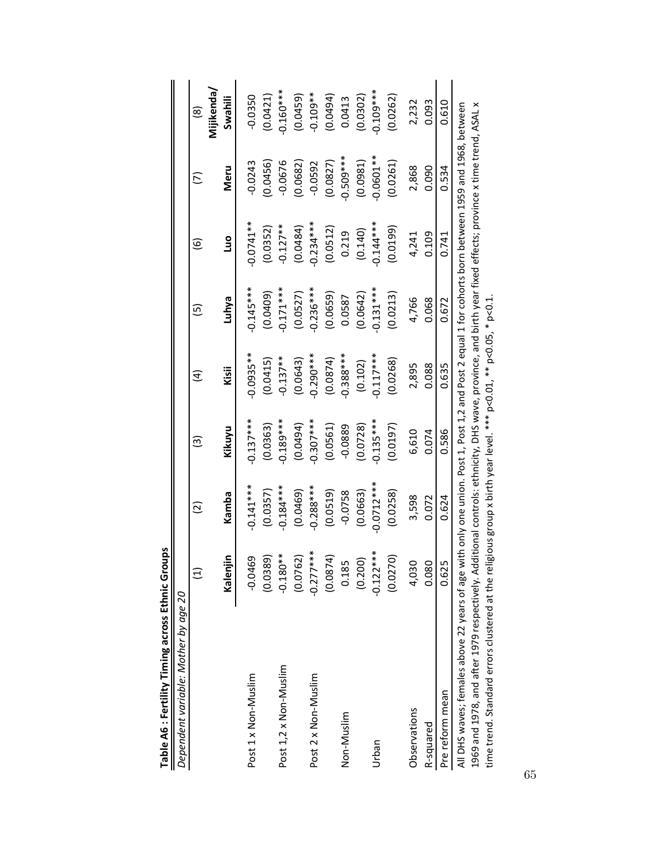| Dependent variable: Mother by age 20                                                                                                                        |                 |                                                                                                       |             |             |             |             |             |             |
|-------------------------------------------------------------------------------------------------------------------------------------------------------------|-----------------|-------------------------------------------------------------------------------------------------------|-------------|-------------|-------------|-------------|-------------|-------------|
|                                                                                                                                                             | $\widehat{\Xi}$ | $\widehat{\circ}$                                                                                     | ⊙           | ₹           | ගු          | ම           | Σ           | $\circledR$ |
|                                                                                                                                                             |                 |                                                                                                       |             |             |             |             |             | Mijikenda/  |
|                                                                                                                                                             | Kalenjin        | Kamba                                                                                                 | Kikuyu      | Kisii       | Luhya       | <u>O</u> n  | Meru        | Swahili     |
| Post 1 x Non-Muslim                                                                                                                                         | $-0.0469$       | $0.141***$                                                                                            | $-0.137***$ | $0.0935***$ | $0.145***$  | $0.0741***$ | $-0.0243$   | $-0.0350$   |
|                                                                                                                                                             | (0.0389)        | (0.0357)                                                                                              | (0.0363)    | (0.0415)    | (0.0409)    | (0.0352)    | (0.0456)    | (0.0421)    |
| Post 1,2 x Non-Muslim                                                                                                                                       | $-0.180**$      | $-0.184***$                                                                                           | $-0.189***$ | $-0.137**$  | $-0.171***$ | $-0.127**$  | $-0.0676$   | $-0.160***$ |
|                                                                                                                                                             | (0.0762)        | (0.0469)                                                                                              | (0.0494)    | (0.0643)    | (0.0527)    | (0.0484)    | (0.0682)    | (0.0459)    |
| Post 2 x Non-Muslim                                                                                                                                         | $-0.277***$     | $-0.288***$                                                                                           | $-0.307***$ | $-0.290***$ | $-0.236***$ | $0.234***$  | $-0.0592$   | $-0.109**$  |
|                                                                                                                                                             | (0.0874)        | (0.0519)                                                                                              | (0.0561)    | (0.0874)    | (0.0659)    | (0.0512)    | (0.0827)    | (0.0494)    |
| Non-Muslim                                                                                                                                                  | 0.185           | $-0.0758$                                                                                             | $-0.0889$   | $-0.388***$ | 0.0587      | 0.219       | $0.509***$  | 0.0413      |
|                                                                                                                                                             | (0.200)         | (0.0663)                                                                                              | (0.0728)    | (0.102)     | (0.0642)    | (0.140)     | (0.0981)    | (0.0302)    |
| Urban                                                                                                                                                       | $-0.122***$     | $-0.0712***$                                                                                          | $-0.135***$ | $-0.117***$ | $-0.131***$ | $0.144***$  | $-0.0601**$ | $-0.109***$ |
|                                                                                                                                                             | (0.0270)        | (0.0258)                                                                                              | (0.0197)    | (0.0268)    | (0.0213)    | (0.0199)    | (0.0261)    | (0.0262)    |
| Observations                                                                                                                                                | 4,030           | 3,598                                                                                                 | 6,610       | 2,895       | 4,766       | 4,241       | 2,868       | 2,232       |
| R-squared                                                                                                                                                   | 0.080           | 0.072                                                                                                 | 0.074       | 0.088       | 0.068       | 0.109       | 0.090       | 0.093       |
| Pre reform mean                                                                                                                                             | 0.625           | 0.624                                                                                                 | 0.586       | 0.635       | 0.672       | 0.741       | 0.534       | 0.610       |
| All DHS waves; females above 22 years of age wit                                                                                                            |                 | h only one union. Post 1, Post 1,2 and Post 2 equal 1 for cohorts born between 1959 and 1968, between |             |             |             |             |             |             |
| 1969 and 1978, and after 1979 respectively. Additional controls: ethnicity, DHS wave, province, and birth year fixed effects; province x time trend, ASAL x |                 |                                                                                                       |             |             |             |             |             |             |
| time trend. Standard errors clustered at the religious group x birth year level. *** p<0.01, ** p<0.05, * p<0.1.                                            |                 |                                                                                                       |             |             |             |             |             |             |

Table A6 : Fertility Timing across Ethnic Groups **Table A6 : Fertility Timing across Ethnic Groups**

65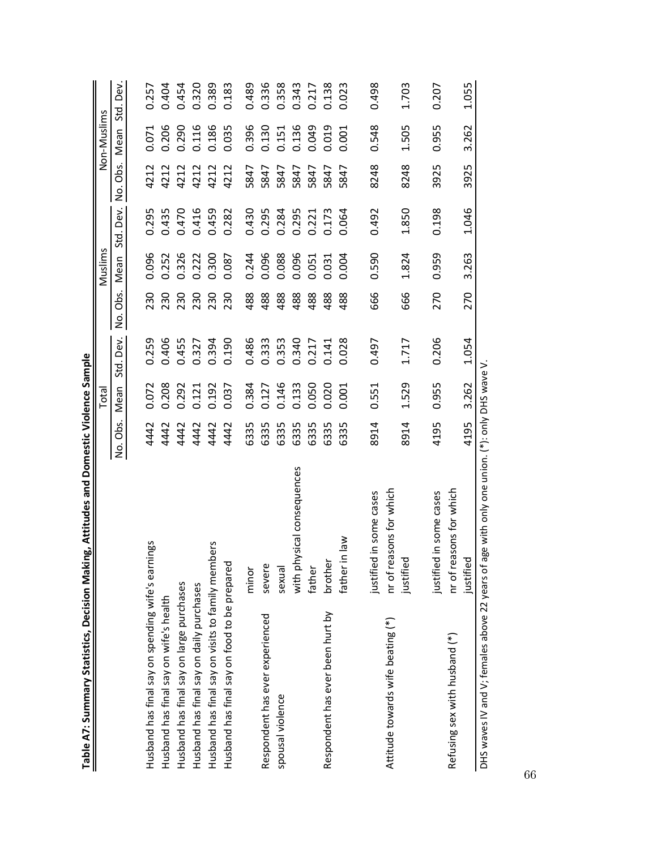|                                                   |                                               |                  | Total |                |                | Muslims |              |                  | Non-Muslims |          |
|---------------------------------------------------|-----------------------------------------------|------------------|-------|----------------|----------------|---------|--------------|------------------|-------------|----------|
|                                                   |                                               | Obs.<br><u>ş</u> | Mean  | Dev.<br>.<br>5 | Obs.<br>è<br>2 | Mean    | Dev.<br>5td. | Obs.<br><u>ó</u> | Mean        | Std. Dev |
|                                                   |                                               |                  |       |                |                |         |              |                  |             |          |
| Husband has final say on spending wife's earnings |                                               | 4442             | 0.072 | 0.259          | 230            | 0.096   | 0.295        | 4212             | 0.071       | 0.257    |
| Husband has final say on wife's health            |                                               | 4442             | 0.208 | 0.406          | 230            | 0.252   | 0.435        | 4212             | 0.206       | 0.404    |
| Husband has final say on large purchases          |                                               | 4442             | 0.292 | 0.455          | 230            | 0.326   | 0.470        | 4212             | 0.290       | 0.454    |
| Husband has final say on daily purchases          |                                               | 4442             | 0.121 | 0.327          | 230            | 0.222   | 0.416        | 4212             | 0.116       | 0.320    |
| Husband has final say on visits to family memb    | pers                                          | 4442             | 0.192 | 0.394          | 230            | 0.300   | 0.459        | 4212             | 0.186       | 0.389    |
| Husband has final say on food to be prepared      |                                               | 4442             | 0.037 | 0.190          | 230            | 0.087   | 0.282        | 4212             | 0.035       | 0.183    |
|                                                   | minor                                         | 6335             | 0.384 | 0.486          | 488            | 0.244   | 0.430        | 5847             | 0.396       | 0.489    |
| Respondent has ever experienced                   | severe                                        | 6335             | 0.127 | 0.333          | 488            | 0.096   | 0.295        | 5847             | 0.130       | 0.336    |
| spousal violence                                  | sexual                                        | 6335             | 0.146 | 0.353          | 488            | 0.088   | 0.284        | 5847             | 0.151       | 0.358    |
|                                                   | with physical consequences                    | 6335             | 0.133 | 0.340          | 488            | 0.096   | 0.295        | 5847             | 0.136       | 0.343    |
|                                                   | father                                        | 6335             | 0.050 | 0.217          | 488            | 0.051   | 0.221        | 5847             | 0.049       | 0.217    |
| Respondent has ever been hurt by                  | brother                                       | 6335             | 0.020 | 0.141          | 488            | 0.031   | 0.173        | 5847             | 0.019       | 0.138    |
|                                                   | father in law                                 | 6335             | 0.001 | 0.028          | 488            | 0.004   | 0.064        | 5847             | 0.001       | 0.023    |
|                                                   | in some cases<br>justified                    | 8914             | 0.551 | 0.497          | 666            | 0.590   | 0.492        | 8248             | 0.548       | 0.498    |
| Attitude towards wife beating (*)                 | nr of reasons for which                       |                  |       |                |                |         |              |                  |             |          |
|                                                   | justified                                     | 8914             | 1.529 | 1.717          | 666            | 1.824   | 1.850        | 8248             | 1.505       | 1.703    |
|                                                   | in some cases<br>justified                    | 4195             | 0.955 | 0.206          | 270            | 0.959   | 0.198        | 3925             | 0.955       | 0.207    |
| Refusing sex with husband (*)                     | nr of reasons for which                       |                  |       |                |                |         |              |                  |             |          |
|                                                   | justified                                     | 4195             | 3.262 | 1.054          | 270            | 3.263   | 1.046        | 3925             | 3.262       | 1.055    |
| DHS waves IV and V; females above 22 years of a   | ge with only one union. (*): only DHS wave V. |                  |       |                |                |         |              |                  |             |          |

Table A7: Summary Statistics, Decision Making, Attitudes and Domestic Violence Sample **Table A7: Summary Statistics, Decision Making, Attitudes and Domestic Violence Sample**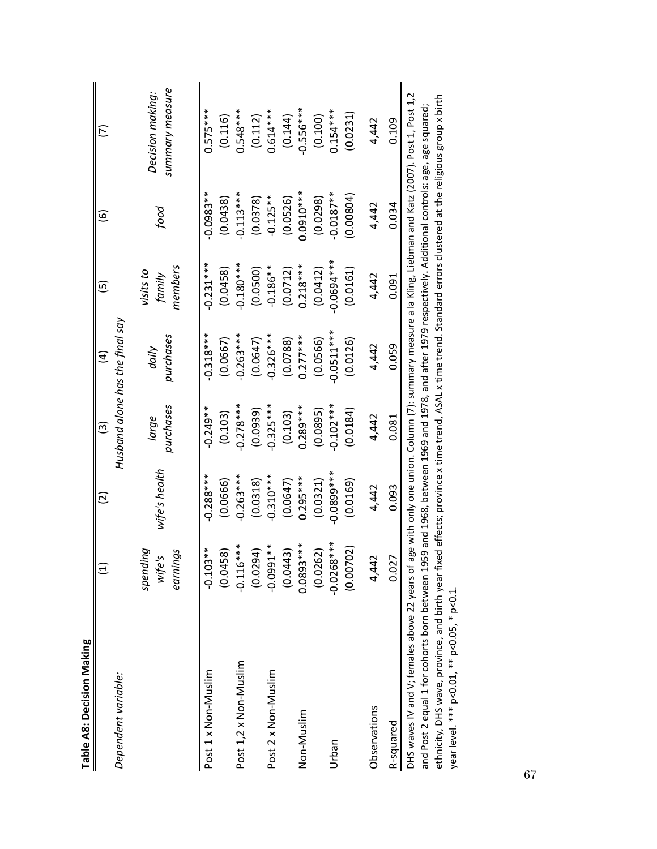| Table A8: Decision Making                                                                                                                                                                                                                                                                                                                                                                                                                                                                                                            |                                |                          |                    |                                 |                                |                    |                                     |
|--------------------------------------------------------------------------------------------------------------------------------------------------------------------------------------------------------------------------------------------------------------------------------------------------------------------------------------------------------------------------------------------------------------------------------------------------------------------------------------------------------------------------------------|--------------------------------|--------------------------|--------------------|---------------------------------|--------------------------------|--------------------|-------------------------------------|
|                                                                                                                                                                                                                                                                                                                                                                                                                                                                                                                                      | $\overline{1}$                 | $\overline{\mathcal{S}}$ | $\bar{\omega}$     | $\widehat{a}$                   | ම                              | $\widehat{\Theta}$ | Ξ                                   |
| Dependent variable:                                                                                                                                                                                                                                                                                                                                                                                                                                                                                                                  |                                |                          |                    | Husband alone has the final say |                                |                    |                                     |
|                                                                                                                                                                                                                                                                                                                                                                                                                                                                                                                                      | spending<br>earnings<br>wife's | wife's health            | purchases<br>large | purchases<br>daily              | members<br>visits to<br>family | food               | summary measure<br>Decision making: |
| Post 1 x Non-Muslim                                                                                                                                                                                                                                                                                                                                                                                                                                                                                                                  | $-0.103**$                     | $0.288***$               | $-0.249**$         | $-0.318***$                     | $-0.231***$                    | $-0.0983**$        | $0.575***$                          |
|                                                                                                                                                                                                                                                                                                                                                                                                                                                                                                                                      | (0.0458)                       | (0.0666)                 | (0.103)            | (0.0667)                        | (0.0458)                       | (0.0438)           | (0.116)                             |
| Post 1,2 x Non-Muslim                                                                                                                                                                                                                                                                                                                                                                                                                                                                                                                | $-0.116***$                    | $-0.263***$              | $-0.278***$        | $-0.263***$                     | $-0.180***$                    | $-0.113***$        | $0.548***$                          |
|                                                                                                                                                                                                                                                                                                                                                                                                                                                                                                                                      | (0.0294)                       | (0.0318)                 | (0.0939)           | (0.0647)                        | (0.0500)                       | (0.0378)           | (0.112)                             |
| Post 2 x Non-Muslim                                                                                                                                                                                                                                                                                                                                                                                                                                                                                                                  | $***$<br>90.091**              | $-0.310***$              | $-0.325***$        | $-0.326***$                     | $-0.186**$                     | $-0.125**$         | $0.614***$                          |
|                                                                                                                                                                                                                                                                                                                                                                                                                                                                                                                                      | (0.0443)                       | (0.0647)                 | (0.103)            | (0.0788)                        | (0.0712)                       | (0.0526)           | (0.144)                             |
| Non-Muslim                                                                                                                                                                                                                                                                                                                                                                                                                                                                                                                           | $0.0893***$                    | $0.295***$               | $0.289***$         | $0.277***$                      | $0.218***$                     | $0.0910***$        | $0.556***$                          |
|                                                                                                                                                                                                                                                                                                                                                                                                                                                                                                                                      | (0.0262)                       | (0.0321)                 | (0.0895)           | (0.0566)                        | (0.0412)                       | (0.0298)           | (0.100)                             |
| Urban                                                                                                                                                                                                                                                                                                                                                                                                                                                                                                                                | $-0.0268***$                   | 0.0899***                | $0.102***$         | $-0.0511***$                    | $-0.0694***$                   | $-0.0187**$        | $0.154***$                          |
|                                                                                                                                                                                                                                                                                                                                                                                                                                                                                                                                      | (0.00702)                      | (0.0169)                 | (0.0184)           | (0.0126)                        | (0.0161)                       | (0.00804)          | (0.0231)                            |
| Observations                                                                                                                                                                                                                                                                                                                                                                                                                                                                                                                         | 4,442                          | 4,442                    | 4,442              | 4,442                           | 4,442                          | 4,442              | 4,442                               |
| R-squared                                                                                                                                                                                                                                                                                                                                                                                                                                                                                                                            | 0.027                          | 0.093                    | 0.081              | 0.059                           | 0.091                          | 0.034              | 0.109                               |
| DHS waves IV and V; females above 22 years of age with only one union. Column (7): summary measure a la Kling, Liebman and Katz (2007). Post 1, Post 1, 2<br>ethnicity, DHS wave, province, and birth year fixed effects; province x time trend, ASAL x time trend. Standard errors clustered at the religious group x birth<br>and Post 2 equal 1 for cohorts born between 1959 and 1968, between 1969 and 1978, and after 1979 respectively. Additional controls: age, age squared;<br>year level. *** p<0.01, ** p<0.05, * p<0.1. |                                |                          |                    |                                 |                                |                    |                                     |
|                                                                                                                                                                                                                                                                                                                                                                                                                                                                                                                                      |                                |                          |                    |                                 |                                |                    |                                     |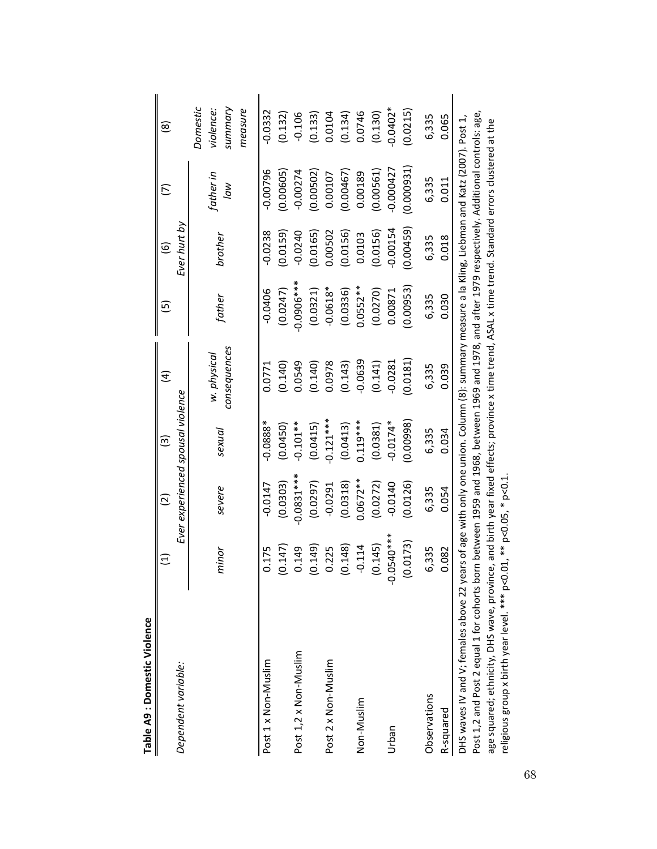|                                                                                                                                                                                                                                                                                                                                                                                                                                                              | $\Xi$                 | ି                                 | ⊙           | €                           | 0            | $\widehat{\circ}$ | E                           | $\circledast$                               |
|--------------------------------------------------------------------------------------------------------------------------------------------------------------------------------------------------------------------------------------------------------------------------------------------------------------------------------------------------------------------------------------------------------------------------------------------------------------|-----------------------|-----------------------------------|-------------|-----------------------------|--------------|-------------------|-----------------------------|---------------------------------------------|
| Dependent variable:                                                                                                                                                                                                                                                                                                                                                                                                                                          |                       | Ever experienced spousal violence |             |                             |              | Ever hurt by      |                             |                                             |
|                                                                                                                                                                                                                                                                                                                                                                                                                                                              | ninor                 | severe                            | sexual      | consequences<br>w. physical | father       | brother           | father in<br>$\overline{a}$ | Domestic<br>summary<br>measure<br>violence: |
| Post 1 x Non-Muslim                                                                                                                                                                                                                                                                                                                                                                                                                                          | 0.175                 | $-0.0147$                         | $0.0888*$   | 0.0771                      | $-0.0406$    | 0.0238            | 0.00796                     | $-0.0332$                                   |
|                                                                                                                                                                                                                                                                                                                                                                                                                                                              | (0.147)               | (0.0303)                          | (0.0450)    | (0.140)                     | (0.0247)     | (0.0159)          | (0.00605)                   | (0.132)                                     |
| Post 1,2 x Non-Muslim                                                                                                                                                                                                                                                                                                                                                                                                                                        | 0.149                 | $-0.0831***$                      | $-0.101**$  | 0.0549                      | $-0.0906***$ | $-0.0240$         | $-0.00274$                  | $-0.106$                                    |
|                                                                                                                                                                                                                                                                                                                                                                                                                                                              | 0.149                 | (0.0297)                          | (0.0415)    | (0.140)                     | (0.0321)     | (0.0165)          | (0.00502)                   | (0.133)                                     |
| Post 2 x Non-Muslim                                                                                                                                                                                                                                                                                                                                                                                                                                          | 0.225                 | $-0.0291$                         | $-0.121***$ | 0.0978                      | $-0.0618*$   | 0.00502           | 0.00107                     | 0.0104                                      |
|                                                                                                                                                                                                                                                                                                                                                                                                                                                              | (0.148)               | (0.0318)                          | (0.0413)    | (0.143)                     | (0.0336)     | (0.0156)          | (0.00467)                   | (0.134)                                     |
| Non-Muslim                                                                                                                                                                                                                                                                                                                                                                                                                                                   | 0.114                 | $0.0672***$                       | $0.119***$  | $-0.0639$                   | $0.0552**$   | 0.0103            | 0.00189                     | 0.0746                                      |
|                                                                                                                                                                                                                                                                                                                                                                                                                                                              | (0.145)               | (0.0272)                          | (0.0381)    | (0.141)                     | (0.0270)     | (0.0156)          | (0.00561)                   | (0.130)                                     |
| Urban                                                                                                                                                                                                                                                                                                                                                                                                                                                        | $3540***$<br>o.<br>P  | $-0.0140$                         | $0.0174*$   | 0.0281                      | 0.00871      | 0.00154           | $-0.000427$                 | $-0.0402*$                                  |
|                                                                                                                                                                                                                                                                                                                                                                                                                                                              | .0173)<br>$\subseteq$ | (0.0126)                          | (0.00998)   | 0.0181                      | 0.00953      | (0.00459)         | 0.000931                    | (0.0215)                                    |
| Observations                                                                                                                                                                                                                                                                                                                                                                                                                                                 | 6,335                 | 6,335                             | 6,335       | 6,335                       | 6,335        | 6,335             | 6,335                       | 6,335                                       |
| R-squared                                                                                                                                                                                                                                                                                                                                                                                                                                                    | 0.082                 | 0.054                             | 0.034       | 0.039                       | 0.030        | 0.018             | 0.011                       | 0.065                                       |
| Post 1,2 and Post 2 equal 1 for cohorts born between 1959 and 1968, between 1969 and 1978, and after 1979 respectively. Additional controls: age,<br>DHS waves IV and V; females above 22 years of age with only one union. Column (8): summary measure a la Kling, Liebman and Katz (2007). Post 1.<br>age squared; ethnicity, DHS wave, province, and birth year fixed effects; province x time trend, ASAL x time trend. Standard errors clustered at the |                       |                                   |             |                             |              |                   |                             |                                             |
| religious group x birth year level. *** p<0.01, ** p<0.05, * p<0.1                                                                                                                                                                                                                                                                                                                                                                                           |                       |                                   |             |                             |              |                   |                             |                                             |

Table A9 : Domestic Violence **Table A9 : Domestic Violence**